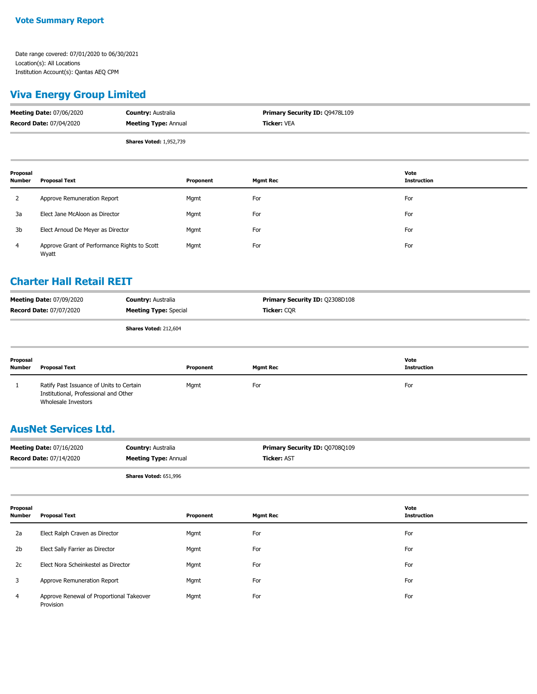## **Viva Energy Group Limited**

| <b>Meeting Date: 07/06/2020</b> | <b>Country: Australia</b>      | <b>Primary Security ID: 09478L109</b> |
|---------------------------------|--------------------------------|---------------------------------------|
| <b>Record Date: 07/04/2020</b>  | <b>Meeting Type: Annual</b>    | <b>Ticker: VEA</b>                    |
|                                 | <b>Shares Voted: 1,952,739</b> |                                       |

| Proposal<br><b>Number</b> | Proposal Text                                         | Proponent | <b>Mgmt Rec</b> | Vote<br><b>Instruction</b> |
|---------------------------|-------------------------------------------------------|-----------|-----------------|----------------------------|
| 2                         | Approve Remuneration Report                           | Mgmt      | For             | For                        |
| 3a                        | Elect Jane McAloon as Director                        | Mgmt      | For             | For                        |
| 3b                        | Elect Arnoud De Meyer as Director                     | Mgmt      | For             | For                        |
| 4                         | Approve Grant of Performance Rights to Scott<br>Wyatt | Mgmt      | For             | For                        |

## **Charter Hall Retail REIT**

| <b>Meeting Date: 07/09/2020</b> | <b>Country: Australia</b>    | <b>Primary Security ID: 02308D108</b> |
|---------------------------------|------------------------------|---------------------------------------|
| <b>Record Date: 07/07/2020</b>  | <b>Meeting Type:</b> Special | <b>Ticker: COR</b>                    |
|                                 | <b>Shares Voted: 212,604</b> |                                       |

| Proposal<br><b>Number</b> | <b>Proposal Text</b>                                                                                     | Proponent | <b>Mgmt Rec</b> | Vote<br><b>Instruction</b> |
|---------------------------|----------------------------------------------------------------------------------------------------------|-----------|-----------------|----------------------------|
|                           | Ratify Past Issuance of Units to Certain<br>Institutional, Professional and Other<br>Wholesale Investors | Mgmt      | For             | For                        |

## **AusNet Services Ltd.**

| <b>Meeting Date: 07/16/2020</b> | <b>Country: Australia</b>   | <b>Primary Security ID: Q0708Q109</b> |
|---------------------------------|-----------------------------|---------------------------------------|
| <b>Record Date: 07/14/2020</b>  | <b>Meeting Type: Annual</b> | <b>Ticker: AST</b>                    |
|                                 | Shares Voted: 651,996       |                                       |

| Proposal<br><b>Number</b> | <b>Proposal Text</b>                                  | Proponent | <b>Mgmt Rec</b> | Vote<br><b>Instruction</b> |
|---------------------------|-------------------------------------------------------|-----------|-----------------|----------------------------|
| 2a                        | Elect Ralph Craven as Director                        | Mgmt      | For             | For                        |
| 2 <sub>b</sub>            | Elect Sally Farrier as Director                       | Mgmt      | For             | For                        |
| 2c                        | Elect Nora Scheinkestel as Director                   | Mgmt      | For             | For                        |
| 3                         | Approve Remuneration Report                           | Mgmt      | For             | For                        |
| $\overline{4}$            | Approve Renewal of Proportional Takeover<br>Provision | Mgmt      | For             | For                        |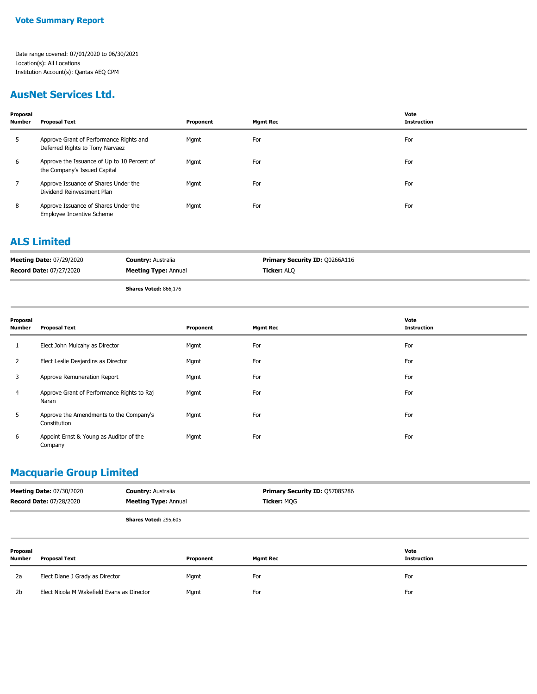## **AusNet Services Ltd.**

| Proposal<br><b>Number</b> | <b>Proposal Text</b>                                                        | Proponent | <b>Mgmt Rec</b> | Vote<br><b>Instruction</b> |
|---------------------------|-----------------------------------------------------------------------------|-----------|-----------------|----------------------------|
| 5                         | Approve Grant of Performance Rights and<br>Deferred Rights to Tony Narvaez  | Mgmt      | For             | For                        |
| 6                         | Approve the Issuance of Up to 10 Percent of<br>the Company's Issued Capital | Mgmt      | For             | For                        |
|                           | Approve Issuance of Shares Under the<br>Dividend Reinvestment Plan          | Mgmt      | For             | For                        |
| 8                         | Approve Issuance of Shares Under the<br><b>Employee Incentive Scheme</b>    | Mgmt      | For             | For                        |

#### **ALS Limited**

| <b>Meeting Date: 07/29/2020</b> | <b>Country: Australia</b>   | <b>Primary Security ID: Q0266A116</b> |
|---------------------------------|-----------------------------|---------------------------------------|
| <b>Record Date: 07/27/2020</b>  | <b>Meeting Type: Annual</b> | <b>Ticker: ALO</b>                    |
|                                 |                             |                                       |

**Shares Voted:** 866,176

| Proposal<br><b>Number</b> | <b>Proposal Text</b>                                    | Proponent | <b>Mgmt Rec</b> | Vote<br><b>Instruction</b> |
|---------------------------|---------------------------------------------------------|-----------|-----------------|----------------------------|
| 1                         | Elect John Mulcahy as Director                          | Mgmt      | For             | For                        |
| 2                         | Elect Leslie Desjardins as Director                     | Mgmt      | For             | For                        |
| 3                         | Approve Remuneration Report                             | Mgmt      | For             | For                        |
| 4                         | Approve Grant of Performance Rights to Raj<br>Naran     | Mgmt      | For             | For                        |
| 5                         | Approve the Amendments to the Company's<br>Constitution | Mgmt      | For             | For                        |
| 6                         | Appoint Ernst & Young as Auditor of the<br>Company      | Mgmt      | For             | For                        |

## **Macquarie Group Limited**

| <b>Meeting Date: 07/30/2020</b> | <b>Country: Australia</b>    | <b>Primary Security ID: Q57085286</b> |
|---------------------------------|------------------------------|---------------------------------------|
| <b>Record Date: 07/28/2020</b>  | <b>Meeting Type: Annual</b>  | <b>Ticker: MOG</b>                    |
|                                 | <b>Shares Voted: 295.605</b> |                                       |

| Proposal<br><b>Number</b> | <b>Proposal Text</b>                       | Proponent | <b>Mgmt Rec</b> | Vote<br>Instruction |
|---------------------------|--------------------------------------------|-----------|-----------------|---------------------|
| 2a                        | Elect Diane J Grady as Director            | Mgmt      | For             | For                 |
| 2b                        | Elect Nicola M Wakefield Evans as Director | Mgmt      | For             | For                 |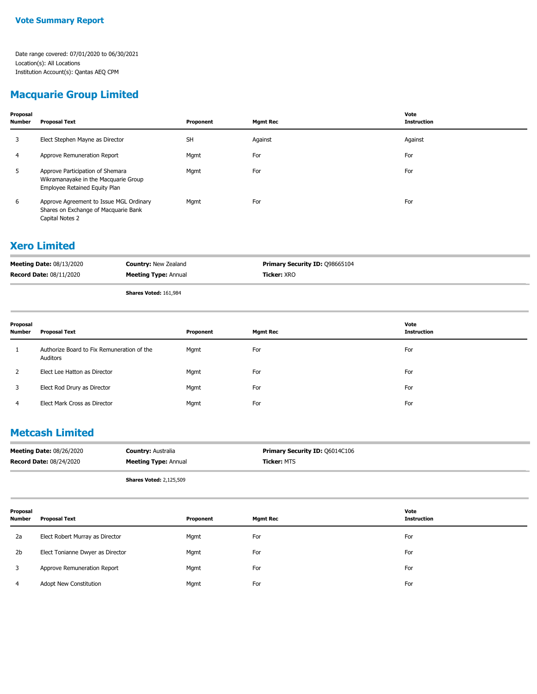## **Macquarie Group Limited**

| Proposal<br><b>Number</b> | <b>Proposal Text</b>                                                                                      | Proponent | <b>Mgmt Rec</b> | Vote<br><b>Instruction</b> |
|---------------------------|-----------------------------------------------------------------------------------------------------------|-----------|-----------------|----------------------------|
| 3                         | Elect Stephen Mayne as Director                                                                           | <b>SH</b> | Against         | Against                    |
| 4                         | Approve Remuneration Report                                                                               | Mgmt      | For             | For                        |
| 5                         | Approve Participation of Shemara<br>Wikramanayake in the Macquarie Group<br>Employee Retained Equity Plan | Mgmt      | For             | For                        |
| 6                         | Approve Agreement to Issue MGL Ordinary<br>Shares on Exchange of Macquarie Bank<br>Capital Notes 2        | Mgmt      | For             | For                        |

## **Xero Limited**

| <b>Meeting Date: 08/13/2020</b> | <b>Country: New Zealand</b> | <b>Primary Security ID: 098665104</b> |
|---------------------------------|-----------------------------|---------------------------------------|
| <b>Record Date: 08/11/2020</b>  | <b>Meeting Type: Annual</b> | <b>Ticker:</b> XRO                    |
|                                 | Change Maked: 161,004       |                                       |

**Shares Voted:** 161,984

| Proposal<br>Number | <b>Proposal Text</b>                                   | Proponent | <b>Mgmt Rec</b> | Vote<br><b>Instruction</b> |
|--------------------|--------------------------------------------------------|-----------|-----------------|----------------------------|
|                    | Authorize Board to Fix Remuneration of the<br>Auditors | Mgmt      | For             | For                        |
|                    | Elect Lee Hatton as Director                           | Mgmt      | For             | For                        |
| 3                  | Elect Rod Drury as Director                            | Mgmt      | For             | For                        |
| 4                  | Elect Mark Cross as Director                           | Mgmt      | For             | For                        |

## **Metcash Limited**

| <b>Meeting Date: 08/26/2020</b> | <b>Country: Australia</b>   | <b>Primary Security ID: 06014C106</b> |
|---------------------------------|-----------------------------|---------------------------------------|
| <b>Record Date: 08/24/2020</b>  | <b>Meeting Type: Annual</b> | <b>Ticker: MTS</b>                    |
|                                 |                             |                                       |

**Shares Voted:** 2,125,509

| Proposal<br>Number | <b>Proposal Text</b>             | Proponent | <b>Mgmt Rec</b> | Vote<br>Instruction |
|--------------------|----------------------------------|-----------|-----------------|---------------------|
| 2a                 | Elect Robert Murray as Director  | Mgmt      | For             | For                 |
| 2 <sub>b</sub>     | Elect Tonianne Dwyer as Director | Mgmt      | For             | For                 |
|                    | Approve Remuneration Report      | Mgmt      | For             | For                 |
|                    | Adopt New Constitution           | Mgmt      | For             | For                 |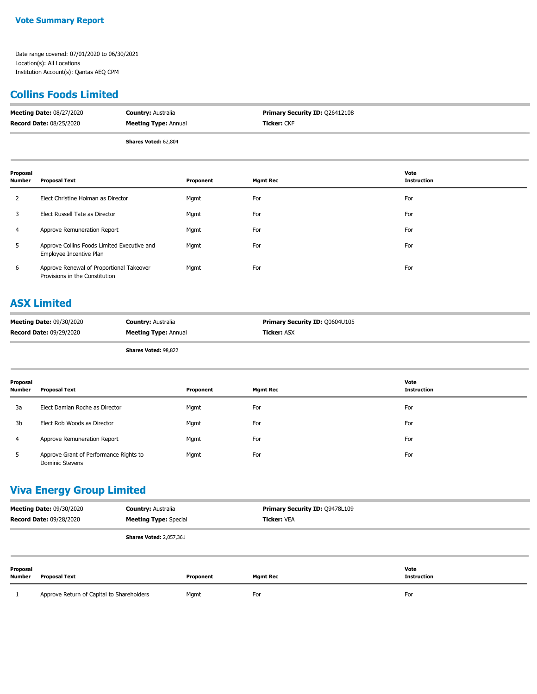## **Collins Foods Limited**

| <b>Meeting Date: 08/27/2020</b> | <b>Country: Australia</b>   | <b>Primary Security ID: 026412108</b> |
|---------------------------------|-----------------------------|---------------------------------------|
| <b>Record Date: 08/25/2020</b>  | <b>Meeting Type: Annual</b> | <b>Ticker:</b> CKF                    |
|                                 | <b>Shares Voted: 62,804</b> |                                       |

| Proposal<br><b>Number</b> | <b>Proposal Text</b>                                                       | Proponent | <b>Mgmt Rec</b> | Vote<br><b>Instruction</b> |
|---------------------------|----------------------------------------------------------------------------|-----------|-----------------|----------------------------|
|                           | Elect Christine Holman as Director                                         | Mgmt      | For             | For                        |
| 3                         | Elect Russell Tate as Director                                             | Mgmt      | For             | For                        |
| 4                         | Approve Remuneration Report                                                | Mgmt      | For             | For                        |
| 5                         | Approve Collins Foods Limited Executive and<br>Employee Incentive Plan     | Mgmt      | For             | For                        |
| 6                         | Approve Renewal of Proportional Takeover<br>Provisions in the Constitution | Mgmt      | For             | For                        |

## **ASX Limited**

| <b>Meeting Date: 09/30/2020</b> | <b>Country: Australia</b>   | <b>Primary Security ID: 00604U105</b> |
|---------------------------------|-----------------------------|---------------------------------------|
| <b>Record Date: 09/29/2020</b>  | <b>Meeting Type: Annual</b> | <b>Ticker: ASX</b>                    |

**Shares Voted:** 98,822

| Proposal<br><b>Number</b> | <b>Proposal Text</b>                                             | Proponent | <b>Mgmt Rec</b> | Vote<br>Instruction |
|---------------------------|------------------------------------------------------------------|-----------|-----------------|---------------------|
| 3a                        | Elect Damian Roche as Director                                   | Mgmt      | For             | For                 |
| 3b                        | Elect Rob Woods as Director                                      | Mgmt      | For             | For                 |
| 4                         | Approve Remuneration Report                                      | Mgmt      | For             | For                 |
| 5                         | Approve Grant of Performance Rights to<br><b>Dominic Stevens</b> | Mgmt      | For             | For                 |

## **Viva Energy Group Limited**

| <b>Meeting Date: 09/30/2020</b><br><b>Record Date: 09/28/2020</b> |                                           | <b>Country: Australia</b><br><b>Meeting Type: Special</b> |           | Primary Security ID: Q9478L109<br><b>Ticker: VEA</b> |                            |
|-------------------------------------------------------------------|-------------------------------------------|-----------------------------------------------------------|-----------|------------------------------------------------------|----------------------------|
|                                                                   |                                           | <b>Shares Voted: 2,057,361</b>                            |           |                                                      |                            |
| Proposal<br><b>Number</b>                                         | <b>Proposal Text</b>                      |                                                           | Proponent | <b>Mgmt Rec</b>                                      | Vote<br><b>Instruction</b> |
|                                                                   | Approve Return of Capital to Shareholders |                                                           | Mgmt      | For                                                  | For                        |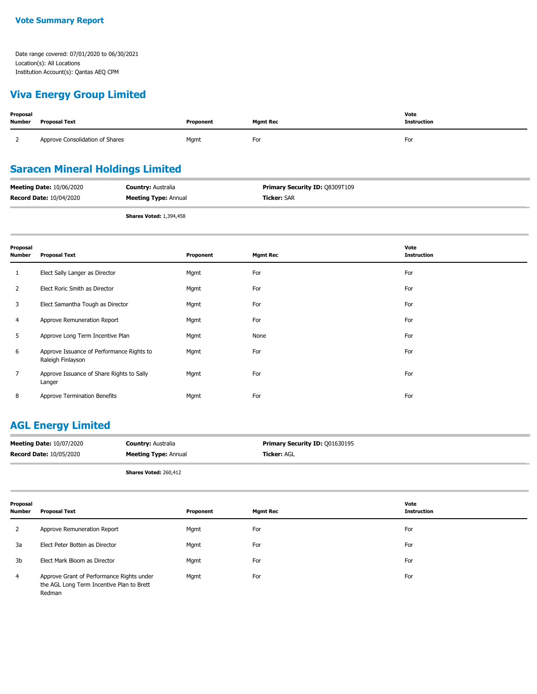## **Viva Energy Group Limited**

| Proposal<br><b>Number</b> | Proposal Text                   | Proponent | <b>Mgmt Rec</b> | Vote<br><b>Instruction</b> |
|---------------------------|---------------------------------|-----------|-----------------|----------------------------|
|                           | Approve Consolidation of Shares | Mgmt      | For             | For                        |

## **Saracen Mineral Holdings Limited**

| <b>Meeting Date: 10/06/2020</b> | <b>Country: Australia</b>   | <b>Primary Security ID: 08309T109</b> |
|---------------------------------|-----------------------------|---------------------------------------|
| <b>Record Date: 10/04/2020</b>  | <b>Meeting Type: Annual</b> | <b>Ticker: SAR</b>                    |
|                                 |                             |                                       |

**Shares Voted:** 1,394,458

| Proposal<br>Number | <b>Proposal Text</b>                                           | Proponent | <b>Mgmt Rec</b> | Vote<br><b>Instruction</b> |
|--------------------|----------------------------------------------------------------|-----------|-----------------|----------------------------|
| Τ.                 | Elect Sally Langer as Director                                 | Mgmt      | For             | For                        |
| $\mathbf{2}$       | Elect Roric Smith as Director                                  | Mgmt      | For             | For                        |
| 3                  | Elect Samantha Tough as Director                               | Mgmt      | For             | For                        |
| 4                  | Approve Remuneration Report                                    | Mgmt      | For             | For                        |
| 5                  | Approve Long Term Incentive Plan                               | Mgmt      | None            | For                        |
| 6                  | Approve Issuance of Performance Rights to<br>Raleigh Finlayson | Mgmt      | For             | For                        |
| 7                  | Approve Issuance of Share Rights to Sally<br>Langer            | Mgmt      | For             | For                        |
| 8                  | Approve Termination Benefits                                   | Mgmt      | For             | For                        |

## **AGL Energy Limited**

| <b>Meeting Date: 10/07/2020</b> | <b>Country: Australia</b>   | <b>Primary Security ID: 001630195</b> |
|---------------------------------|-----------------------------|---------------------------------------|
| <b>Record Date: 10/05/2020</b>  | <b>Meeting Type: Annual</b> | <b>Ticker: AGL</b>                    |
|                                 |                             |                                       |

**Shares Voted:** 260,412

| Proposal<br><b>Number</b> | Proposal Text                                                                                    | Proponent | <b>Mgmt Rec</b> | Vote<br><b>Instruction</b> |
|---------------------------|--------------------------------------------------------------------------------------------------|-----------|-----------------|----------------------------|
|                           | Approve Remuneration Report                                                                      | Mgmt      | For             | For                        |
| 3a                        | Elect Peter Botten as Director                                                                   | Mgmt      | For             | For                        |
| 3b                        | Elect Mark Bloom as Director                                                                     | Mgmt      | For             | For                        |
| 4                         | Approve Grant of Performance Rights under<br>the AGL Long Term Incentive Plan to Brett<br>Redman | Mgmt      | For             | For                        |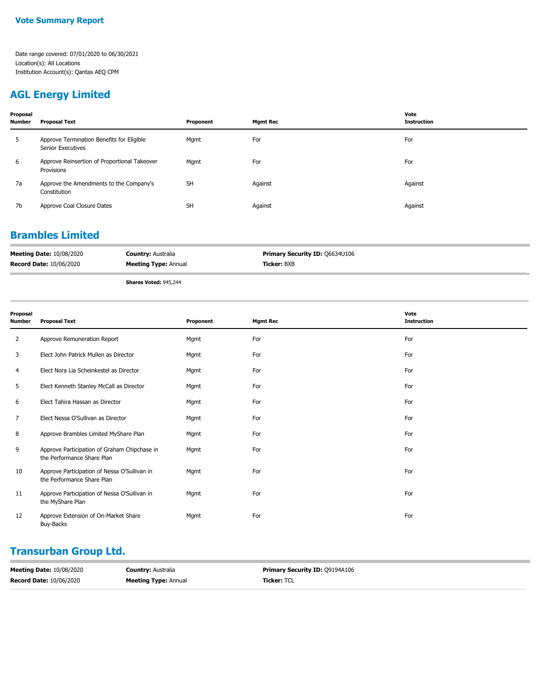## **AGL Energy Limited**

| Proposal<br>Number | <b>Proposal Text</b>                                           | Proponent | <b>Mgmt Rec</b> | Vote<br><b>Instruction</b> |
|--------------------|----------------------------------------------------------------|-----------|-----------------|----------------------------|
| 5                  | Approve Termination Benefits for Eligible<br>Senior Executives | Mgmt      | For             | For                        |
| 6                  | Approve Reinsertion of Proportional Takeover<br>Provisions     | Mgmt      | For             | For                        |
| 7a                 | Approve the Amendments to the Company's<br>Constitution        | <b>SH</b> | Against         | Against                    |
| 7b                 | Approve Coal Closure Dates                                     | <b>SH</b> | Against         | Against                    |

## **Brambles Limited**

| <b>Meeting Date: 10/08/2020</b> | <b>Country: Australia</b>    | <b>Primary Security ID: Q6634U106</b> |
|---------------------------------|------------------------------|---------------------------------------|
| <b>Record Date: 10/06/2020</b>  | <b>Meeting Type: Annual</b>  | <b>Ticker: BXB</b>                    |
|                                 | <b>Shares Voted: 945,244</b> |                                       |

| Proposal<br><b>Number</b> | <b>Proposal Text</b>                                                       | Proponent | <b>Mgmt Rec</b> | Vote<br><b>Instruction</b> |
|---------------------------|----------------------------------------------------------------------------|-----------|-----------------|----------------------------|
| 2                         | Approve Remuneration Report                                                | Mgmt      | For             | For                        |
| 3                         | Elect John Patrick Mullen as Director                                      | Mgmt      | For             | For                        |
| 4                         | Elect Nora Lia Scheinkestel as Director                                    | Mgmt      | For             | For                        |
| 5                         | Elect Kenneth Stanley McCall as Director                                   | Mgmt      | For             | For                        |
| 6                         | Elect Tahira Hassan as Director                                            | Mgmt      | For             | For                        |
| 7                         | Elect Nessa O'Sullivan as Director                                         | Mgmt      | For             | For                        |
| 8                         | Approve Brambles Limited MyShare Plan                                      | Mgmt      | For             | For                        |
| 9                         | Approve Participation of Graham Chipchase in<br>the Performance Share Plan | Mgmt      | For             | For                        |
| 10                        | Approve Participation of Nessa O'Sullivan in<br>the Performance Share Plan | Mgmt      | For             | For                        |
| 11                        | Approve Participation of Nessa O'Sullivan in<br>the MyShare Plan           | Mgmt      | For             | For                        |
| 12                        | Approve Extension of On-Market Share<br>Buy-Backs                          | Mgmt      | For             | For                        |

# **Transurban Group Ltd.**

| <b>Meeting Date: 10/08/2020</b> | <b>Country: Australia</b>   | <b>Primary Security ID: 09194A106</b> |
|---------------------------------|-----------------------------|---------------------------------------|
| <b>Record Date: 10/06/2020</b>  | <b>Meeting Type:</b> Annual | <b>Ticker: TCL</b>                    |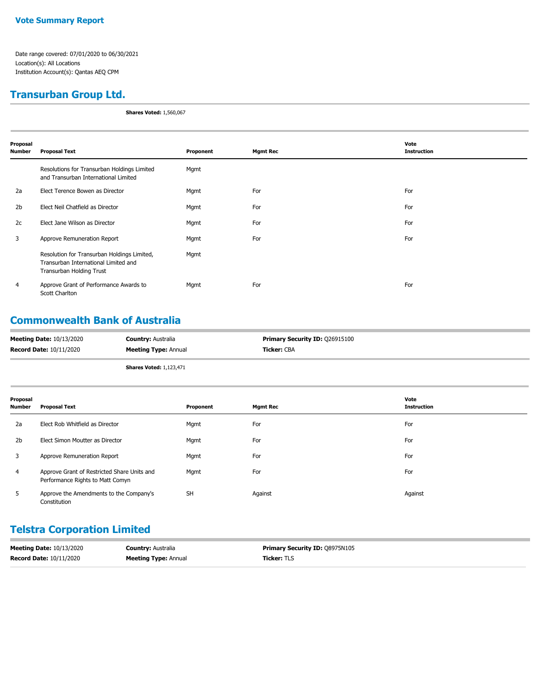## **Transurban Group Ltd.**

**Shares Voted:** 1,560,067

| Proposal       |                                                                                                                 |           |                 | Vote               |
|----------------|-----------------------------------------------------------------------------------------------------------------|-----------|-----------------|--------------------|
| <b>Number</b>  | <b>Proposal Text</b>                                                                                            | Proponent | <b>Mgmt Rec</b> | <b>Instruction</b> |
|                | Resolutions for Transurban Holdings Limited<br>and Transurban International Limited                             | Mgmt      |                 |                    |
| 2a             | Elect Terence Bowen as Director                                                                                 | Mgmt      | For             | For                |
| 2 <sub>b</sub> | Elect Neil Chatfield as Director                                                                                | Mgmt      | For             | For                |
| 2c             | Elect Jane Wilson as Director                                                                                   | Mgmt      | For             | For                |
| 3              | Approve Remuneration Report                                                                                     | Mgmt      | For             | For                |
|                | Resolution for Transurban Holdings Limited,<br>Transurban International Limited and<br>Transurban Holding Trust | Mgmt      |                 |                    |
| 4              | Approve Grant of Performance Awards to<br>Scott Charlton                                                        | Mgmt      | For             | For                |

## **Commonwealth Bank of Australia**

| <b>Meeting Date: 10/13/2020</b> | <b>Country: Australia</b>      | <b>Primary Security ID: 026915100</b> |
|---------------------------------|--------------------------------|---------------------------------------|
| <b>Record Date: 10/11/2020</b>  | <b>Meeting Type: Annual</b>    | Ticker: CBA                           |
|                                 | <b>Shares Voted: 1,123,471</b> |                                       |

| Proposal<br><b>Number</b> | <b>Proposal Text</b>                                                            | Proponent | <b>Mgmt Rec</b> | Vote<br><b>Instruction</b> |
|---------------------------|---------------------------------------------------------------------------------|-----------|-----------------|----------------------------|
| 2a                        | Elect Rob Whitfield as Director                                                 | Mgmt      | For             | For                        |
| 2 <sub>b</sub>            | Elect Simon Moutter as Director                                                 | Mgmt      | For             | For                        |
| 3                         | Approve Remuneration Report                                                     | Mgmt      | For             | For                        |
| 4                         | Approve Grant of Restricted Share Units and<br>Performance Rights to Matt Comyn | Mgmt      | For             | For                        |
| 5                         | Approve the Amendments to the Company's<br>Constitution                         | <b>SH</b> | Against         | Against                    |

## **Telstra Corporation Limited**

| <b>Meeting Date: 10/13/2020</b> | <b>Country:</b> Australia   | <b>Primary Security ID: 08975N105</b> |
|---------------------------------|-----------------------------|---------------------------------------|
| <b>Record Date: 10/11/2020</b>  | <b>Meeting Type: Annual</b> | <b>Ticker:</b> TLS                    |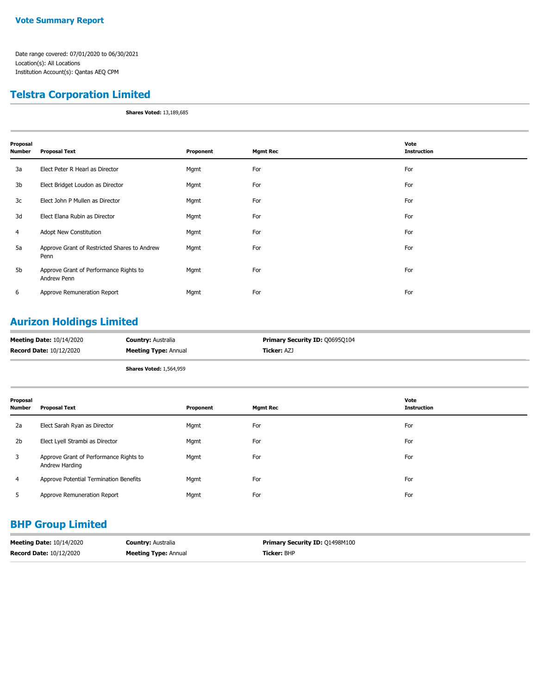## **Telstra Corporation Limited**

**Shares Voted:** 13,189,685

| Proposal<br>Number | <b>Proposal Text</b>                                  | Proponent | <b>Mgmt Rec</b> | Vote<br><b>Instruction</b> |
|--------------------|-------------------------------------------------------|-----------|-----------------|----------------------------|
| 3a                 | Elect Peter R Hearl as Director                       | Mgmt      | For             | For                        |
| 3b                 | Elect Bridget Loudon as Director                      | Mgmt      | For             | For                        |
| 3c                 | Elect John P Mullen as Director                       | Mgmt      | For             | For                        |
| 3d                 | Elect Elana Rubin as Director                         | Mgmt      | For             | For                        |
| 4                  | Adopt New Constitution                                | Mgmt      | For             | For                        |
| 5a                 | Approve Grant of Restricted Shares to Andrew<br>Penn  | Mgmt      | For             | For                        |
| 5b                 | Approve Grant of Performance Rights to<br>Andrew Penn | Mgmt      | For             | For                        |
| 6                  | Approve Remuneration Report                           | Mgmt      | For             | For                        |

## **Aurizon Holdings Limited**

| <b>Meeting Date: 10/14/2020</b> | <b>Country: Australia</b>      | <b>Primary Security ID: 006950104</b> |
|---------------------------------|--------------------------------|---------------------------------------|
| <b>Record Date: 10/12/2020</b>  | <b>Meeting Type: Annual</b>    | Ticker: AZJ                           |
|                                 | <b>Shares Voted: 1,564,959</b> |                                       |

| Proposal<br><b>Number</b> | <b>Proposal Text</b>                                     | Proponent | <b>Mgmt Rec</b> | Vote<br><b>Instruction</b> |
|---------------------------|----------------------------------------------------------|-----------|-----------------|----------------------------|
| 2a                        | Elect Sarah Ryan as Director                             | Mgmt      | For             | For                        |
| 2 <sub>b</sub>            | Elect Lyell Strambi as Director                          | Mgmt      | For             | For                        |
| 3                         | Approve Grant of Performance Rights to<br>Andrew Harding | Mgmt      | For             | For                        |
| 4                         | Approve Potential Termination Benefits                   | Mgmt      | For             | For                        |
|                           | Approve Remuneration Report                              | Mgmt      | For             | For                        |

## **BHP Group Limited**

| <b>Meeting Date: 10/14/2020</b> | <b>Country: Australia</b>   | <b>Primary Security ID: 01498M100</b> |
|---------------------------------|-----------------------------|---------------------------------------|
| <b>Record Date: 10/12/2020</b>  | <b>Meeting Type: Annual</b> | <b>Ticker: BHP</b>                    |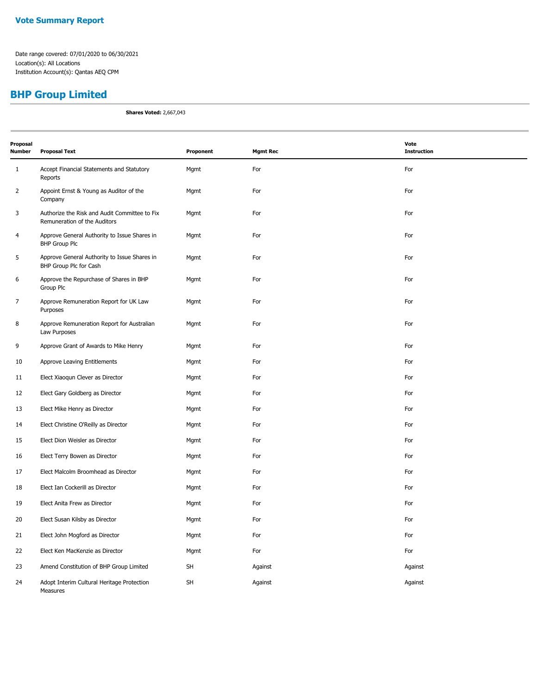# **BHP Group Limited**

**Shares Voted:** 2,667,043

| Proposal<br><b>Number</b> | <b>Proposal Text</b>                                                          | Proponent | <b>Mgmt Rec</b> | Vote<br><b>Instruction</b> |
|---------------------------|-------------------------------------------------------------------------------|-----------|-----------------|----------------------------|
| $\mathbf{1}$              | Accept Financial Statements and Statutory<br>Reports                          | Mgmt      | For             | For                        |
| 2                         | Appoint Ernst & Young as Auditor of the<br>Company                            | Mgmt      | For             | For                        |
| 3                         | Authorize the Risk and Audit Committee to Fix<br>Remuneration of the Auditors | Mgmt      | For             | For                        |
| $\overline{4}$            | Approve General Authority to Issue Shares in<br><b>BHP Group Plc</b>          | Mgmt      | For             | For                        |
| 5                         | Approve General Authority to Issue Shares in<br>BHP Group Plc for Cash        | Mgmt      | For             | For                        |
| 6                         | Approve the Repurchase of Shares in BHP<br>Group Plc                          | Mgmt      | For             | For                        |
| $\overline{7}$            | Approve Remuneration Report for UK Law<br>Purposes                            | Mgmt      | For             | For                        |
| 8                         | Approve Remuneration Report for Australian<br>Law Purposes                    | Mgmt      | For             | For                        |
| 9                         | Approve Grant of Awards to Mike Henry                                         | Mgmt      | For             | For                        |
| 10                        | Approve Leaving Entitlements                                                  | Mgmt      | For             | For                        |
| 11                        | Elect Xiaoqun Clever as Director                                              | Mgmt      | For             | For                        |
| 12                        | Elect Gary Goldberg as Director                                               | Mgmt      | For             | For                        |
| 13                        | Elect Mike Henry as Director                                                  | Mgmt      | For             | For                        |
| 14                        | Elect Christine O'Reilly as Director                                          | Mgmt      | For             | For                        |
| 15                        | Elect Dion Weisler as Director                                                | Mgmt      | For             | For                        |
| 16                        | Elect Terry Bowen as Director                                                 | Mgmt      | For             | For                        |
| 17                        | Elect Malcolm Broomhead as Director                                           | Mgmt      | For             | For                        |
| 18                        | Elect Ian Cockerill as Director                                               | Mgmt      | For             | For                        |
| 19                        | Elect Anita Frew as Director                                                  | Mgmt      | For             | For                        |
| 20                        | Elect Susan Kilsby as Director                                                | Mgmt      | For             | For                        |
| 21                        | Elect John Mogford as Director                                                | Mgmt      | For             | For                        |
| 22                        | Elect Ken MacKenzie as Director                                               | Mgmt      | For             | For                        |
| 23                        | Amend Constitution of BHP Group Limited                                       | SH        | Against         | Against                    |
| 24                        | Adopt Interim Cultural Heritage Protection<br>Measures                        | SH        | Against         | Against                    |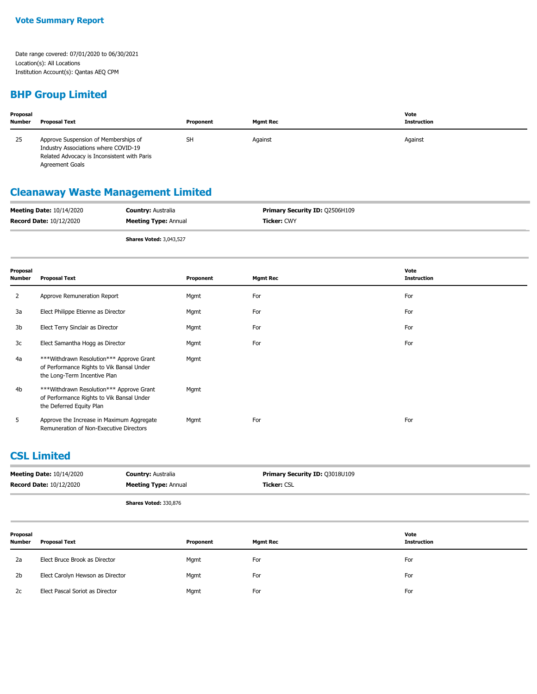## **BHP Group Limited**

| Proposal<br><b>Number</b> | <b>Proposal Text</b>                                                                                                                                  | Proponent | <b>Mamt Rec</b> | Vote<br><b>Instruction</b> |
|---------------------------|-------------------------------------------------------------------------------------------------------------------------------------------------------|-----------|-----------------|----------------------------|
| 25                        | Approve Suspension of Memberships of<br>Industry Associations where COVID-19<br>Related Advocacy is Inconsistent with Paris<br><b>Agreement Goals</b> | <b>SH</b> | Against         | Against                    |

# **Cleanaway Waste Management Limited**

| <b>Meeting Date: 10/14/2020</b> | <b>Country: Australia</b>   | <b>Primary Security ID: 02506H109</b> |
|---------------------------------|-----------------------------|---------------------------------------|
| <b>Record Date: 10/12/2020</b>  | <b>Meeting Type: Annual</b> | <b>Ticker: CWY</b>                    |
|                                 |                             |                                       |

**Shares Voted:** 3,043,527

| Proposal<br><b>Number</b> | <b>Proposal Text</b>                                                                                                    | Proponent | <b>Mgmt Rec</b> | Vote<br><b>Instruction</b> |
|---------------------------|-------------------------------------------------------------------------------------------------------------------------|-----------|-----------------|----------------------------|
| 2                         | Approve Remuneration Report                                                                                             | Mgmt      | For             | For                        |
| 3a                        | Elect Philippe Etienne as Director                                                                                      | Mgmt      | For             | For                        |
| 3b                        | Elect Terry Sinclair as Director                                                                                        | Mgmt      | For             | For                        |
| 3c                        | Elect Samantha Hogg as Director                                                                                         | Mgmt      | For             | For                        |
| 4a                        | *** Withdrawn Resolution *** Approve Grant<br>of Performance Rights to Vik Bansal Under<br>the Long-Term Incentive Plan | Mgmt      |                 |                            |
| 4b                        | *** Withdrawn Resolution *** Approve Grant<br>of Performance Rights to Vik Bansal Under<br>the Deferred Equity Plan     | Mgmt      |                 |                            |
| 5                         | Approve the Increase in Maximum Aggregate<br>Remuneration of Non-Executive Directors                                    | Mgmt      | For             | For                        |

### **CSL Limited**

|                           | <b>Meeting Date: 10/14/2020</b><br><b>Record Date: 10/12/2020</b> | <b>Country: Australia</b><br><b>Meeting Type: Annual</b> | Primary Security ID: Q3018U109<br>Ticker: CSL |                            |
|---------------------------|-------------------------------------------------------------------|----------------------------------------------------------|-----------------------------------------------|----------------------------|
|                           |                                                                   | Shares Voted: 330,876                                    |                                               |                            |
| Proposal<br><b>Number</b> | <b>Proposal Text</b>                                              | Proponent                                                | <b>Mgmt Rec</b>                               | Vote<br><b>Instruction</b> |
| 2a                        | Elect Bruce Brook as Director                                     | Mgmt                                                     | For                                           | For                        |
| 2 <sub>b</sub>            | Elect Carolyn Hewson as Director                                  | Mgmt                                                     | For                                           | For                        |
| 2c                        | Elect Pascal Soriot as Director                                   | Mgmt                                                     | For                                           | For                        |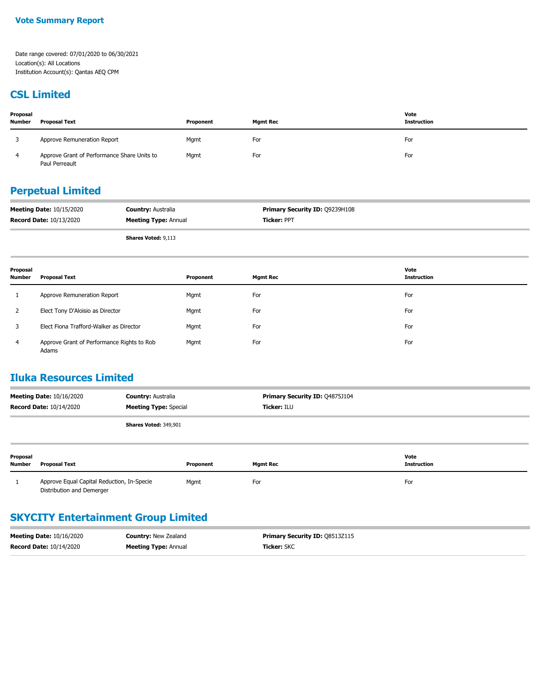#### **CSL Limited**

| Proposal<br><b>Number</b> | <b>Proposal Text</b>                                          | Proponent | Mamt Rec | Vote<br><b>Instruction</b> |
|---------------------------|---------------------------------------------------------------|-----------|----------|----------------------------|
|                           | Approve Remuneration Report                                   | Mgmt      | For      | For                        |
|                           | Approve Grant of Performance Share Units to<br>Paul Perreault | Mgmt      | For      | For                        |

## **Perpetual Limited**

| <b>Meeting Date: 10/15/2020</b> | <b>Country: Australia</b>   | Primary Security ID: 09239H108 |
|---------------------------------|-----------------------------|--------------------------------|
| <b>Record Date: 10/13/2020</b>  | <b>Meeting Type: Annual</b> | <b>Ticker: PPT</b>             |
|                                 | <b>Shares Voted: 9,113</b>  |                                |

| Proposal<br>Number | <b>Proposal Text</b>                                | Proponent | <b>Mgmt Rec</b> | Vote<br>Instruction |
|--------------------|-----------------------------------------------------|-----------|-----------------|---------------------|
|                    | Approve Remuneration Report                         | Mgmt      | For             | For                 |
|                    | Elect Tony D'Aloisio as Director                    | Mgmt      | For             | For                 |
|                    | Elect Fiona Trafford-Walker as Director             | Mgmt      | For             | For                 |
| 4                  | Approve Grant of Performance Rights to Rob<br>Adams | Mgmt      | For             | For                 |

## **Iluka Resources Limited**

| <b>Meeting Date: 10/16/2020</b><br><b>Country: Australia</b><br><b>Meeting Type: Special</b><br><b>Record Date: 10/14/2020</b> |                                                                         |                              | Primary Security ID: Q4875J104<br>Ticker: ILU |                 |                            |
|--------------------------------------------------------------------------------------------------------------------------------|-------------------------------------------------------------------------|------------------------------|-----------------------------------------------|-----------------|----------------------------|
|                                                                                                                                |                                                                         | <b>Shares Voted: 349,901</b> |                                               |                 |                            |
| Proposal<br><b>Number</b>                                                                                                      | <b>Proposal Text</b>                                                    |                              | Proponent                                     | <b>Mgmt Rec</b> | Vote<br><b>Instruction</b> |
|                                                                                                                                | Approve Equal Capital Reduction, In-Specie<br>Distribution and Demerger |                              | Mgmt                                          | For             | For                        |

## **SKYCITY Entertainment Group Limited**

| <b>Meeting Date: 10/16/2020</b> | <b>Country: New Zealand</b> | <b>Primary Security ID: 08513Z115</b> |
|---------------------------------|-----------------------------|---------------------------------------|
| <b>Record Date: 10/14/2020</b>  | <b>Meeting Type: Annual</b> | <b>Ticker:</b> SKC                    |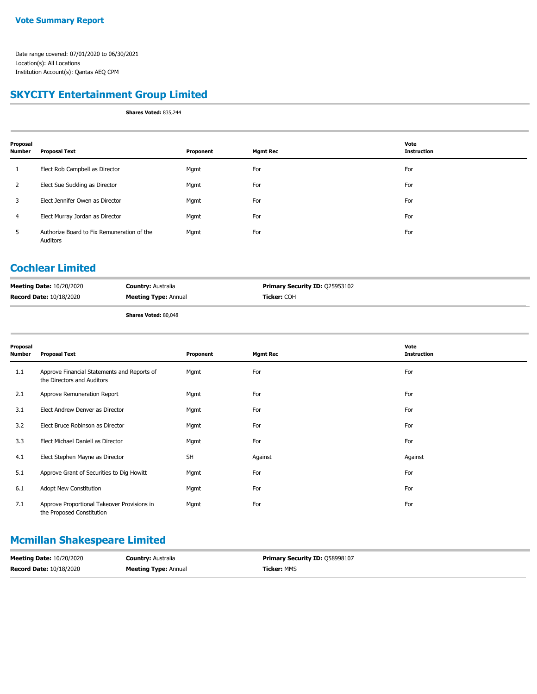## **SKYCITY Entertainment Group Limited**

**Shares Voted:** 835,244

| Proposal<br>Number | <b>Proposal Text</b>                                   | Proponent | <b>Mgmt Rec</b> | Vote<br><b>Instruction</b> |
|--------------------|--------------------------------------------------------|-----------|-----------------|----------------------------|
| $\mathbf{1}$       | Elect Rob Campbell as Director                         | Mgmt      | For             | For                        |
| $\overline{2}$     | Elect Sue Suckling as Director                         | Mgmt      | For             | For                        |
| 3                  | Elect Jennifer Owen as Director                        | Mgmt      | For             | For                        |
| 4                  | Elect Murray Jordan as Director                        | Mgmt      | For             | For                        |
| 5                  | Authorize Board to Fix Remuneration of the<br>Auditors | Mgmt      | For             | For                        |

## **Cochlear Limited**

| <b>Meeting Date: 10/20/2020</b> | <b>Country: Australia</b>   | <b>Primary Security ID: 025953102</b> |
|---------------------------------|-----------------------------|---------------------------------------|
| <b>Record Date: 10/18/2020</b>  | <b>Meeting Type: Annual</b> | <b>Ticker:</b> COH                    |
|                                 | <b>Shares Voted: 80,048</b> |                                       |

| <b>Shares voted: 60,046</b> |  |
|-----------------------------|--|
|                             |  |

| Proposal<br><b>Number</b> | <b>Proposal Text</b>                                                      | Proponent | <b>Mgmt Rec</b> | Vote<br><b>Instruction</b> |
|---------------------------|---------------------------------------------------------------------------|-----------|-----------------|----------------------------|
| 1.1                       | Approve Financial Statements and Reports of<br>the Directors and Auditors | Mgmt      | For             | For                        |
| 2.1                       | Approve Remuneration Report                                               | Mgmt      | For             | For                        |
| 3.1                       | Elect Andrew Denver as Director                                           | Mgmt      | For             | For                        |
| 3.2                       | Elect Bruce Robinson as Director                                          | Mgmt      | For             | For                        |
| 3.3                       | Elect Michael Daniell as Director                                         | Mgmt      | For             | For                        |
| 4.1                       | Elect Stephen Mayne as Director                                           | <b>SH</b> | Against         | Against                    |
| 5.1                       | Approve Grant of Securities to Dig Howitt                                 | Mgmt      | For             | For                        |
| 6.1                       | Adopt New Constitution                                                    | Mgmt      | For             | For                        |
| 7.1                       | Approve Proportional Takeover Provisions in<br>the Proposed Constitution  | Mgmt      | For             | For                        |

## **Mcmillan Shakespeare Limited**

| <b>Meeting Date: 10/20/2020</b> | <b>Country: Australia</b>   | <b>Primary Security ID: 058998107</b> |
|---------------------------------|-----------------------------|---------------------------------------|
| <b>Record Date: 10/18/2020</b>  | <b>Meeting Type: Annual</b> | <b>Ticker:</b> MMS                    |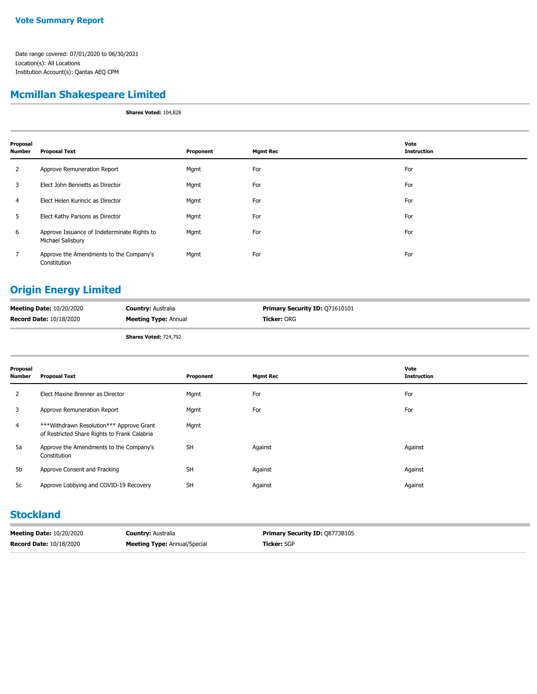## **Mcmillan Shakespeare Limited**

**Shares Voted:** 104,828

| Proposal<br><b>Number</b> | <b>Proposal Text</b>                                             | Proponent | <b>Mgmt Rec</b> | Vote<br><b>Instruction</b> |
|---------------------------|------------------------------------------------------------------|-----------|-----------------|----------------------------|
| $\mathbf{2}$              | Approve Remuneration Report                                      | Mgmt      | For             | For                        |
| 3                         | Elect John Bennetts as Director                                  | Mgmt      | For             | For                        |
| 4                         | Elect Helen Kurincic as Director                                 | Mgmt      | For             | For                        |
| 5                         | Elect Kathy Parsons as Director                                  | Mgmt      | For             | For                        |
| 6                         | Approve Issuance of Indeterminate Rights to<br>Michael Salisbury | Mgmt      | For             | For                        |
| $\overline{7}$            | Approve the Amendments to the Company's<br>Constitution          | Mgmt      | For             | For                        |

## **Origin Energy Limited**

| <b>Meeting Date: 10/20/2020</b> | <b>Country: Australia</b>    | <b>Primary Security ID: Q71610101</b> |
|---------------------------------|------------------------------|---------------------------------------|
| <b>Record Date: 10/18/2020</b>  | <b>Meeting Type: Annual</b>  | <b>Ticker: ORG</b>                    |
|                                 | <b>Shares Voted: 724,792</b> |                                       |

| Proposal<br>Number | <b>Proposal Text</b>                                                                     | Proponent | <b>Mgmt Rec</b> | Vote<br><b>Instruction</b> |
|--------------------|------------------------------------------------------------------------------------------|-----------|-----------------|----------------------------|
| 2                  | Elect Maxine Brenner as Director                                                         | Mgmt      | For             | For                        |
| 3                  | Approve Remuneration Report                                                              | Mgmt      | For             | For                        |
| $\overline{4}$     | ***Withdrawn Resolution*** Approve Grant<br>of Restricted Share Rights to Frank Calabria | Mgmt      |                 |                            |
| 5a                 | Approve the Amendments to the Company's<br>Constitution                                  | <b>SH</b> | Against         | Against                    |
| 5b                 | Approve Consent and Fracking                                                             | <b>SH</b> | Against         | Against                    |
| 5c                 | Approve Lobbying and COVID-19 Recovery                                                   | <b>SH</b> | Against         | Against                    |

#### **Stockland**

| <b>Meeting Date: 10/20/2020</b> | <b>Country:</b> Australia           | <b>Primary Security ID: 08773B105</b> |
|---------------------------------|-------------------------------------|---------------------------------------|
| <b>Record Date: 10/18/2020</b>  | <b>Meeting Type: Annual/Special</b> | <b>Ticker:</b> SGP                    |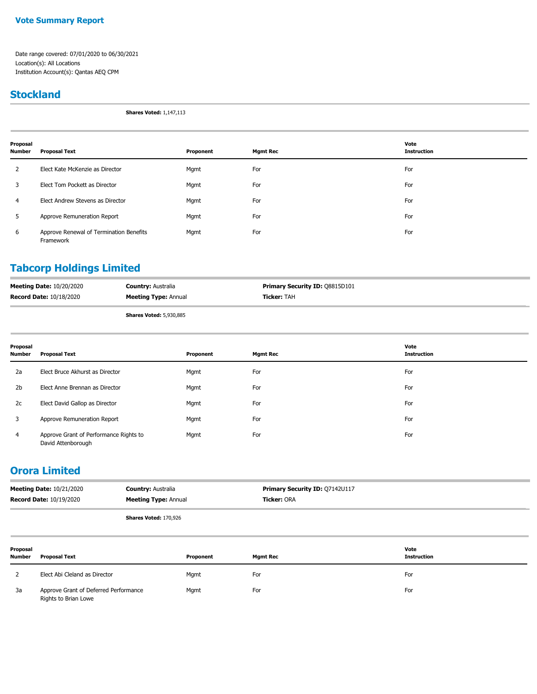#### **Vote Summary Report**

Date range covered: 07/01/2020 to 06/30/2021 Location(s): All Locations Institution Account(s): Qantas AEQ CPM

#### **Stockland**

**Shares Voted:** 1,147,113

| Proposal<br><b>Number</b> | <b>Proposal Text</b>                                 | Proponent | <b>Mgmt Rec</b> | Vote<br><b>Instruction</b> |
|---------------------------|------------------------------------------------------|-----------|-----------------|----------------------------|
| 2                         | Elect Kate McKenzie as Director                      | Mgmt      | For             | For                        |
| 3                         | Elect Tom Pockett as Director                        | Mgmt      | For             | For                        |
| $\overline{4}$            | Elect Andrew Stevens as Director                     | Mgmt      | For             | For                        |
| 5                         | Approve Remuneration Report                          | Mgmt      | For             | For                        |
| 6                         | Approve Renewal of Termination Benefits<br>Framework | Mgmt      | For             | For                        |

## **Tabcorp Holdings Limited**

| <b>Meeting Date: 10/20/2020</b> | <b>Country: Australia</b>      | <b>Primary Security ID: 08815D101</b> |
|---------------------------------|--------------------------------|---------------------------------------|
| <b>Record Date: 10/18/2020</b>  | <b>Meeting Type: Annual</b>    | <b>Ticker: TAH</b>                    |
|                                 | <b>Shares Voted: 5,930,885</b> |                                       |

| Proposal<br><b>Number</b> | <b>Proposal Text</b>                                         | Proponent | <b>Mgmt Rec</b> | Vote<br><b>Instruction</b> |
|---------------------------|--------------------------------------------------------------|-----------|-----------------|----------------------------|
| 2a                        | Elect Bruce Akhurst as Director                              | Mgmt      | For             | For                        |
| 2 <sub>b</sub>            | Elect Anne Brennan as Director                               | Mgmt      | For             | For                        |
| 2c                        | Elect David Gallop as Director                               | Mgmt      | For             | For                        |
| 3                         | Approve Remuneration Report                                  | Mgmt      | For             | For                        |
| 4                         | Approve Grant of Performance Rights to<br>David Attenborough | Mgmt      | For             | For                        |

## **Orora Limited**

| <b>Meeting Date: 10/21/2020</b> | <b>Country: Australia</b>    | <b>Primary Security ID: Q7142U117</b> |
|---------------------------------|------------------------------|---------------------------------------|
| <b>Record Date: 10/19/2020</b>  | <b>Meeting Type: Annual</b>  | <b>Ticker:</b> ORA                    |
|                                 | <b>Shares Voted: 170,926</b> |                                       |

| Proposal<br><b>Number</b> | <b>Proposal Text</b>                                          | Proponent | <b>Mgmt Rec</b> | Vote<br><b>Instruction</b> |
|---------------------------|---------------------------------------------------------------|-----------|-----------------|----------------------------|
|                           | Elect Abi Cleland as Director                                 | Mgmt      | For             | For                        |
| 3a                        | Approve Grant of Deferred Performance<br>Rights to Brian Lowe | Mgmt      | For             | For                        |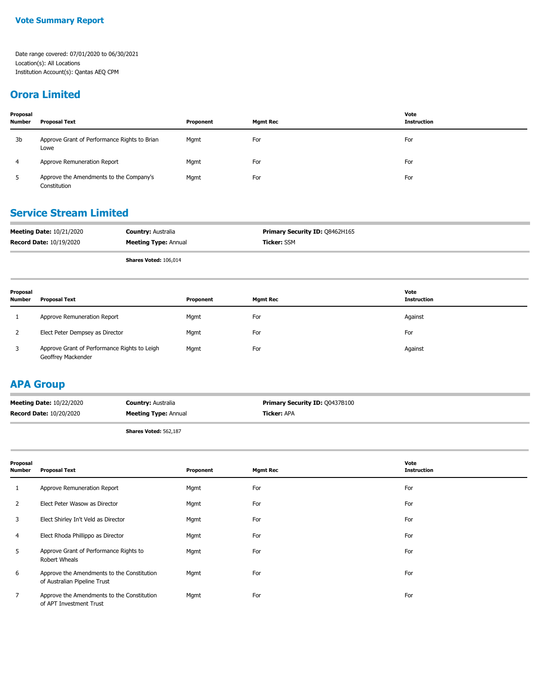## **Orora Limited**

| Proposal<br><b>Number</b> | Proposal Text                                           | Proponent | Mgmt Rec | Vote<br><b>Instruction</b> |
|---------------------------|---------------------------------------------------------|-----------|----------|----------------------------|
| 3b                        | Approve Grant of Performance Rights to Brian<br>Lowe    | Mgmt      | For      | For                        |
| 4                         | Approve Remuneration Report                             | Mgmt      | For      | For                        |
| 5.                        | Approve the Amendments to the Company's<br>Constitution | Mgmt      | For      | For                        |

## **Service Stream Limited**

| <b>Meeting Date: 10/21/2020</b> | <b>Country: Australia</b>   | <b>Primary Security ID: 08462H165</b> |
|---------------------------------|-----------------------------|---------------------------------------|
| <b>Record Date: 10/19/2020</b>  | <b>Meeting Type: Annual</b> | <b>Ticker: SSM</b>                    |

**Shares Voted:** 106,014

| Proposal<br><b>Number</b> | <b>Proposal Text</b>                                               | Proponent | <b>Mgmt Rec</b> | Vote<br>Instruction |
|---------------------------|--------------------------------------------------------------------|-----------|-----------------|---------------------|
|                           | Approve Remuneration Report                                        | Mgmt      | For             | Against             |
| 2                         | Elect Peter Dempsey as Director                                    | Mgmt      | For             | For                 |
| 3                         | Approve Grant of Performance Rights to Leigh<br>Geoffrey Mackender | Mgmt      | For             | Against             |

#### **APA Group**

| <b>Meeting Date: 10/22/2020</b> | <b>Country: Australia</b>    | <b>Primary Security ID: 00437B100</b> |
|---------------------------------|------------------------------|---------------------------------------|
| <b>Record Date: 10/20/2020</b>  | <b>Meeting Type: Annual</b>  | <b>Ticker: APA</b>                    |
|                                 | <b>Shares Voted: 562,187</b> |                                       |

| Proposal<br><b>Number</b> | <b>Proposal Text</b>                                                       | Proponent | <b>Mgmt Rec</b> | Vote<br><b>Instruction</b> |
|---------------------------|----------------------------------------------------------------------------|-----------|-----------------|----------------------------|
|                           | Approve Remuneration Report                                                | Mgmt      | For             | For                        |
| 2                         | Elect Peter Wasow as Director                                              | Mgmt      | For             | For                        |
| 3                         | Elect Shirley In't Veld as Director                                        | Mgmt      | For             | For                        |
| 4                         | Elect Rhoda Phillippo as Director                                          | Mgmt      | For             | For                        |
| 5                         | Approve Grant of Performance Rights to<br>Robert Wheals                    | Mgmt      | For             | For                        |
| 6                         | Approve the Amendments to the Constitution<br>of Australian Pipeline Trust | Mgmt      | For             | For                        |
| 7                         | Approve the Amendments to the Constitution<br>of APT Investment Trust      | Mgmt      | For             | For                        |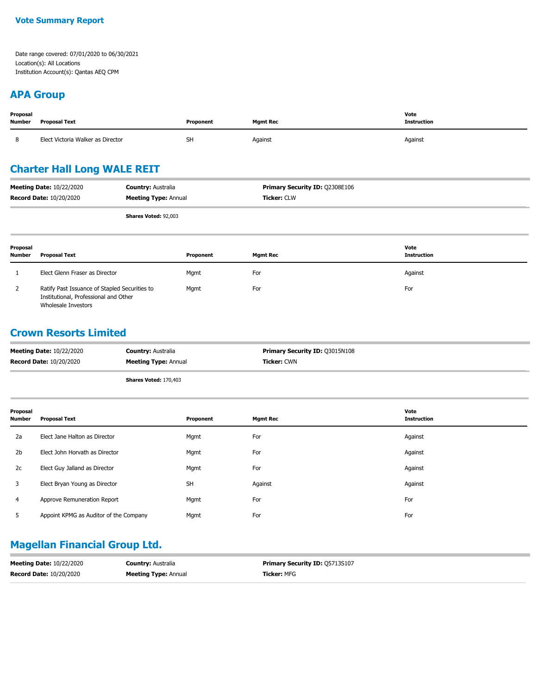#### **Vote Summary Report**

Date range covered: 07/01/2020 to 06/30/2021 Location(s): All Locations Institution Account(s): Qantas AEQ CPM

## **APA Group**

| Proposal<br>Number | <b>Proposal Text</b>              | Proponent | <b>Mgmt Rec</b> | Vote<br><b>Instruction</b> |
|--------------------|-----------------------------------|-----------|-----------------|----------------------------|
| 8                  | Elect Victoria Walker as Director | <b>SH</b> | Against         | Against                    |

## **Charter Hall Long WALE REIT**

| <b>Meeting Date: 10/22/2020</b> | <b>Country: Australia</b>   | <b>Primary Security ID: 02308E106</b> |
|---------------------------------|-----------------------------|---------------------------------------|
| <b>Record Date: 10/20/2020</b>  | <b>Meeting Type: Annual</b> | <b>Ticker:</b> CLW                    |
|                                 | <b>Shares Voted: 92,003</b> |                                       |

| Proposal<br><b>Number</b> | <b>Proposal Text</b>                                                                                          | Proponent | Mgmt Rec | Vote<br>Instruction |
|---------------------------|---------------------------------------------------------------------------------------------------------------|-----------|----------|---------------------|
|                           | Elect Glenn Fraser as Director                                                                                | Mgmt      | For      | Against             |
| 2                         | Ratify Past Issuance of Stapled Securities to<br>Institutional, Professional and Other<br>Wholesale Investors | Mgmt      | For      | For                 |

#### **Crown Resorts Limited**

| <b>Meeting Date: 10/22/2020</b> | <b>Country: Australia</b>    | <b>Primary Security ID: 03015N108</b> |
|---------------------------------|------------------------------|---------------------------------------|
| <b>Record Date: 10/20/2020</b>  | <b>Meeting Type: Annual</b>  | <b>Ticker: CWN</b>                    |
|                                 | <b>Shares Voted: 170,403</b> |                                       |

| Proposal<br><b>Number</b> | <b>Proposal Text</b>                   | Proponent | <b>Mgmt Rec</b> | Vote<br><b>Instruction</b> |
|---------------------------|----------------------------------------|-----------|-----------------|----------------------------|
| 2a                        | Elect Jane Halton as Director          | Mgmt      | For             | Against                    |
| 2 <sub>b</sub>            | Elect John Horvath as Director         | Mgmt      | For             | Against                    |
| 2c                        | Elect Guy Jalland as Director          | Mgmt      | For             | Against                    |
| 3                         | Elect Bryan Young as Director          | <b>SH</b> | Against         | Against                    |
| 4                         | Approve Remuneration Report            | Mgmt      | For             | For                        |
| 5                         | Appoint KPMG as Auditor of the Company | Mgmt      | For             | For                        |

#### **Magellan Financial Group Ltd.**

| <b>Meeting Date: 10/22/2020</b> | <b>Country: Australia</b>   | <b>Primary Security ID: 05713S107</b> |
|---------------------------------|-----------------------------|---------------------------------------|
| <b>Record Date: 10/20/2020</b>  | <b>Meeting Type: Annual</b> | <b>Ticker:</b> MFG                    |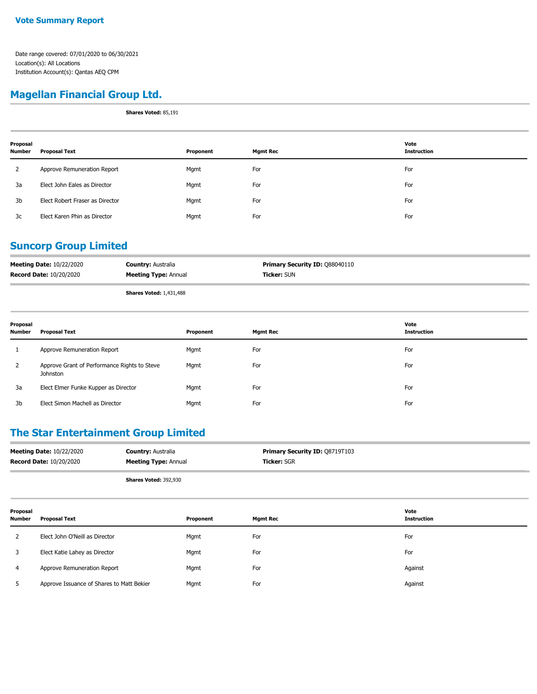## **Magellan Financial Group Ltd.**

**Shares Voted:** 85,191

| Proposal<br><b>Number</b> | <b>Proposal Text</b>            | Proponent | <b>Mgmt Rec</b> | Vote<br><b>Instruction</b> |
|---------------------------|---------------------------------|-----------|-----------------|----------------------------|
| 2                         | Approve Remuneration Report     | Mgmt      | For             | For                        |
| 3a                        | Elect John Eales as Director    | Mgmt      | For             | For                        |
| 3b                        | Elect Robert Fraser as Director | Mgmt      | For             | For                        |
| 3c                        | Elect Karen Phin as Director    | Mgmt      | For             | For                        |

## **Suncorp Group Limited**

| <b>Meeting Date: 10/22/2020</b> | <b>Country: Australia</b>      | <b>Primary Security ID: 088040110</b> |
|---------------------------------|--------------------------------|---------------------------------------|
| <b>Record Date: 10/20/2020</b>  | <b>Meeting Type: Annual</b>    | <b>Ticker:</b> SUN                    |
|                                 | <b>Shares Voted: 1,431,488</b> |                                       |

| Proposal<br><b>Number</b> | <b>Proposal Text</b>                                     | Proponent | <b>Mgmt Rec</b> | Vote<br>Instruction |
|---------------------------|----------------------------------------------------------|-----------|-----------------|---------------------|
|                           | Approve Remuneration Report                              | Mgmt      | For             | For                 |
| $\overline{2}$            | Approve Grant of Performance Rights to Steve<br>Johnston | Mgmt      | For             | For                 |
| 3a                        | Elect Elmer Funke Kupper as Director                     | Mgmt      | For             | For                 |
| 3b                        | Elect Simon Machell as Director                          | Mgmt      | For             | For                 |

## **The Star Entertainment Group Limited**

| <b>Meeting Date: 10/22/2020</b> | <b>Country: Australia</b>   | Primary Security ID: 08719T103 |
|---------------------------------|-----------------------------|--------------------------------|
| <b>Record Date: 10/20/2020</b>  | <b>Meeting Type: Annual</b> | <b>Ticker: SGR</b>             |
|                                 |                             |                                |

**Shares Voted:** 392,930

| Proposal<br>Number | <b>Proposal Text</b>                      | Proponent | <b>Mgmt Rec</b> | Vote<br><b>Instruction</b> |
|--------------------|-------------------------------------------|-----------|-----------------|----------------------------|
|                    | Elect John O'Neill as Director            | Mgmt      | For             | For                        |
|                    | Elect Katie Lahey as Director             | Mgmt      | For             | For                        |
| 4                  | Approve Remuneration Report               | Mgmt      | For             | Against                    |
|                    | Approve Issuance of Shares to Matt Bekier | Mgmt      | For             | Against                    |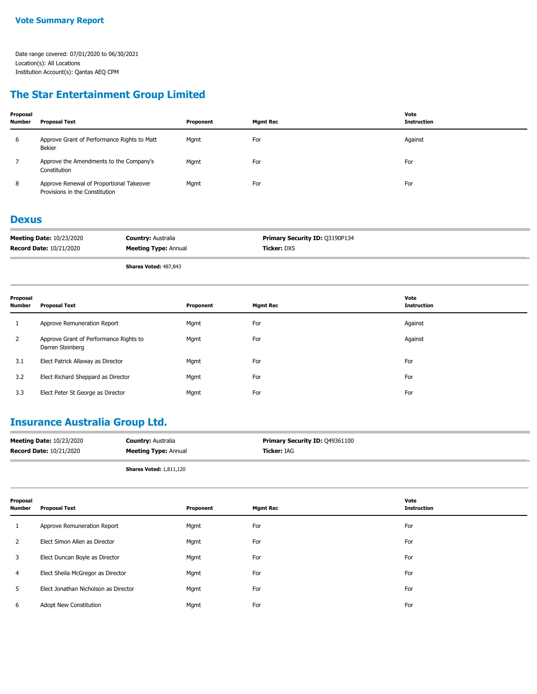## **The Star Entertainment Group Limited**

| Proposal<br><b>Number</b> | Proposal Text                                                              | Proponent | <b>Mgmt Rec</b> | Vote<br><b>Instruction</b> |
|---------------------------|----------------------------------------------------------------------------|-----------|-----------------|----------------------------|
| 6                         | Approve Grant of Performance Rights to Matt<br>Bekier                      | Mgmt      | For             | Against                    |
|                           | Approve the Amendments to the Company's<br>Constitution                    | Mgmt      | For             | For                        |
| 8                         | Approve Renewal of Proportional Takeover<br>Provisions in the Constitution | Mgmt      | For             | For                        |

#### **Dexus**

| <b>Meeting Date: 10/23/2020</b> | <b>Country: Australia</b>   | <b>Primary Security ID: 03190P134</b> |
|---------------------------------|-----------------------------|---------------------------------------|
| <b>Record Date: 10/21/2020</b>  | <b>Meeting Type: Annual</b> | <b>Ticker:</b> DXS                    |

**Shares Voted:** 487,843

| Proposal<br><b>Number</b> | <b>Proposal Text</b>                                       | Proponent | <b>Mgmt Rec</b> | Vote<br><b>Instruction</b> |
|---------------------------|------------------------------------------------------------|-----------|-----------------|----------------------------|
|                           | Approve Remuneration Report                                | Mgmt      | For             | Against                    |
| 2                         | Approve Grant of Performance Rights to<br>Darren Steinberg | Mgmt      | For             | Against                    |
| 3.1                       | Elect Patrick Allaway as Director                          | Mgmt      | For             | For                        |
| 3.2                       | Elect Richard Sheppard as Director                         | Mgmt      | For             | For                        |
| 3.3                       | Elect Peter St George as Director                          | Mgmt      | For             | For                        |

## **Insurance Australia Group Ltd.**

| <b>Meeting Date: 10/23/2020</b> | <b>Country: Australia</b>   | <b>Primary Security ID: 049361100</b> |
|---------------------------------|-----------------------------|---------------------------------------|
| <b>Record Date: 10/21/2020</b>  | <b>Meeting Type: Annual</b> | <b>Ticker: IAG</b>                    |
|                                 |                             |                                       |

**Shares Voted:** 1,811,120

| Proposal<br><b>Number</b> | <b>Proposal Text</b>                 | Proponent | <b>Mgmt Rec</b> | Vote<br><b>Instruction</b> |
|---------------------------|--------------------------------------|-----------|-----------------|----------------------------|
|                           | Approve Remuneration Report          | Mgmt      | For             | For                        |
| $\overline{2}$            | Elect Simon Allen as Director        | Mgmt      | For             | For                        |
| 3                         | Elect Duncan Boyle as Director       | Mgmt      | For             | For                        |
| 4                         | Elect Sheila McGregor as Director    | Mgmt      | For             | For                        |
| 5.                        | Elect Jonathan Nicholson as Director | Mgmt      | For             | For                        |
| 6                         | Adopt New Constitution               | Mgmt      | For             | For                        |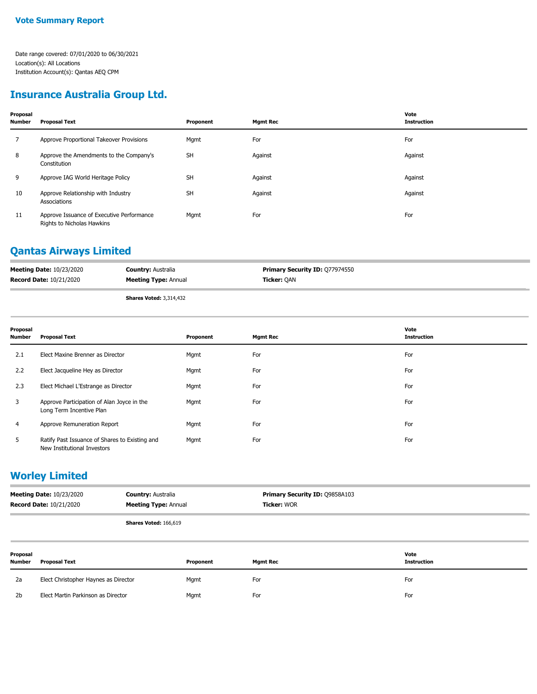## **Insurance Australia Group Ltd.**

| Proposal<br><b>Number</b> | <b>Proposal Text</b>                                                    | Proponent | <b>Mgmt Rec</b> | Vote<br><b>Instruction</b> |
|---------------------------|-------------------------------------------------------------------------|-----------|-----------------|----------------------------|
| 7                         | Approve Proportional Takeover Provisions                                | Mgmt      | For             | For                        |
| 8                         | Approve the Amendments to the Company's<br>Constitution                 | <b>SH</b> | Against         | Against                    |
| 9                         | Approve IAG World Heritage Policy                                       | <b>SH</b> | Against         | Against                    |
| 10                        | Approve Relationship with Industry<br>Associations                      | <b>SH</b> | Against         | Against                    |
| 11                        | Approve Issuance of Executive Performance<br>Rights to Nicholas Hawkins | Mgmt      | For             | For                        |

## **Qantas Airways Limited**

| <b>Meeting Date: 10/23/2020</b> | <b>Country: Australia</b>   | <b>Primary Security ID: 077974550</b> |
|---------------------------------|-----------------------------|---------------------------------------|
| <b>Record Date: 10/21/2020</b>  | <b>Meeting Type: Annual</b> | <b>Ticker: OAN</b>                    |
|                                 | Charge Veted: 2.214.422     |                                       |

**Shares Voted:** 3,314,432

| Proposal<br>Number | <b>Proposal Text</b>                                                          | Proponent | <b>Mgmt Rec</b> | Vote<br><b>Instruction</b> |
|--------------------|-------------------------------------------------------------------------------|-----------|-----------------|----------------------------|
| 2.1                | Elect Maxine Brenner as Director                                              | Mgmt      | For             | For                        |
| 2.2                | Elect Jacqueline Hey as Director                                              | Mgmt      | For             | For                        |
| 2.3                | Elect Michael L'Estrange as Director                                          | Mgmt      | For             | For                        |
| 3                  | Approve Participation of Alan Joyce in the<br>Long Term Incentive Plan        | Mgmt      | For             | For                        |
| 4                  | Approve Remuneration Report                                                   | Mgmt      | For             | For                        |
| 5                  | Ratify Past Issuance of Shares to Existing and<br>New Institutional Investors | Mgmt      | For             | For                        |

#### **Worley Limited**

| <b>Meeting Date: 10/23/2020</b> | <b>Country: Australia</b>   | <b>Primary Security ID: 09858A103</b> |
|---------------------------------|-----------------------------|---------------------------------------|
| <b>Record Date: 10/21/2020</b>  | <b>Meeting Type: Annual</b> | <b>Ticker:</b> WOR                    |
|                                 |                             |                                       |

**Shares Voted:** 166,619

| Proposal<br>Number | <b>Proposal Text</b>                 | Proponent | Mgmt Rec | Vote<br><b>Instruction</b> |
|--------------------|--------------------------------------|-----------|----------|----------------------------|
| 2a                 | Elect Christopher Haynes as Director | Mgmt      | For      | For                        |
| 2 <sub>b</sub>     | Elect Martin Parkinson as Director   | Mgmt      | For      | For                        |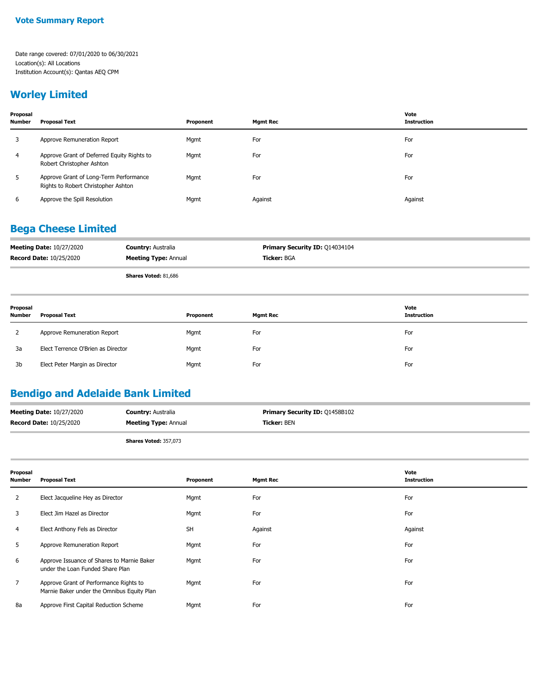## **Worley Limited**

| Proposal<br><b>Number</b> | <b>Proposal Text</b>                                                          | Proponent | Mamt Rec | Vote<br><b>Instruction</b> |
|---------------------------|-------------------------------------------------------------------------------|-----------|----------|----------------------------|
| 3                         | Approve Remuneration Report                                                   | Mgmt      | For      | For                        |
| 4                         | Approve Grant of Deferred Equity Rights to<br>Robert Christopher Ashton       | Mgmt      | For      | For                        |
| 5                         | Approve Grant of Long-Term Performance<br>Rights to Robert Christopher Ashton | Mgmt      | For      | For                        |
| 6                         | Approve the Spill Resolution                                                  | Mgmt      | Against  | Against                    |

## **Bega Cheese Limited**

| <b>Meeting Date: 10/27/2020</b> | <b>Country: Australia</b>   | Primary Security ID: 014034104 |
|---------------------------------|-----------------------------|--------------------------------|
| <b>Record Date: 10/25/2020</b>  | <b>Meeting Type: Annual</b> | <b>Ticker:</b> BGA             |
|                                 |                             |                                |

**Shares Voted:** 81,686

| Proposal<br><b>Number</b> | <b>Proposal Text</b>               | Proponent | <b>Mgmt Rec</b> | Vote<br><b>Instruction</b> |
|---------------------------|------------------------------------|-----------|-----------------|----------------------------|
|                           | Approve Remuneration Report        | Mgmt      | For             | For                        |
| 3a                        | Elect Terrence O'Brien as Director | Mgmt      | For             | For                        |
| 3b                        | Elect Peter Margin as Director     | Mgmt      | For             | For                        |

## **Bendigo and Adelaide Bank Limited**

| <b>Meeting Date: 10/27/2020</b> | <b>Country: Australia</b>   | <b>Primary Security ID: 01458B102</b> |
|---------------------------------|-----------------------------|---------------------------------------|
| <b>Record Date: 10/25/2020</b>  | <b>Meeting Type: Annual</b> | <b>Ticker:</b> BEN                    |
|                                 | $-1$                        |                                       |

**Shares Voted:** 357,073

| Proposal<br><b>Number</b> | <b>Proposal Text</b>                                                                 | Proponent | <b>Mgmt Rec</b> | Vote<br><b>Instruction</b> |
|---------------------------|--------------------------------------------------------------------------------------|-----------|-----------------|----------------------------|
| 2                         | Elect Jacqueline Hey as Director                                                     | Mgmt      | For             | For                        |
| 3                         | Elect Jim Hazel as Director                                                          | Mgmt      | For             | For                        |
| 4                         | Elect Anthony Fels as Director                                                       | <b>SH</b> | Against         | Against                    |
| 5                         | Approve Remuneration Report                                                          | Mgmt      | For             | For                        |
| 6                         | Approve Issuance of Shares to Marnie Baker<br>under the Loan Funded Share Plan       | Mgmt      | For             | For                        |
|                           | Approve Grant of Performance Rights to<br>Marnie Baker under the Omnibus Equity Plan | Mgmt      | For             | For                        |
| 8a                        | Approve First Capital Reduction Scheme                                               | Mgmt      | For             | For                        |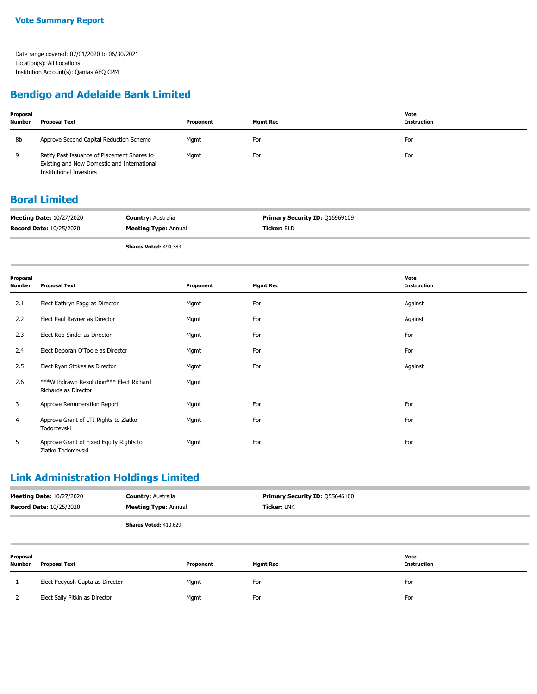## **Bendigo and Adelaide Bank Limited**

| Proposal<br><b>Number</b> | <b>Proposal Text</b>                                                                                                         | Proponent | Mamt Rec | Vote<br><b>Instruction</b> |
|---------------------------|------------------------------------------------------------------------------------------------------------------------------|-----------|----------|----------------------------|
| 8b                        | Approve Second Capital Reduction Scheme                                                                                      | Mgmt      | For      | For                        |
| 9                         | Ratify Past Issuance of Placement Shares to<br>Existing and New Domestic and International<br><b>Institutional Investors</b> | Mgmt      | For      | For                        |

## **Boral Limited**

| <b>Meeting Date: 10/27/2020</b> | <b>Country: Australia</b>   | <b>Primary Security ID: 016969109</b> |
|---------------------------------|-----------------------------|---------------------------------------|
| <b>Record Date: 10/25/2020</b>  | <b>Meeting Type: Annual</b> | <b>Ticker:</b> BLD                    |

**Shares Voted:** 494,383

| Proposal<br><b>Number</b> | <b>Proposal Text</b>                                             | Proponent | <b>Mgmt Rec</b> | Vote<br><b>Instruction</b> |
|---------------------------|------------------------------------------------------------------|-----------|-----------------|----------------------------|
| 2.1                       | Elect Kathryn Fagg as Director                                   | Mgmt      | For             | Against                    |
| 2.2                       | Elect Paul Rayner as Director                                    | Mgmt      | For             | Against                    |
| 2.3                       | Elect Rob Sindel as Director                                     | Mgmt      | For             | For                        |
| 2.4                       | Elect Deborah O'Toole as Director                                | Mgmt      | For             | For                        |
| 2.5                       | Elect Ryan Stokes as Director                                    | Mgmt      | For             | Against                    |
| 2.6                       | ***Withdrawn Resolution*** Elect Richard<br>Richards as Director | Mgmt      |                 |                            |
| 3                         | Approve Remuneration Report                                      | Mgmt      | For             | For                        |
| 4                         | Approve Grant of LTI Rights to Zlatko<br>Todorcevski             | Mgmt      | For             | For                        |
| 5                         | Approve Grant of Fixed Equity Rights to<br>Zlatko Todorcevski    | Mgmt      | For             | For                        |

## **Link Administration Holdings Limited**

|                    | <b>Meeting Date: 10/27/2020</b><br><b>Record Date: 10/25/2020</b> | <b>Country: Australia</b><br><b>Meeting Type: Annual</b> | <b>Primary Security ID: Q5S646100</b><br><b>Ticker: LNK</b> |                            |
|--------------------|-------------------------------------------------------------------|----------------------------------------------------------|-------------------------------------------------------------|----------------------------|
|                    |                                                                   | Shares Voted: 410,629                                    |                                                             |                            |
| Proposal<br>Number | Proposal Text                                                     | Proponent                                                | Mgmt Rec                                                    | Vote<br><b>Instruction</b> |

| Elect Peeyush Gupta as Director | Mgmt | For | For |
|---------------------------------|------|-----|-----|
| Elect Sally Pitkin as Director  | Mgmt | For | For |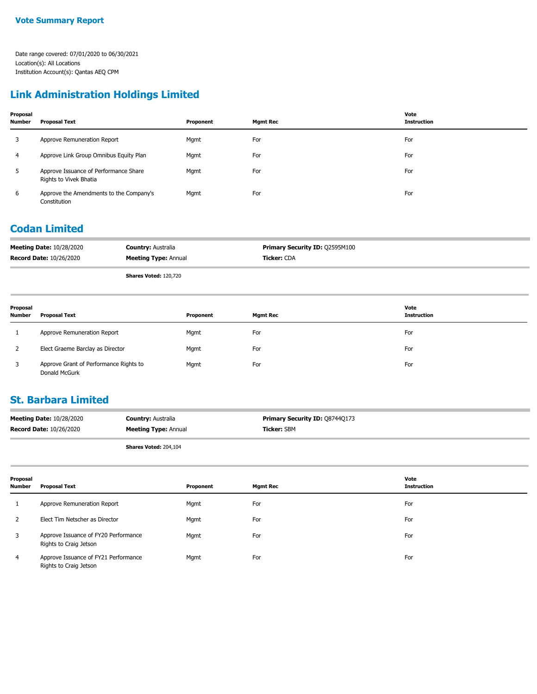## **Link Administration Holdings Limited**

| Proposal<br>Number | Proposal Text                                                   | Proponent | <b>Mgmt Rec</b> | Vote<br><b>Instruction</b> |
|--------------------|-----------------------------------------------------------------|-----------|-----------------|----------------------------|
| 3                  | Approve Remuneration Report                                     | Mgmt      | For             | For                        |
| 4                  | Approve Link Group Omnibus Equity Plan                          | Mgmt      | For             | For                        |
| 5                  | Approve Issuance of Performance Share<br>Rights to Vivek Bhatia | Mgmt      | For             | For                        |
| 6                  | Approve the Amendments to the Company's<br>Constitution         | Mgmt      | For             | For                        |

### **Codan Limited**

| <b>Meeting Date: 10/28/2020</b> | <b>Country: Australia</b>   | <b>Primary Security ID: Q2595M100</b> |
|---------------------------------|-----------------------------|---------------------------------------|
| <b>Record Date: 10/26/2020</b>  | <b>Meeting Type: Annual</b> | <b>Ticker: CDA</b>                    |
|                                 |                             |                                       |

**Shares Voted:** 120,720

| Proposal<br><b>Number</b> | <b>Proposal Text</b>                                    | Proponent | <b>Mgmt Rec</b> | Vote<br><b>Instruction</b> |
|---------------------------|---------------------------------------------------------|-----------|-----------------|----------------------------|
|                           | Approve Remuneration Report                             | Mgmt      | For             | For                        |
| 2                         | Elect Graeme Barclay as Director                        | Mgmt      | For             | For                        |
| 3                         | Approve Grant of Performance Rights to<br>Donald McGurk | Mgmt      | For             | For                        |

### **St. Barbara Limited**

| <b>Meeting Date: 10/28/2020</b> | <b>Country: Australia</b>   | <b>Primary Security ID: 087440173</b> |
|---------------------------------|-----------------------------|---------------------------------------|
| <b>Record Date: 10/26/2020</b>  | <b>Meeting Type: Annual</b> | <b>Ticker: SBM</b>                    |
|                                 |                             |                                       |

**Shares Voted:** 204,104

| Proposal<br>Number | <b>Proposal Text</b>                                           | Proponent | <b>Mgmt Rec</b> | Vote<br><b>Instruction</b> |
|--------------------|----------------------------------------------------------------|-----------|-----------------|----------------------------|
|                    | Approve Remuneration Report                                    | Mgmt      | For             | For                        |
|                    | Elect Tim Netscher as Director                                 | Mgmt      | For             | For                        |
| 3                  | Approve Issuance of FY20 Performance<br>Rights to Craig Jetson | Mgmt      | For             | For                        |
| 4                  | Approve Issuance of FY21 Performance<br>Rights to Craig Jetson | Mgmt      | For             | For                        |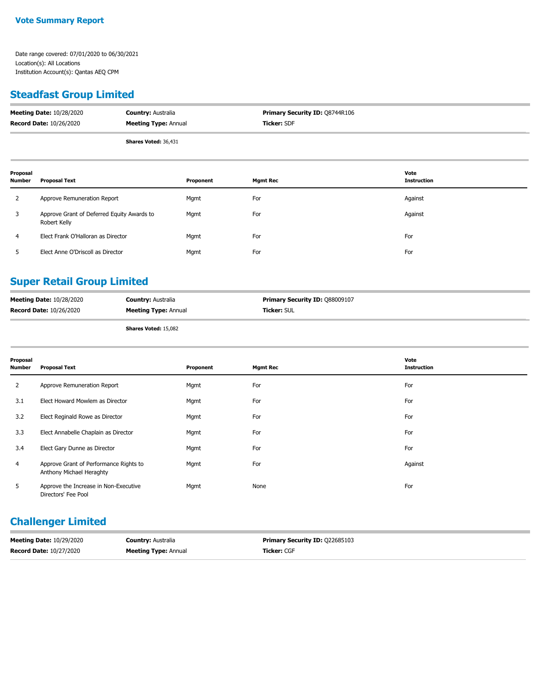## **Steadfast Group Limited**

| <b>Meeting Date: 10/28/2020</b> | <b>Country: Australia</b>   | <b>Primary Security ID: Q8744R106</b> |
|---------------------------------|-----------------------------|---------------------------------------|
| <b>Record Date: 10/26/2020</b>  | <b>Meeting Type: Annual</b> | <b>Ticker: SDF</b>                    |
|                                 | <b>Shares Voted: 36,431</b> |                                       |

| Proposal<br><b>Number</b> | Proposal Text                                              | Proponent | <b>Mgmt Rec</b> | Vote<br><b>Instruction</b> |
|---------------------------|------------------------------------------------------------|-----------|-----------------|----------------------------|
| 2                         | Approve Remuneration Report                                | Mgmt      | For             | Against                    |
| 3                         | Approve Grant of Deferred Equity Awards to<br>Robert Kelly | Mgmt      | For             | Against                    |
| $\overline{4}$            | Elect Frank O'Halloran as Director                         | Mgmt      | For             | For                        |
|                           | Elect Anne O'Driscoll as Director                          | Mgmt      | For             | For                        |

## **Super Retail Group Limited**

| <b>Meeting Date: 10/28/2020</b> | <b>Country: Australia</b>   | <b>Primary Security ID: 088009107</b> |
|---------------------------------|-----------------------------|---------------------------------------|
| <b>Record Date: 10/26/2020</b>  | <b>Meeting Type: Annual</b> | <b>Ticker: SUL</b>                    |
|                                 | $-1$ $-1$ $-2$ $-2$         |                                       |

**Shares Voted:** 15,082

| Proposal<br><b>Number</b> | <b>Proposal Text</b>                                               | Proponent | <b>Mgmt Rec</b> | Vote<br><b>Instruction</b> |
|---------------------------|--------------------------------------------------------------------|-----------|-----------------|----------------------------|
| 2                         | Approve Remuneration Report                                        | Mgmt      | For             | For                        |
| 3.1                       | Elect Howard Mowlem as Director                                    | Mgmt      | For             | For                        |
| 3.2                       | Elect Reginald Rowe as Director                                    | Mgmt      | For             | For                        |
| 3.3                       | Elect Annabelle Chaplain as Director                               | Mgmt      | For             | For                        |
| 3.4                       | Elect Gary Dunne as Director                                       | Mgmt      | For             | For                        |
| 4                         | Approve Grant of Performance Rights to<br>Anthony Michael Heraghty | Mgmt      | For             | Against                    |
| 5                         | Approve the Increase in Non-Executive<br>Directors' Fee Pool       | Mgmt      | None            | For                        |

## **Challenger Limited**

| <b>Meeting Date: 10/29/2020</b> | <b>Country:</b> Australia   | <b>Primary Security ID: 022685103</b> |
|---------------------------------|-----------------------------|---------------------------------------|
| <b>Record Date: 10/27/2020</b>  | <b>Meeting Type: Annual</b> | <b>Ticker:</b> CGF                    |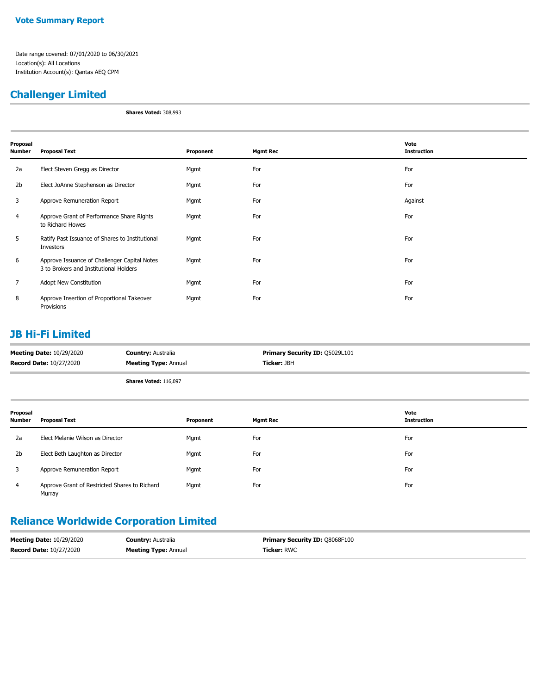## **Challenger Limited**

**Shares Voted:** 308,993

| Proposal<br>Number | <b>Proposal Text</b>                                                                   | Proponent | <b>Mgmt Rec</b> | Vote<br><b>Instruction</b> |
|--------------------|----------------------------------------------------------------------------------------|-----------|-----------------|----------------------------|
| 2a                 | Elect Steven Gregg as Director                                                         | Mgmt      | For             | For                        |
| 2b                 | Elect JoAnne Stephenson as Director                                                    | Mgmt      | For             | For                        |
| 3                  | Approve Remuneration Report                                                            | Mgmt      | For             | Against                    |
| 4                  | Approve Grant of Performance Share Rights<br>to Richard Howes                          | Mgmt      | For             | For                        |
| 5                  | Ratify Past Issuance of Shares to Institutional<br>Investors                           | Mgmt      | For             | For                        |
| 6                  | Approve Issuance of Challenger Capital Notes<br>3 to Brokers and Institutional Holders | Mgmt      | For             | For                        |
| 7                  | Adopt New Constitution                                                                 | Mgmt      | For             | For                        |
| 8                  | Approve Insertion of Proportional Takeover<br>Provisions                               | Mgmt      | For             | For                        |

## **JB Hi-Fi Limited**

| <b>Meeting Date: 10/29/2020</b> | <b>Country: Australia</b>    | <b>Primary Security ID: Q5029L101</b> |
|---------------------------------|------------------------------|---------------------------------------|
| <b>Record Date: 10/27/2020</b>  | <b>Meeting Type: Annual</b>  | <b>Ticker:</b> JBH                    |
|                                 | <b>Shares Voted: 116,097</b> |                                       |

| Proposal<br><b>Number</b> | <b>Proposal Text</b>                                    | Proponent | <b>Mgmt Rec</b> | Vote<br><b>Instruction</b> |
|---------------------------|---------------------------------------------------------|-----------|-----------------|----------------------------|
| 2a                        | Elect Melanie Wilson as Director                        | Mgmt      | For             | For                        |
| 2 <sub>b</sub>            | Elect Beth Laughton as Director                         | Mgmt      | For             | For                        |
| 3                         | Approve Remuneration Report                             | Mgmt      | For             | For                        |
| $\overline{4}$            | Approve Grant of Restricted Shares to Richard<br>Murray | Mgmt      | For             | For                        |

## **Reliance Worldwide Corporation Limited**

| <b>Meeting Date: 10/29/2020</b> | <b>Country: Australia</b>   | <b>Primary Security ID: 08068F100</b> |
|---------------------------------|-----------------------------|---------------------------------------|
| <b>Record Date: 10/27/2020</b>  | <b>Meeting Type: Annual</b> | <b>Ticker: RWC</b>                    |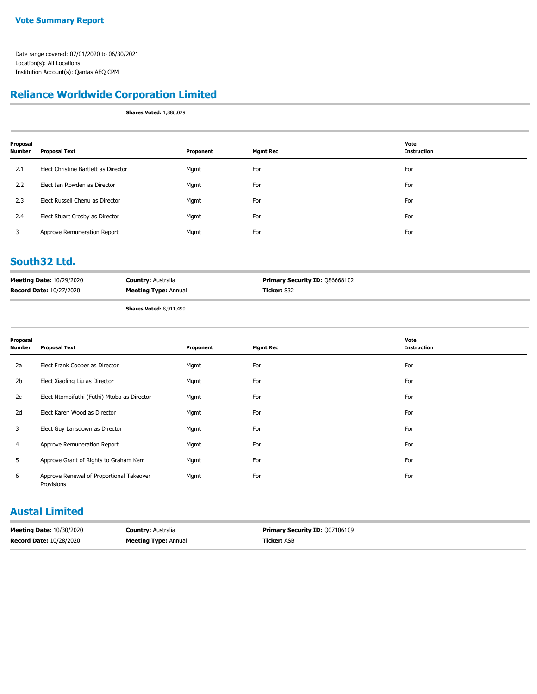## **Reliance Worldwide Corporation Limited**

**Shares Voted:** 1,886,029

| Proposal<br><b>Number</b> | <b>Proposal Text</b>                 | Proponent | <b>Mgmt Rec</b> | Vote<br><b>Instruction</b> |
|---------------------------|--------------------------------------|-----------|-----------------|----------------------------|
| 2.1                       | Elect Christine Bartlett as Director | Mgmt      | For             | For                        |
| 2.2                       | Elect Ian Rowden as Director         | Mgmt      | For             | For                        |
| 2.3                       | Elect Russell Chenu as Director      | Mgmt      | For             | For                        |
| 2.4                       | Elect Stuart Crosby as Director      | Mgmt      | For             | For                        |
| 3                         | Approve Remuneration Report          | Mgmt      | For             | For                        |

## **South32 Ltd.**

| <b>Meeting Date: 10/29/2020</b> | <b>Country: Australia</b>         | <b>Primary Security ID: Q86668102</b> |
|---------------------------------|-----------------------------------|---------------------------------------|
| <b>Record Date: 10/27/2020</b>  | <b>Meeting Type: Annual</b>       | <b>Ticker:</b> S32                    |
|                                 | $AL = 11 - 11 - 11 - 0.011 - 100$ |                                       |

**Shares Voted:** 8,911,490

| Proposal<br><b>Number</b> | <b>Proposal Text</b>                                   | Proponent | <b>Mgmt Rec</b> | Vote<br><b>Instruction</b> |
|---------------------------|--------------------------------------------------------|-----------|-----------------|----------------------------|
| 2a                        | Elect Frank Cooper as Director                         | Mgmt      | For             | For                        |
| 2b                        | Elect Xiaoling Liu as Director                         | Mgmt      | For             | For                        |
| 2c                        | Elect Ntombifuthi (Futhi) Mtoba as Director            | Mgmt      | For             | For                        |
| 2d                        | Elect Karen Wood as Director                           | Mgmt      | For             | For                        |
| 3                         | Elect Guy Lansdown as Director                         | Mgmt      | For             | For                        |
| 4                         | Approve Remuneration Report                            | Mgmt      | For             | For                        |
| 5                         | Approve Grant of Rights to Graham Kerr                 | Mgmt      | For             | For                        |
| 6                         | Approve Renewal of Proportional Takeover<br>Provisions | Mgmt      | For             | For                        |

## **Austal Limited**

| <b>Meeting Date: 10/30/2020</b> | <b>Country: Australia</b>   | <b>Primary Security ID: 007106109</b> |
|---------------------------------|-----------------------------|---------------------------------------|
| <b>Record Date: 10/28/2020</b>  | <b>Meeting Type: Annual</b> | <b>Ticker:</b> ASB                    |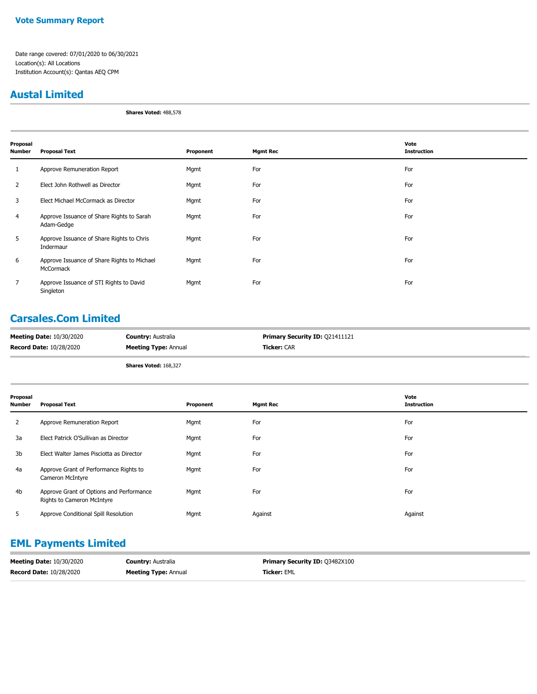#### **Vote Summary Report**

Date range covered: 07/01/2020 to 06/30/2021 Location(s): All Locations Institution Account(s): Qantas AEQ CPM

#### **Austal Limited**

**Shares Voted:** 488,578

| Proposal<br>Number | <b>Proposal Text</b>                                     | Proponent | <b>Mgmt Rec</b> | Vote<br><b>Instruction</b> |
|--------------------|----------------------------------------------------------|-----------|-----------------|----------------------------|
| 1                  | Approve Remuneration Report                              | Mgmt      | For             | For                        |
| 2                  | Elect John Rothwell as Director                          | Mgmt      | For             | For                        |
| 3                  | Elect Michael McCormack as Director                      | Mgmt      | For             | For                        |
| 4                  | Approve Issuance of Share Rights to Sarah<br>Adam-Gedge  | Mgmt      | For             | For                        |
| 5                  | Approve Issuance of Share Rights to Chris<br>Indermaur   | Mgmt      | For             | For                        |
| 6                  | Approve Issuance of Share Rights to Michael<br>McCormack | Mgmt      | For             | For                        |
| 7                  | Approve Issuance of STI Rights to David<br>Singleton     | Mgmt      | For             | For                        |

## **Carsales.Com Limited**

| <b>Ticker:</b> CAR<br><b>Meeting Type: Annual</b> | <b>Meeting Date: 10/30/2020</b> | <b>Country: Australia</b> | <b>Primary Security ID: 021411121</b> |  |
|---------------------------------------------------|---------------------------------|---------------------------|---------------------------------------|--|
|                                                   | <b>Record Date: 10/28/2020</b>  |                           |                                       |  |

**Shares Voted:** 168,327

| Proposal<br>Number | <b>Proposal Text</b>                                                   | Proponent | <b>Mgmt Rec</b> | Vote<br>Instruction |
|--------------------|------------------------------------------------------------------------|-----------|-----------------|---------------------|
| 2                  | Approve Remuneration Report                                            | Mgmt      | For             | For                 |
| 3a                 | Elect Patrick O'Sullivan as Director                                   | Mgmt      | For             | For                 |
| 3b                 | Elect Walter James Pisciotta as Director                               | Mgmt      | For             | For                 |
| 4a                 | Approve Grant of Performance Rights to<br>Cameron McIntyre             | Mgmt      | For             | For                 |
| 4b                 | Approve Grant of Options and Performance<br>Rights to Cameron McIntyre | Mgmt      | For             | For                 |
| 5                  | Approve Conditional Spill Resolution                                   | Mgmt      | Against         | Against             |

## **EML Payments Limited**

| <b>Meeting Date: 10/30/2020</b> | <b>Country: Australia</b>   | <b>Primary Security ID: 03482X100</b> |
|---------------------------------|-----------------------------|---------------------------------------|
| <b>Record Date: 10/28/2020</b>  | <b>Meeting Type: Annual</b> | <b>Ticker: EML</b>                    |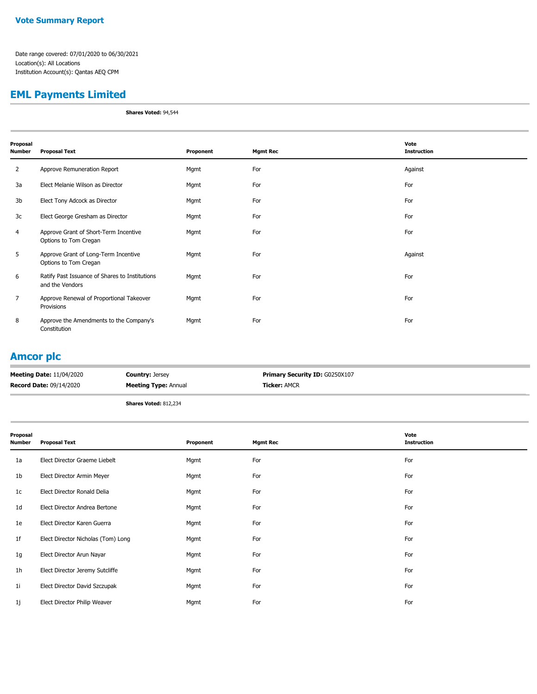## **EML Payments Limited**

**Shares Voted:** 94,544

| Proposal<br>Number | <b>Proposal Text</b>                                              | Proponent | <b>Mgmt Rec</b> | Vote<br><b>Instruction</b> |
|--------------------|-------------------------------------------------------------------|-----------|-----------------|----------------------------|
| 2                  | Approve Remuneration Report                                       | Mgmt      | For             | Against                    |
| 3a                 | Elect Melanie Wilson as Director                                  | Mgmt      | For             | For                        |
| 3b                 | Elect Tony Adcock as Director                                     | Mgmt      | For             | For                        |
| 3c                 | Elect George Gresham as Director                                  | Mgmt      | For             | For                        |
| 4                  | Approve Grant of Short-Term Incentive<br>Options to Tom Cregan    | Mgmt      | For             | For                        |
| 5                  | Approve Grant of Long-Term Incentive<br>Options to Tom Cregan     | Mgmt      | For             | Against                    |
| 6                  | Ratify Past Issuance of Shares to Institutions<br>and the Vendors | Mgmt      | For             | For                        |
| 7                  | Approve Renewal of Proportional Takeover<br>Provisions            | Mgmt      | For             | For                        |
| 8                  | Approve the Amendments to the Company's<br>Constitution           | Mgmt      | For             | For                        |

## **Amcor plc**

| <b>Meeting Date: 11/04/2020</b> | <b>Country: Jersey</b>       | <b>Primary Security ID: G0250X107</b> |
|---------------------------------|------------------------------|---------------------------------------|
| <b>Record Date: 09/14/2020</b>  | <b>Meeting Type: Annual</b>  | <b>Ticker:</b> AMCR                   |
|                                 | <b>Shares Voted: 812,234</b> |                                       |

| Proposal<br>Number | <b>Proposal Text</b>               | Proponent | <b>Mgmt Rec</b> | Vote<br><b>Instruction</b> |
|--------------------|------------------------------------|-----------|-----------------|----------------------------|
| 1a                 | Elect Director Graeme Liebelt      | Mgmt      | For             | For                        |
| 1 <sub>b</sub>     | Elect Director Armin Meyer         | Mgmt      | For             | For                        |
| 1c                 | Elect Director Ronald Delia        | Mgmt      | For             | For                        |
| 1 <sub>d</sub>     | Elect Director Andrea Bertone      | Mgmt      | For             | For                        |
| 1e                 | Elect Director Karen Guerra        | Mgmt      | For             | For                        |
| 1 <sup>f</sup>     | Elect Director Nicholas (Tom) Long | Mgmt      | For             | For                        |
| 1g                 | Elect Director Arun Nayar          | Mgmt      | For             | For                        |
| 1 <sub>h</sub>     | Elect Director Jeremy Sutcliffe    | Mgmt      | For             | For                        |
| 11                 | Elect Director David Szczupak      | Mgmt      | For             | For                        |
| 1j                 | Elect Director Philip Weaver       | Mgmt      | For             | For                        |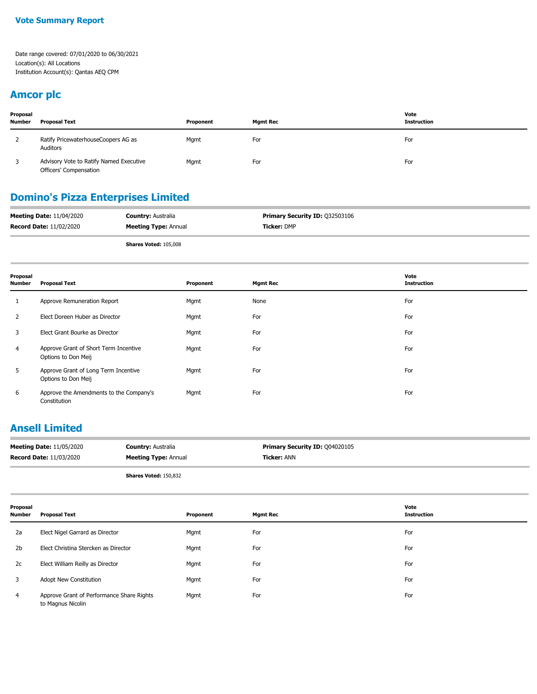#### **Amcor plc**

| Proposal<br><b>Number</b> | <b>Proposal Text</b>                                              | Proponent | <b>Mgmt Rec</b> | Vote<br><b>Instruction</b> |
|---------------------------|-------------------------------------------------------------------|-----------|-----------------|----------------------------|
| 2                         | Ratify PricewaterhouseCoopers AG as<br>Auditors                   | Mgmt      | For             | For                        |
|                           | Advisory Vote to Ratify Named Executive<br>Officers' Compensation | Mgmt      | For             | For                        |

### **Domino's Pizza Enterprises Limited**

| <b>Meeting Date: 11/04/2020</b> | <b>Country: Australia</b>   | <b>Primary Security ID: 032503106</b> |
|---------------------------------|-----------------------------|---------------------------------------|
| <b>Record Date: 11/02/2020</b>  | <b>Meeting Type: Annual</b> | <b>Ticker: DMP</b>                    |
|                                 |                             |                                       |

**Shares Voted:** 105,008

| Proposal<br>Number | <b>Proposal Text</b>                                         | Proponent | <b>Mgmt Rec</b> | Vote<br><b>Instruction</b> |
|--------------------|--------------------------------------------------------------|-----------|-----------------|----------------------------|
|                    | Approve Remuneration Report                                  | Mgmt      | None            | For                        |
| 2                  | Elect Doreen Huber as Director                               | Mgmt      | For             | For                        |
| 3                  | Elect Grant Bourke as Director                               | Mgmt      | For             | For                        |
| 4                  | Approve Grant of Short Term Incentive<br>Options to Don Meij | Mgmt      | For             | For                        |
| 5                  | Approve Grant of Long Term Incentive<br>Options to Don Meij  | Mgmt      | For             | For                        |
| 6                  | Approve the Amendments to the Company's<br>Constitution      | Mgmt      | For             | For                        |

## **Ansell Limited**

| <b>Meeting Date: 11/05/2020</b> | <b>Country: Australia</b>   | Primary Security ID: 004020105 |
|---------------------------------|-----------------------------|--------------------------------|
| <b>Record Date: 11/03/2020</b>  | <b>Meeting Type: Annual</b> | Ticker: ANN                    |
|                                 |                             |                                |

**Shares Voted:** 150,832

**Proposal Number Proposal Text Proponent Mgmt Rec Vote Instruction** 2a Elect Nigel Garrard as Director **For For For For For For For For For For** For For For For For For For For For 2b Elect Christina Stercken as Director Mgmt For For 2c Elect William Reilly as Director Mgmt For For 3 Adopt New Constitution Mgmt For For Approve Grant of Performance Share Rights Mgmt For For to Magnus Nicolin 4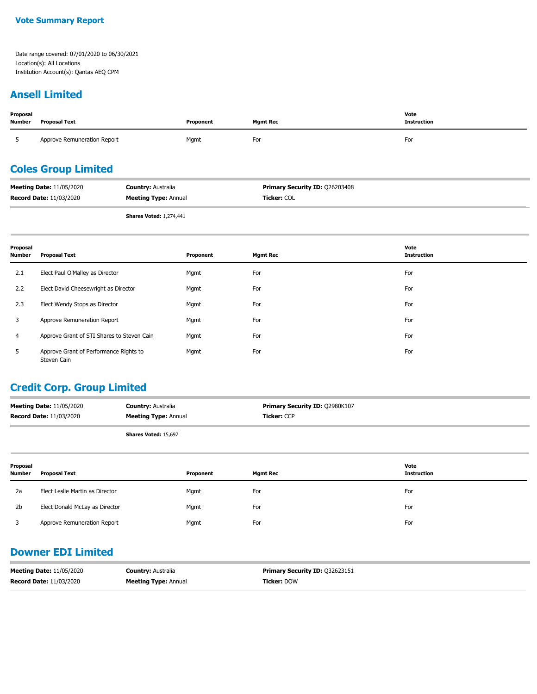#### **Vote Summary Report**

Date range covered: 07/01/2020 to 06/30/2021 Location(s): All Locations Institution Account(s): Qantas AEQ CPM

#### **Ansell Limited**

| Proposal<br>Number         | <b>Proposal Text</b>                                              |                                                          | Proponent   | <b>Mgmt Rec</b>                               | Vote<br><b>Instruction</b> |
|----------------------------|-------------------------------------------------------------------|----------------------------------------------------------|-------------|-----------------------------------------------|----------------------------|
|                            | Approve Remuneration Report                                       |                                                          | For<br>Mgmt |                                               | For                        |
| <b>Coles Group Limited</b> |                                                                   |                                                          |             |                                               |                            |
|                            | <b>Meeting Date: 11/05/2020</b><br><b>Record Date: 11/03/2020</b> | <b>Country: Australia</b><br><b>Meeting Type: Annual</b> |             | Primary Security ID: 026203408<br>Ticker: COL |                            |

**Shares Voted:** 1,274,441

| Proposal<br>Number | <b>Proposal Text</b>                                  | Proponent | <b>Mgmt Rec</b> | Vote<br><b>Instruction</b> |
|--------------------|-------------------------------------------------------|-----------|-----------------|----------------------------|
| 2.1                | Elect Paul O'Malley as Director                       | Mgmt      | For             | For                        |
| 2.2                | Elect David Cheesewright as Director                  | Mgmt      | For             | For                        |
| 2.3                | Elect Wendy Stops as Director                         | Mgmt      | For             | For                        |
| 3                  | Approve Remuneration Report                           | Mgmt      | For             | For                        |
| 4                  | Approve Grant of STI Shares to Steven Cain            | Mgmt      | For             | For                        |
| 5                  | Approve Grant of Performance Rights to<br>Steven Cain | Mgmt      | For             | For                        |

## **Credit Corp. Group Limited**

| <b>Meeting Date: 11/05/2020</b> | <b>Country: Australia</b>   | <b>Primary Security ID: Q2980K107</b> |
|---------------------------------|-----------------------------|---------------------------------------|
| <b>Record Date: 11/03/2020</b>  | <b>Meeting Type: Annual</b> | <b>Ticker: CCP</b>                    |
|                                 |                             |                                       |

**Shares Voted:** 15,697

| Proposal<br><b>Number</b> | <b>Proposal Text</b>            | Proponent | <b>Mgmt Rec</b> | Vote<br>Instruction |
|---------------------------|---------------------------------|-----------|-----------------|---------------------|
| 2a                        | Elect Leslie Martin as Director | Mgmt      | For             | For                 |
| 2 <sub>b</sub>            | Elect Donald McLay as Director  | Mgmt      | For             | For                 |
|                           | Approve Remuneration Report     | Mgmt      | For             | For                 |

## **Downer EDI Limited**

| <b>Meeting Date: 11/05/2020</b> | <b>Country: Australia</b>   | <b>Primary Security ID: 032623151</b> |
|---------------------------------|-----------------------------|---------------------------------------|
| <b>Record Date: 11/03/2020</b>  | <b>Meeting Type: Annual</b> | <b>Ticker: DOW</b>                    |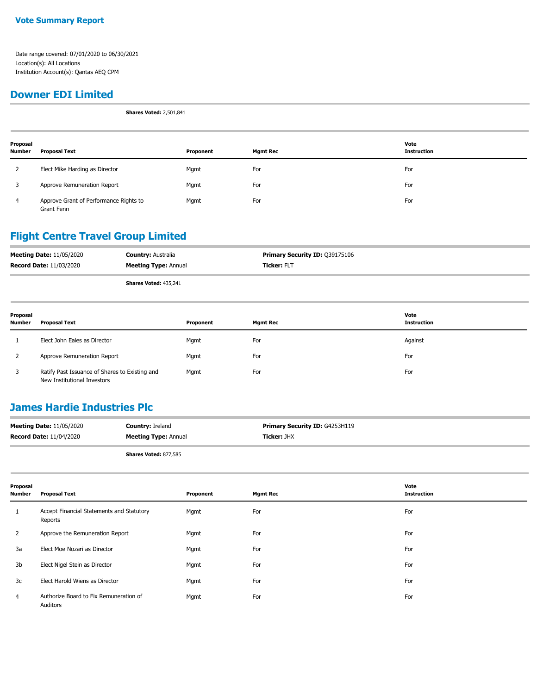#### **Downer EDI Limited**

**Shares Voted:** 2,501,841

| Proposal<br><b>Number</b> | <b>Proposal Text</b>                                 | Proponent | <b>Mgmt Rec</b> | Vote<br><b>Instruction</b> |
|---------------------------|------------------------------------------------------|-----------|-----------------|----------------------------|
|                           | Elect Mike Harding as Director                       | Mgmt      | For             | For                        |
| 3                         | Approve Remuneration Report                          | Mgmt      | For             | For                        |
| 4                         | Approve Grant of Performance Rights to<br>Grant Fenn | Mgmt      | For             | For                        |

## **Flight Centre Travel Group Limited**

| <b>Meeting Date: 11/05/2020</b> | <b>Country: Australia</b>    | <b>Primary Security ID: 039175106</b> |
|---------------------------------|------------------------------|---------------------------------------|
| <b>Record Date: 11/03/2020</b>  | <b>Meeting Type: Annual</b>  | <b>Ticker: FLT</b>                    |
|                                 | <b>Shares Voted: 435,241</b> |                                       |

| Proposal<br><b>Number</b> | Proposal Text                                                                 | Proponent | <b>Mgmt Rec</b> | Vote<br><b>Instruction</b> |
|---------------------------|-------------------------------------------------------------------------------|-----------|-----------------|----------------------------|
|                           | Elect John Eales as Director                                                  | Mgmt      | For             | Against                    |
|                           | Approve Remuneration Report                                                   | Mgmt      | For             | For                        |
| 3                         | Ratify Past Issuance of Shares to Existing and<br>New Institutional Investors | Mgmt      | For             | For                        |

## **James Hardie Industries Plc**

| <b>Meeting Date: 11/05/2020</b> | <b>Country: Ireland</b>      | <b>Primary Security ID: G4253H119</b> |
|---------------------------------|------------------------------|---------------------------------------|
| <b>Record Date: 11/04/2020</b>  | <b>Meeting Type: Annual</b>  | <b>Ticker:</b> JHX                    |
|                                 | <b>Shares Voted: 877,585</b> |                                       |

| Proposal<br><b>Number</b> | <b>Proposal Text</b>                                 | Proponent | <b>Mgmt Rec</b> | Vote<br><b>Instruction</b> |
|---------------------------|------------------------------------------------------|-----------|-----------------|----------------------------|
| 1                         | Accept Financial Statements and Statutory<br>Reports | Mgmt      | For             | For                        |
| 2                         | Approve the Remuneration Report                      | Mgmt      | For             | For                        |
| 3a                        | Elect Moe Nozari as Director                         | Mgmt      | For             | For                        |
| 3b                        | Elect Nigel Stein as Director                        | Mgmt      | For             | For                        |
| 3c                        | Elect Harold Wiens as Director                       | Mgmt      | For             | For                        |
| 4                         | Authorize Board to Fix Remuneration of<br>Auditors   | Mgmt      | For             | For                        |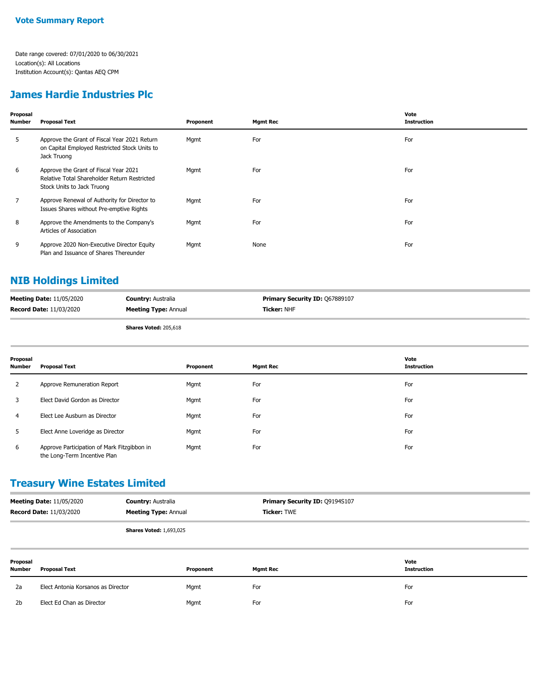## **James Hardie Industries Plc**

| Proposal<br><b>Number</b> | <b>Proposal Text</b>                                                                                                | Proponent | <b>Mgmt Rec</b> | Vote<br><b>Instruction</b> |
|---------------------------|---------------------------------------------------------------------------------------------------------------------|-----------|-----------------|----------------------------|
| 5                         | Approve the Grant of Fiscal Year 2021 Return<br>on Capital Employed Restricted Stock Units to<br>Jack Truong        | Mgmt      | For             | For                        |
| 6                         | Approve the Grant of Fiscal Year 2021<br>Relative Total Shareholder Return Restricted<br>Stock Units to Jack Truong | Mgmt      | For             | For                        |
| 7                         | Approve Renewal of Authority for Director to<br>Issues Shares without Pre-emptive Rights                            | Mgmt      | For             | For                        |
| 8                         | Approve the Amendments to the Company's<br>Articles of Association                                                  | Mgmt      | For             | For                        |
| 9                         | Approve 2020 Non-Executive Director Equity<br>Plan and Issuance of Shares Thereunder                                | Mgmt      | None            | For                        |

## **NIB Holdings Limited**

| <b>Meeting Date: 11/05/2020</b> | <b>Country: Australia</b>   | Primary Security ID: Q67889107 |
|---------------------------------|-----------------------------|--------------------------------|
| <b>Record Date: 11/03/2020</b>  | <b>Meeting Type: Annual</b> | <b>Ticker:</b> NHF             |
|                                 |                             |                                |

**Shares Voted:** 205,618

| Proposal<br><b>Number</b> | Proposal Text                                                               | Proponent | <b>Mgmt Rec</b> | Vote<br><b>Instruction</b> |
|---------------------------|-----------------------------------------------------------------------------|-----------|-----------------|----------------------------|
| 2                         | Approve Remuneration Report                                                 | Mgmt      | For             | For                        |
| 3                         | Elect David Gordon as Director                                              | Mgmt      | For             | For                        |
| 4                         | Elect Lee Ausburn as Director                                               | Mgmt      | For             | For                        |
| 5.                        | Elect Anne Loveridge as Director                                            | Mgmt      | For             | For                        |
| 6                         | Approve Participation of Mark Fitzgibbon in<br>the Long-Term Incentive Plan | Mgmt      | For             | For                        |

### **Treasury Wine Estates Limited**

| <b>Meeting Date: 11/05/2020</b> | <b>Country: Australia</b>      | <b>Primary Security ID: 09194S107</b> |
|---------------------------------|--------------------------------|---------------------------------------|
| <b>Record Date: 11/03/2020</b>  | <b>Meeting Type: Annual</b>    | <b>Ticker:</b> TWE                    |
|                                 | <b>Shares Voted: 1,693,025</b> |                                       |

| Proposal<br><b>Number</b> | <b>Proposal Text</b>               | Proponent | <b>Mgmt Rec</b> | Vote<br><b>Instruction</b> |
|---------------------------|------------------------------------|-----------|-----------------|----------------------------|
| 2a                        | Elect Antonia Korsanos as Director | Mgmt      | For             | For                        |
| 2 <sub>b</sub>            | Elect Ed Chan as Director          | Mgmt      | For             | For                        |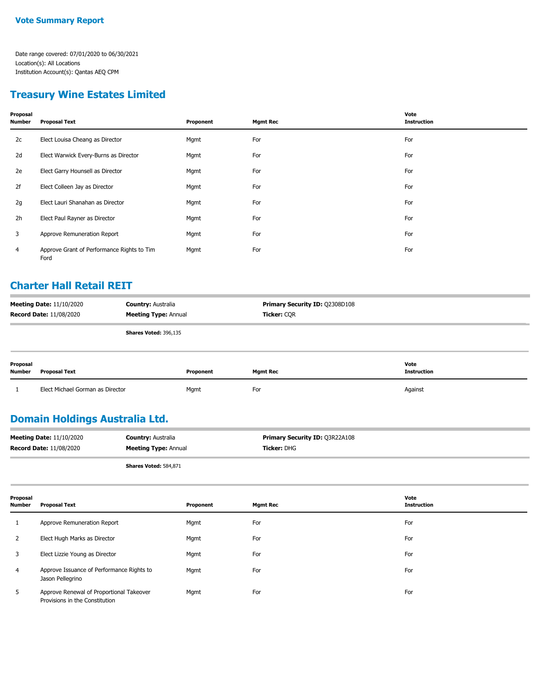## **Treasury Wine Estates Limited**

| Proposal<br>Number | <b>Proposal Text</b>                               | Proponent | <b>Mgmt Rec</b> | Vote<br><b>Instruction</b> |
|--------------------|----------------------------------------------------|-----------|-----------------|----------------------------|
| 2c                 | Elect Louisa Cheang as Director                    | Mgmt      | For             | For                        |
| 2d                 | Elect Warwick Every-Burns as Director              | Mgmt      | For             | For                        |
| 2e                 | Elect Garry Hounsell as Director                   | Mgmt      | For             | For                        |
| 2f                 | Elect Colleen Jay as Director                      | Mgmt      | For             | For                        |
| 2g                 | Elect Lauri Shanahan as Director                   | Mgmt      | For             | For                        |
| 2h                 | Elect Paul Rayner as Director                      | Mgmt      | For             | For                        |
| 3                  | Approve Remuneration Report                        | Mgmt      | For             | For                        |
| 4                  | Approve Grant of Performance Rights to Tim<br>Ford | Mgmt      | For             | For                        |

### **Charter Hall Retail REIT**

| <b>Meeting Date: 11/10/2020</b><br><b>Record Date: 11/08/2020</b> | <b>Country: Australia</b><br><b>Meeting Type: Annual</b> | <b>Primary Security ID: Q2308D108</b><br>Ticker: COR |      |
|-------------------------------------------------------------------|----------------------------------------------------------|------------------------------------------------------|------|
|                                                                   | Shares Voted: 396,135                                    |                                                      |      |
| Proposal                                                          |                                                          |                                                      | Vote |

| .<br><b>Number</b> | Proposal Text                    | Proponent | Mamt Rec | .<br><b>Instruction</b> |
|--------------------|----------------------------------|-----------|----------|-------------------------|
|                    | Elect Michael Gorman as Director | Mgmt      | For      | Against                 |

## **Domain Holdings Australia Ltd.**

| <b>Record Date: 11/08/2020</b><br><b>Meeting Type: Annual</b> | <b>Ticker:</b> DHG |
|---------------------------------------------------------------|--------------------|

**Shares Voted:** 584,871

| Proposal<br><b>Number</b> | <b>Proposal Text</b>                                                       | Proponent | <b>Mgmt Rec</b> | Vote<br><b>Instruction</b> |
|---------------------------|----------------------------------------------------------------------------|-----------|-----------------|----------------------------|
|                           | Approve Remuneration Report                                                | Mgmt      | For             | For                        |
|                           | Elect Hugh Marks as Director                                               | Mgmt      | For             | For                        |
|                           | Elect Lizzie Young as Director                                             | Mgmt      | For             | For                        |
| 4                         | Approve Issuance of Performance Rights to<br>Jason Pellegrino              | Mgmt      | For             | For                        |
| 5                         | Approve Renewal of Proportional Takeover<br>Provisions in the Constitution | Mgmt      | For             | For                        |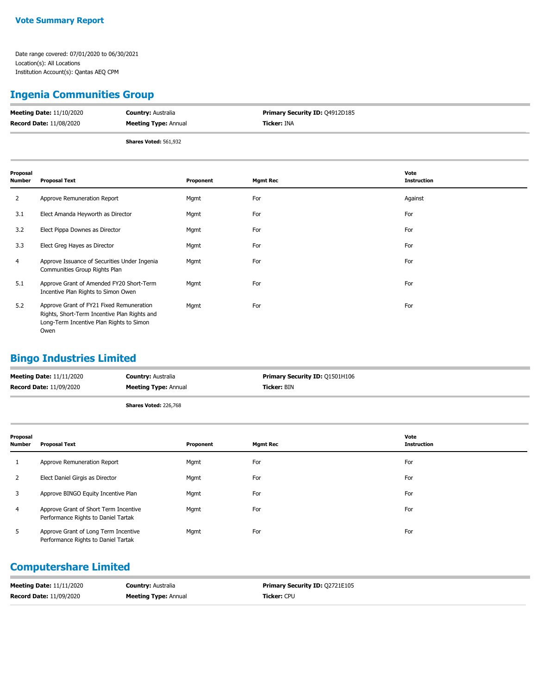## **Ingenia Communities Group**

| <b>Meeting Date: 11/10/2020</b> | <b>Country: Australia</b>   | <b>Primary Security ID: 04912D185</b> |
|---------------------------------|-----------------------------|---------------------------------------|
| <b>Record Date: 11/08/2020</b>  | <b>Meeting Type: Annual</b> | Ticker: INA                           |
|                                 | Shares Voted: 561,932       |                                       |

| Proposal<br><b>Number</b> | <b>Proposal Text</b>                                                                                                                         | Proponent | <b>Mgmt Rec</b> | Vote<br><b>Instruction</b> |
|---------------------------|----------------------------------------------------------------------------------------------------------------------------------------------|-----------|-----------------|----------------------------|
| 2                         | Approve Remuneration Report                                                                                                                  | Mgmt      | For             | Against                    |
| 3.1                       | Elect Amanda Heyworth as Director                                                                                                            | Mgmt      | For             | For                        |
| 3.2                       | Elect Pippa Downes as Director                                                                                                               | Mgmt      | For             | For                        |
| 3.3                       | Elect Greg Hayes as Director                                                                                                                 | Mgmt      | For             | For                        |
| 4                         | Approve Issuance of Securities Under Ingenia<br>Communities Group Rights Plan                                                                | Mgmt      | For             | For                        |
| 5.1                       | Approve Grant of Amended FY20 Short-Term<br>Incentive Plan Rights to Simon Owen                                                              | Mgmt      | For             | For                        |
| 5.2                       | Approve Grant of FY21 Fixed Remuneration<br>Rights, Short-Term Incentive Plan Rights and<br>Long-Term Incentive Plan Rights to Simon<br>Owen | Mgmt      | For             | For                        |

## **Bingo Industries Limited**

| <b>Meeting Date: 11/11/2020</b> | <b>Country: Australia</b>   | <b>Primary Security ID: Q1501H106</b> |
|---------------------------------|-----------------------------|---------------------------------------|
| <b>Record Date: 11/09/2020</b>  | <b>Meeting Type: Annual</b> | <b>Ticker:</b> BIN                    |
|                                 | Shares Voted: 226,768       |                                       |

| Proposal<br><b>Number</b> | <b>Proposal Text</b>                                                         | Proponent | <b>Mgmt Rec</b> | Vote<br><b>Instruction</b> |
|---------------------------|------------------------------------------------------------------------------|-----------|-----------------|----------------------------|
|                           | Approve Remuneration Report                                                  | Mgmt      | For             | For                        |
| 2                         | Elect Daniel Girgis as Director                                              | Mgmt      | For             | For                        |
| 3                         | Approve BINGO Equity Incentive Plan                                          | Mgmt      | For             | For                        |
| $\overline{4}$            | Approve Grant of Short Term Incentive<br>Performance Rights to Daniel Tartak | Mgmt      | For             | For                        |
| 5                         | Approve Grant of Long Term Incentive<br>Performance Rights to Daniel Tartak  | Mgmt      | For             | For                        |

## **Computershare Limited**

| <b>Meeting Date: 11/11/2020</b> | <b>Country: Australia</b>   | <b>Primary Security ID: 02721E105</b> |
|---------------------------------|-----------------------------|---------------------------------------|
| <b>Record Date: 11/09/2020</b>  | <b>Meeting Type: Annual</b> | <b>Ticker:</b> CPU                    |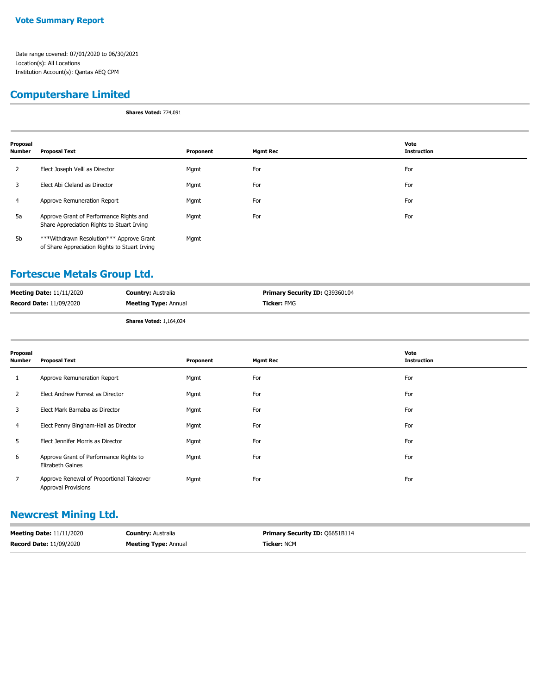## **Computershare Limited**

**Shares Voted:** 774,091

| Proposal<br><b>Number</b> | <b>Proposal Text</b>                                                                      | Proponent | <b>Mgmt Rec</b> | Vote<br><b>Instruction</b> |
|---------------------------|-------------------------------------------------------------------------------------------|-----------|-----------------|----------------------------|
| 2                         | Elect Joseph Velli as Director                                                            | Mgmt      | For             | For                        |
| 3                         | Elect Abi Cleland as Director                                                             | Mgmt      | For             | For                        |
| 4                         | Approve Remuneration Report                                                               | Mgmt      | For             | For                        |
| 5a                        | Approve Grant of Performance Rights and<br>Share Appreciation Rights to Stuart Irving     | Mgmt      | For             | For                        |
| 5b                        | ***Withdrawn Resolution*** Approve Grant<br>of Share Appreciation Rights to Stuart Irving | Mgmt      |                 |                            |

### **Fortescue Metals Group Ltd.**

| <b>Meeting Date: 11/11/2020</b> | <b>Country: Australia</b>   | <b>Primary Security ID: 039360104</b> |
|---------------------------------|-----------------------------|---------------------------------------|
| <b>Record Date: 11/09/2020</b>  | <b>Meeting Type: Annual</b> | <b>Ticker:</b> FMG                    |
|                                 |                             |                                       |

**Shares Voted:** 1,164,024

| Proposal<br><b>Number</b> | <b>Proposal Text</b>                                                   | Proponent | <b>Mgmt Rec</b> | Vote<br><b>Instruction</b> |
|---------------------------|------------------------------------------------------------------------|-----------|-----------------|----------------------------|
|                           | Approve Remuneration Report                                            | Mgmt      | For             | For                        |
| 2                         | Elect Andrew Forrest as Director                                       | Mgmt      | For             | For                        |
| 3                         | Elect Mark Barnaba as Director                                         | Mgmt      | For             | For                        |
| 4                         | Elect Penny Bingham-Hall as Director                                   | Mgmt      | For             | For                        |
| 5                         | Elect Jennifer Morris as Director                                      | Mgmt      | For             | For                        |
| 6                         | Approve Grant of Performance Rights to<br>Elizabeth Gaines             | Mgmt      | For             | For                        |
|                           | Approve Renewal of Proportional Takeover<br><b>Approval Provisions</b> | Mgmt      | For             | For                        |

## **Newcrest Mining Ltd.**

| <b>Meeting Date: 11/11/2020</b> | <b>Country:</b> Australia   | <b>Primary Security ID: 06651B114</b> |
|---------------------------------|-----------------------------|---------------------------------------|
| <b>Record Date: 11/09/2020</b>  | <b>Meeting Type: Annual</b> | <b>Ticker: NCM</b>                    |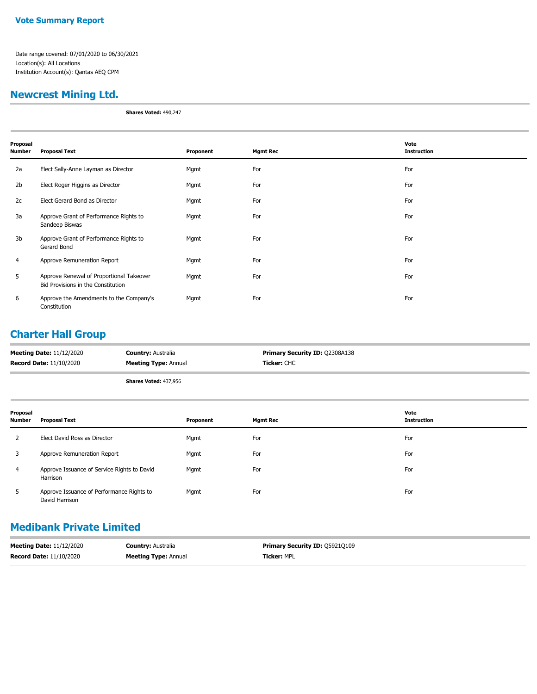#### **Vote Summary Report**

Date range covered: 07/01/2020 to 06/30/2021 Location(s): All Locations Institution Account(s): Qantas AEQ CPM

## **Newcrest Mining Ltd.**

**Shares Voted:** 490,247

| Proposal<br>Number | <b>Proposal Text</b>                                                           | Proponent | <b>Mgmt Rec</b> | Vote<br><b>Instruction</b> |
|--------------------|--------------------------------------------------------------------------------|-----------|-----------------|----------------------------|
| 2a                 | Elect Sally-Anne Layman as Director                                            | Mgmt      | For             | For                        |
| 2 <sub>b</sub>     | Elect Roger Higgins as Director                                                | Mgmt      | For             | For                        |
| 2c                 | Elect Gerard Bond as Director                                                  | Mgmt      | For             | For                        |
| 3a                 | Approve Grant of Performance Rights to<br>Sandeep Biswas                       | Mgmt      | For             | For                        |
| 3b                 | Approve Grant of Performance Rights to<br>Gerard Bond                          | Mgmt      | For             | For                        |
| 4                  | Approve Remuneration Report                                                    | Mgmt      | For             | For                        |
| 5                  | Approve Renewal of Proportional Takeover<br>Bid Provisions in the Constitution | Mgmt      | For             | For                        |
| 6                  | Approve the Amendments to the Company's<br>Constitution                        | Mgmt      | For             | For                        |

## **Charter Hall Group**

| <b>Meeting Date: 11/12/2020</b> | <b>Country: Australia</b>    | <b>Primary Security ID: Q2308A138</b> |
|---------------------------------|------------------------------|---------------------------------------|
| <b>Record Date: 11/10/2020</b>  | <b>Meeting Type: Annual</b>  | Ticker: CHC                           |
|                                 | <b>Shares Voted: 437,956</b> |                                       |

| Proposal<br><b>Number</b> | <b>Proposal Text</b>                                        | Proponent | <b>Mgmt Rec</b> | Vote<br><b>Instruction</b> |
|---------------------------|-------------------------------------------------------------|-----------|-----------------|----------------------------|
| 2                         | Elect David Ross as Director                                | Mgmt      | For             | For                        |
| 3                         | Approve Remuneration Report                                 | Mgmt      | For             | For                        |
| $\overline{4}$            | Approve Issuance of Service Rights to David<br>Harrison     | Mgmt      | For             | For                        |
| 5                         | Approve Issuance of Performance Rights to<br>David Harrison | Mgmt      | For             | For                        |

## **Medibank Private Limited**

| <b>Meeting Date: 11/12/2020</b> | <b>Country: Australia</b>   | <b>Primary Security ID: 059210109</b> |
|---------------------------------|-----------------------------|---------------------------------------|
| <b>Record Date: 11/10/2020</b>  | <b>Meeting Type: Annual</b> | <b>Ticker: MPL</b>                    |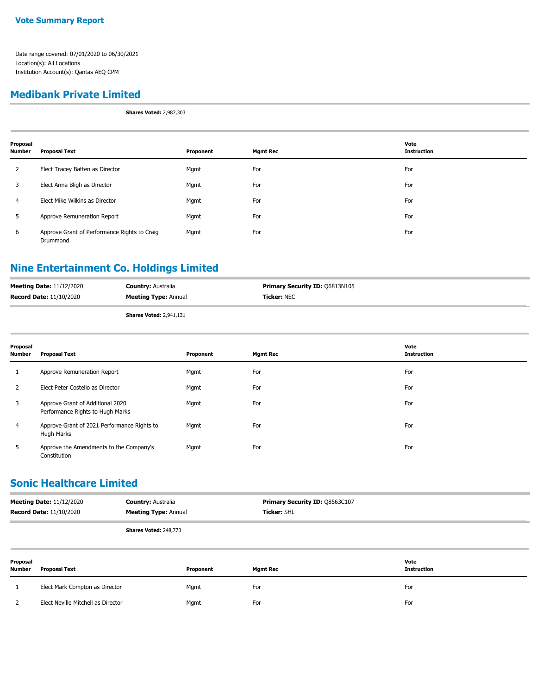#### **Medibank Private Limited**

**Shares Voted:** 2,987,303

| Proposal<br><b>Number</b> | <b>Proposal Text</b>                                     | Proponent | <b>Mgmt Rec</b> | Vote<br><b>Instruction</b> |
|---------------------------|----------------------------------------------------------|-----------|-----------------|----------------------------|
| 2                         | Elect Tracey Batten as Director                          | Mgmt      | For             | For                        |
| 3                         | Elect Anna Bligh as Director                             | Mgmt      | For             | For                        |
| $\overline{4}$            | Elect Mike Wilkins as Director                           | Mgmt      | For             | For                        |
| 5                         | Approve Remuneration Report                              | Mgmt      | For             | For                        |
| 6                         | Approve Grant of Performance Rights to Craig<br>Drummond | Mgmt      | For             | For                        |

## **Nine Entertainment Co. Holdings Limited**

| <b>Meeting Date: 11/12/2020</b> | <b>Country: Australia</b>      | <b>Primary Security ID: 06813N105</b> |
|---------------------------------|--------------------------------|---------------------------------------|
| <b>Record Date: 11/10/2020</b>  | <b>Meeting Type: Annual</b>    | <b>Ticker: NEC</b>                    |
|                                 | <b>Shares Voted: 2,941,131</b> |                                       |

| Proposal<br><b>Number</b> | <b>Proposal Text</b>                                                 | Proponent | <b>Mgmt Rec</b> | Vote<br><b>Instruction</b> |
|---------------------------|----------------------------------------------------------------------|-----------|-----------------|----------------------------|
| 1                         | Approve Remuneration Report                                          | Mgmt      | For             | For                        |
| 2                         | Elect Peter Costello as Director                                     | Mgmt      | For             | For                        |
| 3                         | Approve Grant of Additional 2020<br>Performance Rights to Hugh Marks | Mgmt      | For             | For                        |
| $\overline{4}$            | Approve Grant of 2021 Performance Rights to<br>Hugh Marks            | Mgmt      | For             | For                        |
| 5                         | Approve the Amendments to the Company's<br>Constitution              | Mgmt      | For             | For                        |

### **Sonic Healthcare Limited**

| <b>Meeting Date: 11/12/2020</b> | <b>Country: Australia</b>    | <b>Primary Security ID: 08563C107</b> |
|---------------------------------|------------------------------|---------------------------------------|
| <b>Record Date: 11/10/2020</b>  | <b>Meeting Type: Annual</b>  | <b>Ticker: SHL</b>                    |
|                                 | <b>Shares Voted: 248,773</b> |                                       |

**Proposal Number Proposal Text Proponent Mgmt Rec Vote Instruction** 1 Elect Mark Compton as Director Mgmt For For 2 Elect Neville Mitchell as Director Mgmt For For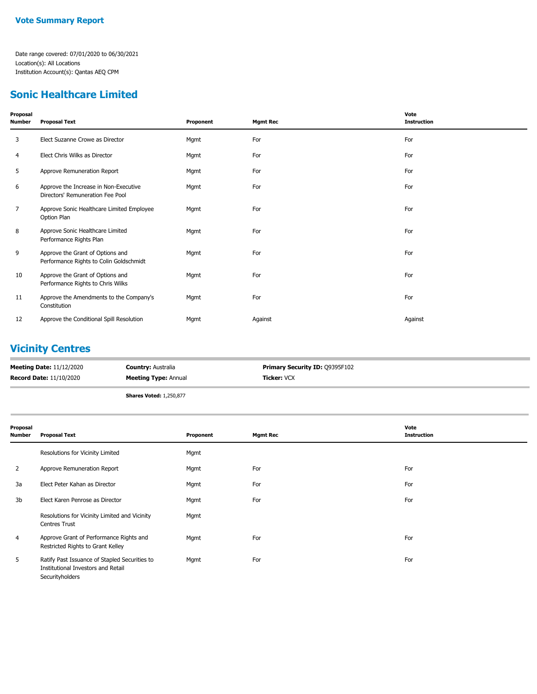#### **Sonic Healthcare Limited**

| Proposal<br><b>Number</b> | <b>Proposal Text</b>                                                        | Proponent | <b>Mgmt Rec</b> | Vote<br><b>Instruction</b> |
|---------------------------|-----------------------------------------------------------------------------|-----------|-----------------|----------------------------|
| 3                         | Elect Suzanne Crowe as Director                                             | Mgmt      | For             | For                        |
| 4                         | Elect Chris Wilks as Director                                               | Mgmt      | For             | For                        |
| 5                         | Approve Remuneration Report                                                 | Mgmt      | For             | For                        |
| 6                         | Approve the Increase in Non-Executive<br>Directors' Remuneration Fee Pool   | Mgmt      | For             | For                        |
| $\overline{7}$            | Approve Sonic Healthcare Limited Employee<br>Option Plan                    | Mgmt      | For             | For                        |
| 8                         | Approve Sonic Healthcare Limited<br>Performance Rights Plan                 | Mgmt      | For             | For                        |
| 9                         | Approve the Grant of Options and<br>Performance Rights to Colin Goldschmidt | Mgmt      | For             | For                        |
| 10                        | Approve the Grant of Options and<br>Performance Rights to Chris Wilks       | Mgmt      | For             | For                        |
| 11                        | Approve the Amendments to the Company's<br>Constitution                     | Mgmt      | For             | For                        |
| 12                        | Approve the Conditional Spill Resolution                                    | Mgmt      | Against         | Against                    |

# **Vicinity Centres**

| <b>Meeting Date: 11/12/2020</b> | <b>Country: Australia</b>      | <b>Primary Security ID: 09395F102</b> |
|---------------------------------|--------------------------------|---------------------------------------|
| <b>Record Date: 11/10/2020</b>  | <b>Meeting Type: Annual</b>    | <b>Ticker:</b> VCX                    |
|                                 | <b>Shares Voted: 1,250,877</b> |                                       |

| Proposal<br><b>Number</b> | <b>Proposal Text</b>                                                                                   | Proponent | <b>Mgmt Rec</b> | Vote<br><b>Instruction</b> |
|---------------------------|--------------------------------------------------------------------------------------------------------|-----------|-----------------|----------------------------|
|                           | Resolutions for Vicinity Limited                                                                       | Mgmt      |                 |                            |
| 2                         | Approve Remuneration Report                                                                            | Mgmt      | For             | For                        |
| 3a                        | Elect Peter Kahan as Director                                                                          | Mgmt      | For             | For                        |
| 3b                        | Elect Karen Penrose as Director                                                                        | Mgmt      | For             | For                        |
|                           | Resolutions for Vicinity Limited and Vicinity<br><b>Centres Trust</b>                                  | Mgmt      |                 |                            |
| 4                         | Approve Grant of Performance Rights and<br>Restricted Rights to Grant Kelley                           | Mgmt      | For             | For                        |
| 5                         | Ratify Past Issuance of Stapled Securities to<br>Institutional Investors and Retail<br>Securityholders | Mgmt      | For             | For                        |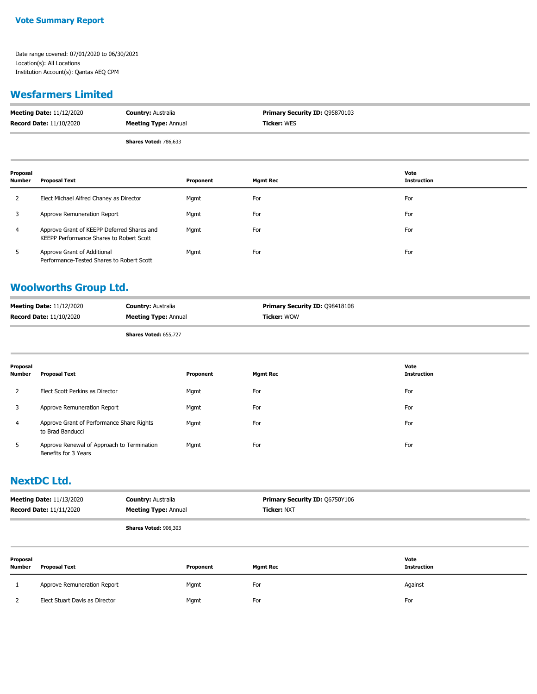#### **Wesfarmers Limited**

| <b>Meeting Date: 11/12/2020</b> | <b>Country: Australia</b>    | <b>Primary Security ID: 095870103</b> |
|---------------------------------|------------------------------|---------------------------------------|
| <b>Record Date: 11/10/2020</b>  | <b>Meeting Type: Annual</b>  | <b>Ticker: WES</b>                    |
|                                 | <b>Shares Voted: 786,633</b> |                                       |

| Proposal<br><b>Number</b> | Proposal Text                                                                          | Proponent | <b>Mgmt Rec</b> | Vote<br><b>Instruction</b> |
|---------------------------|----------------------------------------------------------------------------------------|-----------|-----------------|----------------------------|
| 2                         | Elect Michael Alfred Chaney as Director                                                | Mgmt      | For             | For                        |
| 3                         | Approve Remuneration Report                                                            | Mgmt      | For             | For                        |
| 4                         | Approve Grant of KEEPP Deferred Shares and<br>KEEPP Performance Shares to Robert Scott | Mgmt      | For             | For                        |
| 5                         | Approve Grant of Additional<br>Performance-Tested Shares to Robert Scott               | Mgmt      | For             | For                        |

# **Woolworths Group Ltd.**

| <b>Meeting Date: 11/12/2020</b> | <b>Country: Australia</b>   | <b>Primary Security ID: 098418108</b> |
|---------------------------------|-----------------------------|---------------------------------------|
| <b>Record Date: 11/10/2020</b>  | <b>Meeting Type: Annual</b> | <b>Ticker: WOW</b>                    |

**Shares Voted:** 655,727

| Proposal<br>Number | Proposal Text                                                      | Proponent | <b>Mgmt Rec</b> | Vote<br><b>Instruction</b> |
|--------------------|--------------------------------------------------------------------|-----------|-----------------|----------------------------|
|                    | Elect Scott Perkins as Director                                    | Mgmt      | For             | For                        |
|                    | Approve Remuneration Report                                        | Mgmt      | For             | For                        |
| 4                  | Approve Grant of Performance Share Rights<br>to Brad Banducci      | Mgmt      | For             | For                        |
| 5                  | Approve Renewal of Approach to Termination<br>Benefits for 3 Years | Mgmt      | For             | For                        |

#### **NextDC Ltd.**

| <b>Meeting Date: 11/13/2020</b> | <b>Country: Australia</b>   | <b>Primary Security ID: 06750Y106</b> |
|---------------------------------|-----------------------------|---------------------------------------|
| <b>Record Date: 11/11/2020</b>  | <b>Meeting Type: Annual</b> | <b>Ticker: NXT</b>                    |
|                                 | Shares Voted: 906.303       |                                       |

**Proposal Number Proposal Text Proponent Mgmt Rec Vote Instruction** 1 Approve Remuneration Report **Against** Mgmt For **For Against** Against Against 2 Elect Stuart Davis as Director Mgmt For For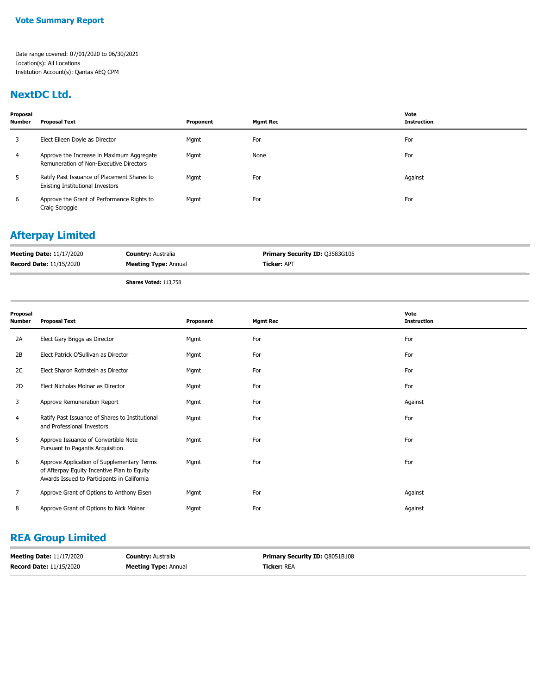#### **NextDC Ltd.**

| Proposal<br><b>Number</b> | <b>Proposal Text</b>                                                                   | Proponent | <b>Mamt Rec</b> | Vote<br><b>Instruction</b> |
|---------------------------|----------------------------------------------------------------------------------------|-----------|-----------------|----------------------------|
| 3                         | Elect Eileen Doyle as Director                                                         | Mgmt      | For             | For                        |
| 4                         | Approve the Increase in Maximum Aggregate<br>Remuneration of Non-Executive Directors   | Mgmt      | None            | For                        |
| 5                         | Ratify Past Issuance of Placement Shares to<br><b>Existing Institutional Investors</b> | Mgmt      | For             | Against                    |
| 6                         | Approve the Grant of Performance Rights to<br>Craig Scroggie                           | Mgmt      | For             | For                        |

# **Afterpay Limited**

| <b>Meeting Date: 11/17/2020</b> | <b>Country: Australia</b>    | <b>Primary Security ID: Q3583G105</b> |
|---------------------------------|------------------------------|---------------------------------------|
| <b>Record Date: 11/15/2020</b>  | <b>Meeting Type: Annual</b>  | <b>Ticker: APT</b>                    |
|                                 | <b>Shares Voted: 113,758</b> |                                       |

| Proposal<br><b>Number</b> | <b>Proposal Text</b>                                                                                                                     | Proponent | <b>Mgmt Rec</b> | Vote<br><b>Instruction</b> |
|---------------------------|------------------------------------------------------------------------------------------------------------------------------------------|-----------|-----------------|----------------------------|
| 2A                        | Elect Gary Briggs as Director                                                                                                            | Mgmt      | For             | For                        |
| 2B                        | Elect Patrick O'Sullivan as Director                                                                                                     | Mgmt      | For             | For                        |
| 2C                        | Elect Sharon Rothstein as Director                                                                                                       | Mgmt      | For             | For                        |
| 2D                        | Elect Nicholas Molnar as Director                                                                                                        | Mgmt      | For             | For                        |
| 3                         | Approve Remuneration Report                                                                                                              | Mgmt      | For             | Against                    |
| 4                         | Ratify Past Issuance of Shares to Institutional<br>and Professional Investors                                                            | Mgmt      | For             | For                        |
| 5                         | Approve Issuance of Convertible Note<br>Pursuant to Pagantis Acquisition                                                                 | Mgmt      | For             | For                        |
| 6                         | Approve Application of Supplementary Terms<br>of Afterpay Equity Incentive Plan to Equity<br>Awards Issued to Participants in California | Mgmt      | For             | For                        |
| $\overline{7}$            | Approve Grant of Options to Anthony Eisen                                                                                                | Mgmt      | For             | Against                    |
| 8                         | Approve Grant of Options to Nick Molnar                                                                                                  | Mgmt      | For             | Against                    |

# **REA Group Limited**

| <b>Meeting Date: 11/17/2020</b> | <b>Country: Australia</b>   | <b>Primary Security ID: 08051B108</b> |
|---------------------------------|-----------------------------|---------------------------------------|
| <b>Record Date: 11/15/2020</b>  | <b>Meeting Type: Annual</b> | <b>Ticker: REA</b>                    |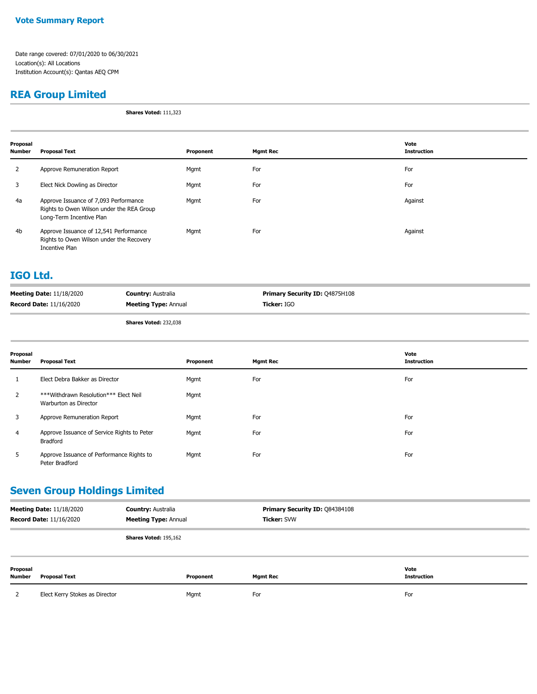#### **Vote Summary Report**

Date range covered: 07/01/2020 to 06/30/2021 Location(s): All Locations Institution Account(s): Qantas AEQ CPM

#### **REA Group Limited**

**Shares Voted:** 111,323

| Proposal<br>Number | <b>Proposal Text</b>                                                                                           | Proponent | <b>Mgmt Rec</b> | Vote<br><b>Instruction</b> |
|--------------------|----------------------------------------------------------------------------------------------------------------|-----------|-----------------|----------------------------|
| 2                  | Approve Remuneration Report                                                                                    | Mgmt      | For             | For                        |
| 3                  | Elect Nick Dowling as Director                                                                                 | Mgmt      | For             | For                        |
| 4a                 | Approve Issuance of 7,093 Performance<br>Rights to Owen Wilson under the REA Group<br>Long-Term Incentive Plan | Mgmt      | For             | Against                    |
| 4b                 | Approve Issuance of 12,541 Performance<br>Rights to Owen Wilson under the Recovery<br>Incentive Plan           | Mgmt      | For             | Against                    |

#### **IGO Ltd.**

| <b>Meeting Date: 11/18/2020</b> | <b>Country: Australia</b>   | <b>Primary Security ID: Q4875H108</b> |
|---------------------------------|-----------------------------|---------------------------------------|
| <b>Record Date: 11/16/2020</b>  | <b>Meeting Type: Annual</b> | Ticker: IGO                           |
|                                 |                             |                                       |

**Shares Voted:** 232,038

| Proposal<br><b>Number</b> | <b>Proposal Text</b>                                           | Proponent | <b>Mgmt Rec</b> | Vote<br><b>Instruction</b> |
|---------------------------|----------------------------------------------------------------|-----------|-----------------|----------------------------|
|                           | Elect Debra Bakker as Director                                 | Mgmt      | For             | For                        |
| 2                         | ***Withdrawn Resolution*** Elect Neil<br>Warburton as Director | Mgmt      |                 |                            |
| 3                         | Approve Remuneration Report                                    | Mgmt      | For             | For                        |
| $\overline{4}$            | Approve Issuance of Service Rights to Peter<br>Bradford        | Mgmt      | For             | For                        |
| 5                         | Approve Issuance of Performance Rights to<br>Peter Bradford    | Mgmt      | For             | For                        |

## **Seven Group Holdings Limited**

| <b>Meeting Date: 11/18/2020</b><br><b>Record Date: 11/16/2020</b> |                                | <b>Country: Australia</b><br><b>Meeting Type: Annual</b> |           | Primary Security ID: Q84384108<br><b>Ticker: SVW</b> |                     |
|-------------------------------------------------------------------|--------------------------------|----------------------------------------------------------|-----------|------------------------------------------------------|---------------------|
|                                                                   |                                | Shares Voted: 195,162                                    |           |                                                      |                     |
| Proposal<br><b>Number</b>                                         | <b>Proposal Text</b>           |                                                          | Proponent | <b>Mgmt Rec</b>                                      | Vote<br>Instruction |
|                                                                   | Elect Kerry Stokes as Director |                                                          | Mgmt      | For                                                  | For                 |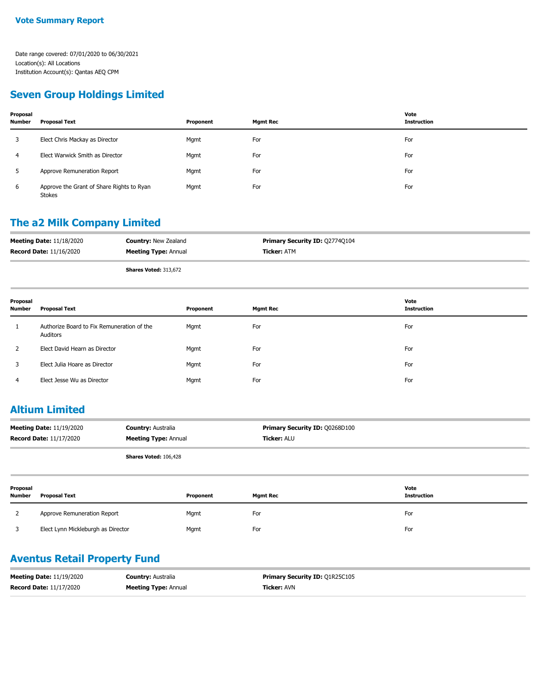#### **Seven Group Holdings Limited**

| Proposal<br><b>Number</b> | <b>Proposal Text</b>                                       | Proponent | <b>Mgmt Rec</b> | Vote<br><b>Instruction</b> |
|---------------------------|------------------------------------------------------------|-----------|-----------------|----------------------------|
|                           | Elect Chris Mackay as Director                             | Mgmt      | For             | For                        |
| 4                         | Elect Warwick Smith as Director                            | Mgmt      | For             | For                        |
|                           | Approve Remuneration Report                                | Mgmt      | For             | For                        |
| 6                         | Approve the Grant of Share Rights to Ryan<br><b>Stokes</b> | Mgmt      | For             | For                        |

#### **The a2 Milk Company Limited**

| <b>Meeting Date: 11/18/2020</b> | <b>Country: New Zealand</b> | <b>Primary Security ID: Q2774Q104</b> |
|---------------------------------|-----------------------------|---------------------------------------|
| <b>Record Date: 11/16/2020</b>  | <b>Meeting Type: Annual</b> | <b>Ticker: ATM</b>                    |
|                                 | Shares Voted: 313,672       |                                       |

| Proposal<br><b>Number</b> | <b>Proposal Text</b>                                   | Proponent | <b>Mgmt Rec</b> | Vote<br>Instruction |
|---------------------------|--------------------------------------------------------|-----------|-----------------|---------------------|
|                           | Authorize Board to Fix Remuneration of the<br>Auditors | Mgmt      | For             | For                 |
|                           | Elect David Hearn as Director                          | Mgmt      | For             | For                 |
| 3                         | Elect Julia Hoare as Director                          | Mgmt      | For             | For                 |
| 4                         | Elect Jesse Wu as Director                             | Mgmt      | For             | For                 |

#### **Altium Limited**

| <b>Meeting Date: 11/19/2020</b> | <b>Country: Australia</b>   | Primary Security ID: 00268D100 |
|---------------------------------|-----------------------------|--------------------------------|
| <b>Record Date: 11/17/2020</b>  | <b>Meeting Type: Annual</b> | <b>Ticker: ALU</b>             |
|                                 | Shares Voted: 106,428       |                                |

| Proposal<br><b>Number</b> | <b>Proposal Text</b>               | Proponent | <b>Mgmt Rec</b> | Vote<br><b>Instruction</b> |
|---------------------------|------------------------------------|-----------|-----------------|----------------------------|
|                           | Approve Remuneration Report        | Mgmt      | For             | For                        |
|                           | Elect Lynn Mickleburgh as Director | Mgmt      | For             | For                        |

#### **Aventus Retail Property Fund**

| <b>Meeting Date: 11/19/2020</b> | <b>Country: Australia</b>   | <b>Primary Security ID: 01R25C105</b> |
|---------------------------------|-----------------------------|---------------------------------------|
| <b>Record Date: 11/17/2020</b>  | <b>Meeting Type: Annual</b> | <b>Ticker: AVN</b>                    |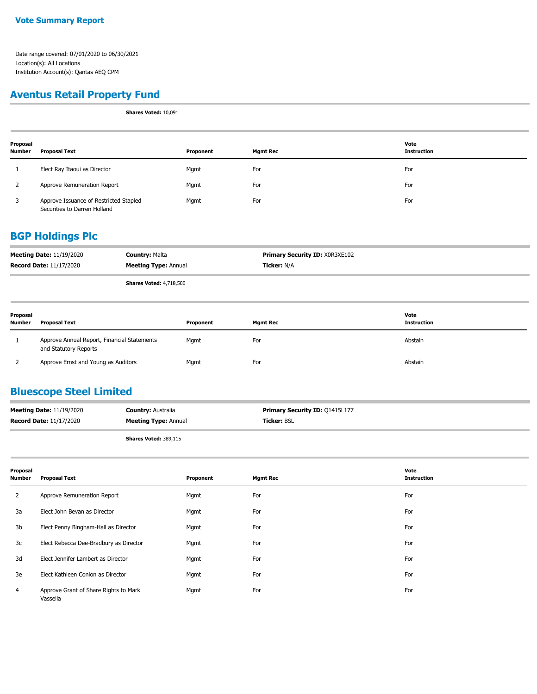### **Aventus Retail Property Fund**

**Shares Voted:** 10,091

| Proposal<br><b>Number</b> | Proposal Text                                                          | Proponent | Mgmt Rec | Vote<br><b>Instruction</b> |
|---------------------------|------------------------------------------------------------------------|-----------|----------|----------------------------|
|                           | Elect Ray Itaoui as Director                                           | Mgmt      | For      | For                        |
|                           | Approve Remuneration Report                                            | Mgmt      | For      | For                        |
| 3                         | Approve Issuance of Restricted Stapled<br>Securities to Darren Holland | Mgmt      | For      | For                        |

#### **BGP Holdings Plc**

| <b>Meeting Date: 11/19/2020</b> | <b>Country: Malta</b>          | <b>Primary Security ID: XOR3XE102</b> |
|---------------------------------|--------------------------------|---------------------------------------|
| <b>Record Date: 11/17/2020</b>  | <b>Meeting Type: Annual</b>    | <b>Ticker: N/A</b>                    |
|                                 | <b>Shares Voted: 4,718,500</b> |                                       |

| Proposal<br><b>Number</b> | <b>Proposal Text</b>                                                 | Proponent | <b>Mgmt Rec</b> | Vote<br><b>Instruction</b> |
|---------------------------|----------------------------------------------------------------------|-----------|-----------------|----------------------------|
|                           | Approve Annual Report, Financial Statements<br>and Statutory Reports | Mgmt      | For             | Abstain                    |
|                           | Approve Ernst and Young as Auditors                                  | Mgmt      | For             | Abstain                    |

# **Bluescope Steel Limited**

| <b>Meeting Date: 11/19/2020</b> | <b>Country: Australia</b>   | <b>Primary Security ID: 01415L177</b> |
|---------------------------------|-----------------------------|---------------------------------------|
| <b>Record Date: 11/17/2020</b>  | <b>Meeting Type: Annual</b> | <b>Ticker: BSL</b>                    |
|                                 |                             |                                       |

**Shares Voted:** 389,115

| Proposal<br><b>Number</b> | <b>Proposal Text</b>                              | Proponent | <b>Mgmt Rec</b> | Vote<br><b>Instruction</b> |
|---------------------------|---------------------------------------------------|-----------|-----------------|----------------------------|
| 2                         | Approve Remuneration Report                       | Mgmt      | For             | For                        |
| 3a                        | Elect John Bevan as Director                      | Mgmt      | For             | For                        |
| 3b                        | Elect Penny Bingham-Hall as Director              | Mgmt      | For             | For                        |
| 3c                        | Elect Rebecca Dee-Bradbury as Director            | Mgmt      | For             | For                        |
| 3d                        | Elect Jennifer Lambert as Director                | Mgmt      | For             | For                        |
| 3e                        | Elect Kathleen Conlon as Director                 | Mgmt      | For             | For                        |
| $\overline{4}$            | Approve Grant of Share Rights to Mark<br>Vassella | Mgmt      | For             | For                        |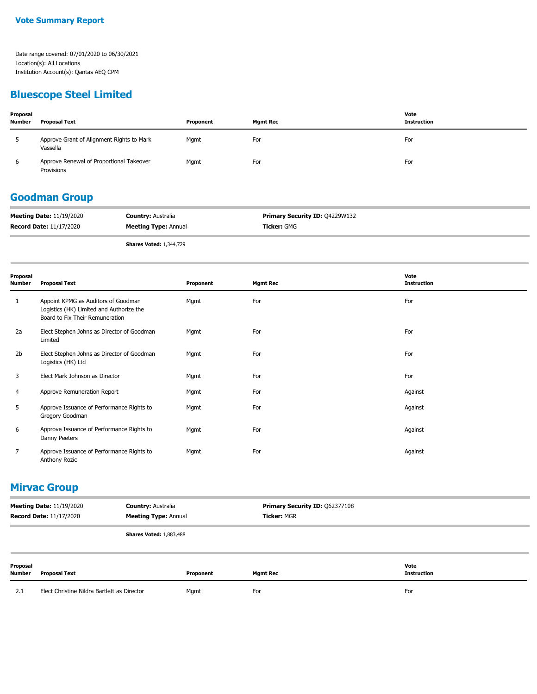#### **Bluescope Steel Limited**

| Proposal<br><b>Number</b> | <b>Proposal Text</b>                                   | Proponent | <b>Mgmt Rec</b> | Vote<br>Instruction |
|---------------------------|--------------------------------------------------------|-----------|-----------------|---------------------|
|                           | Approve Grant of Alignment Rights to Mark<br>Vassella  | Mgmt      | For             | For                 |
| 6                         | Approve Renewal of Proportional Takeover<br>Provisions | Mgmt      | For             | For                 |

#### **Goodman Group**

| <b>Meeting Date: 11/19/2020</b> | <b>Country: Australia</b>   | <b>Primary Security ID: 04229W132</b> |
|---------------------------------|-----------------------------|---------------------------------------|
| <b>Record Date: 11/17/2020</b>  | <b>Meeting Type: Annual</b> | <b>Ticker:</b> GMG                    |
|                                 |                             |                                       |

**Shares Voted:** 1,344,729

| Proposal<br>Number | <b>Proposal Text</b>                                                                                               | Proponent | <b>Mgmt Rec</b> | Vote<br><b>Instruction</b> |
|--------------------|--------------------------------------------------------------------------------------------------------------------|-----------|-----------------|----------------------------|
| 1                  | Appoint KPMG as Auditors of Goodman<br>Logistics (HK) Limited and Authorize the<br>Board to Fix Their Remuneration | Mgmt      | For             | For                        |
| 2a                 | Elect Stephen Johns as Director of Goodman<br>Limited                                                              | Mgmt      | For             | For                        |
| 2b                 | Elect Stephen Johns as Director of Goodman<br>Logistics (HK) Ltd                                                   | Mgmt      | For             | For                        |
| 3                  | Elect Mark Johnson as Director                                                                                     | Mgmt      | For             | For                        |
| 4                  | Approve Remuneration Report                                                                                        | Mgmt      | For             | Against                    |
| 5                  | Approve Issuance of Performance Rights to<br>Gregory Goodman                                                       | Mgmt      | For             | Against                    |
| 6                  | Approve Issuance of Performance Rights to<br>Danny Peeters                                                         | Mgmt      | For             | Against                    |
| 7                  | Approve Issuance of Performance Rights to<br>Anthony Rozic                                                         | Mgmt      | For             | Against                    |

#### **Mirvac Group**

| <b>Meeting Date: 11/19/2020</b><br><b>Record Date: 11/17/2020</b> |                                             | <b>Country: Australia</b><br><b>Meeting Type: Annual</b> |           | Primary Security ID: Q62377108<br><b>Ticker: MGR</b> |                            |
|-------------------------------------------------------------------|---------------------------------------------|----------------------------------------------------------|-----------|------------------------------------------------------|----------------------------|
|                                                                   |                                             | <b>Shares Voted: 1,883,488</b>                           |           |                                                      |                            |
| Proposal<br>Number                                                | <b>Proposal Text</b>                        |                                                          | Proponent | <b>Mgmt Rec</b>                                      | Vote<br><b>Instruction</b> |
| 2.1                                                               | Elect Christine Nildra Bartlett as Director |                                                          | Mgmt      | For                                                  | For                        |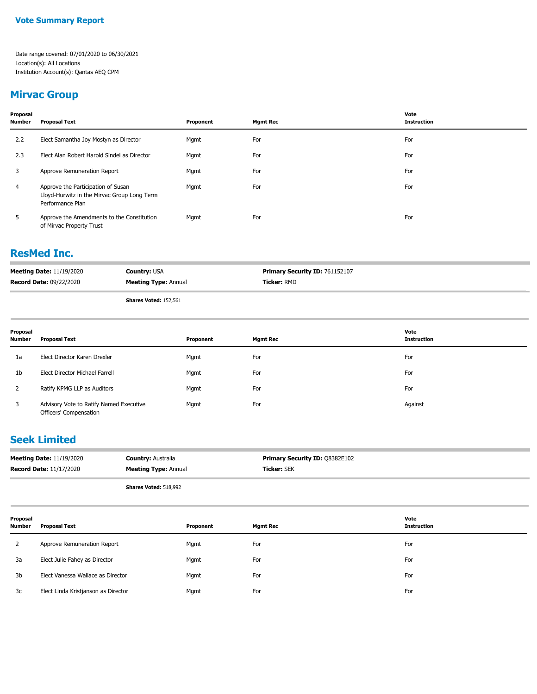# **Mirvac Group**

| Proposal<br>Number | <b>Proposal Text</b>                                                                                  | Proponent | <b>Mgmt Rec</b> | Vote<br><b>Instruction</b> |
|--------------------|-------------------------------------------------------------------------------------------------------|-----------|-----------------|----------------------------|
| 2.2                | Elect Samantha Joy Mostyn as Director                                                                 | Mgmt      | For             | For                        |
| 2.3                | Elect Alan Robert Harold Sindel as Director                                                           | Mgmt      | For             | For                        |
| 3                  | Approve Remuneration Report                                                                           | Mgmt      | For             | For                        |
| $\overline{4}$     | Approve the Participation of Susan<br>Lloyd-Hurwitz in the Mirvac Group Long Term<br>Performance Plan | Mgmt      | For             | For                        |
| 5                  | Approve the Amendments to the Constitution<br>of Mirvac Property Trust                                | Mgmt      | For             | For                        |

#### **ResMed Inc.**

| <b>Meeting Date: 11/19/2020</b> | <b>Country: USA</b>          | <b>Primary Security ID: 761152107</b> |
|---------------------------------|------------------------------|---------------------------------------|
| <b>Record Date: 09/22/2020</b>  | <b>Meeting Type: Annual</b>  | Ticker: RMD                           |
|                                 | <b>Shares Voted: 152,561</b> |                                       |

| Proposal<br>Number | <b>Proposal Text</b>                                              | Proponent | <b>Mgmt Rec</b> | Vote<br><b>Instruction</b> |
|--------------------|-------------------------------------------------------------------|-----------|-----------------|----------------------------|
| 1a                 | Elect Director Karen Drexler                                      | Mgmt      | For             | For                        |
| 1 <sub>b</sub>     | Elect Director Michael Farrell                                    | Mgmt      | For             | For                        |
| 2                  | Ratify KPMG LLP as Auditors                                       | Mgmt      | For             | For                        |
| 3                  | Advisory Vote to Ratify Named Executive<br>Officers' Compensation | Mgmt      | For             | Against                    |

### **Seek Limited**

| <b>Meeting Date: 11/19/2020</b> | <b>Country: Australia</b>    | <b>Primary Security ID: Q8382E102</b> |
|---------------------------------|------------------------------|---------------------------------------|
| <b>Record Date: 11/17/2020</b>  | <b>Meeting Type: Annual</b>  | <b>Ticker:</b> SEK                    |
|                                 | <b>Shares Voted: 518,992</b> |                                       |

| Proposal<br>Number | Proposal Text                       | Proponent | <b>Mgmt Rec</b> | Vote<br><b>Instruction</b> |
|--------------------|-------------------------------------|-----------|-----------------|----------------------------|
|                    | Approve Remuneration Report         | Mgmt      | For             | For                        |
| 3a                 | Elect Julie Fahey as Director       | Mgmt      | For             | For                        |
| 3b                 | Elect Vanessa Wallace as Director   | Mgmt      | For             | For                        |
| 3c                 | Elect Linda Kristjanson as Director | Mgmt      | For             | For                        |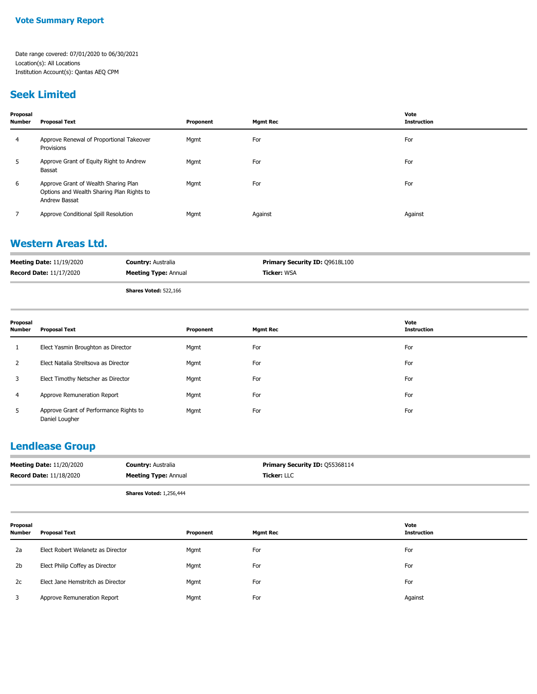#### **Seek Limited**

| Proposal<br><b>Number</b> | <b>Proposal Text</b>                                                                               | Proponent | <b>Mgmt Rec</b> | Vote<br><b>Instruction</b> |
|---------------------------|----------------------------------------------------------------------------------------------------|-----------|-----------------|----------------------------|
| 4                         | Approve Renewal of Proportional Takeover<br>Provisions                                             | Mgmt      | For             | For                        |
| 5                         | Approve Grant of Equity Right to Andrew<br>Bassat                                                  | Mgmt      | For             | For                        |
| 6                         | Approve Grant of Wealth Sharing Plan<br>Options and Wealth Sharing Plan Rights to<br>Andrew Bassat | Mgmt      | For             | For                        |
|                           | Approve Conditional Spill Resolution                                                               | Mgmt      | Against         | Against                    |

#### **Western Areas Ltd.**

| <b>Meeting Date: 11/19/2020</b> | <b>Country: Australia</b>   | <b>Primary Security ID: 09618L100</b> |
|---------------------------------|-----------------------------|---------------------------------------|
| <b>Record Date: 11/17/2020</b>  | <b>Meeting Type: Annual</b> | <b>Ticker: WSA</b>                    |
|                                 |                             |                                       |

**Shares Voted:** 522,166

| Proposal<br>Number | <b>Proposal Text</b>                                     | Proponent | <b>Mgmt Rec</b> | Vote<br><b>Instruction</b> |
|--------------------|----------------------------------------------------------|-----------|-----------------|----------------------------|
| 1                  | Elect Yasmin Broughton as Director                       | Mgmt      | For             | For                        |
| 2                  | Elect Natalia Streltsova as Director                     | Mgmt      | For             | For                        |
| 3                  | Elect Timothy Netscher as Director                       | Mgmt      | For             | For                        |
| 4                  | Approve Remuneration Report                              | Mgmt      | For             | For                        |
| 5                  | Approve Grant of Performance Rights to<br>Daniel Lougher | Mgmt      | For             | For                        |

#### **Lendlease Group**

| <b>Meeting Date: 11/20/2020</b> | <b>Country:</b> Australia   | <b>Primary Security ID: 055368114</b> |
|---------------------------------|-----------------------------|---------------------------------------|
| <b>Record Date: 11/18/2020</b>  | <b>Meeting Type: Annual</b> | <b>Ticker:</b> LLC                    |

**Shares Voted:** 1,256,444

| Proposal<br>Number | Proposal Text                     | Proponent | <b>Mgmt Rec</b> | Vote<br>Instruction |
|--------------------|-----------------------------------|-----------|-----------------|---------------------|
| 2a                 | Elect Robert Welanetz as Director | Mgmt      | For             | For                 |
| 2 <sub>b</sub>     | Elect Philip Coffey as Director   | Mgmt      | For             | For                 |
| 2c                 | Elect Jane Hemstritch as Director | Mgmt      | For             | For                 |
|                    | Approve Remuneration Report       | Mgmt      | For             | Against             |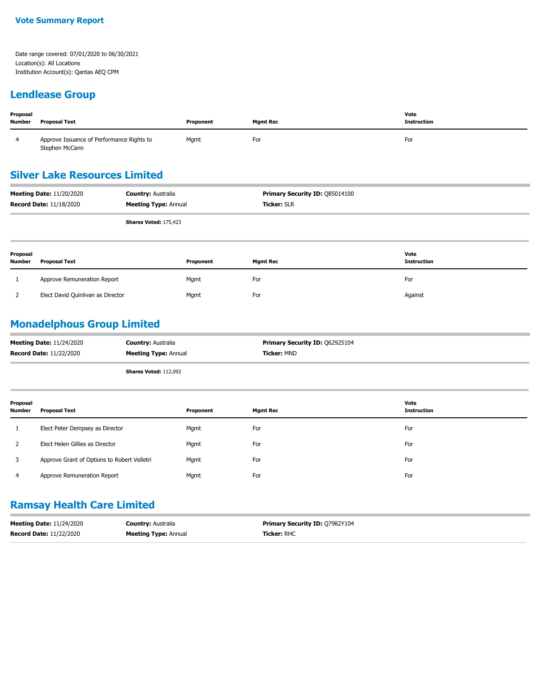#### **Lendlease Group**

| Proposal<br><b>Number</b> | Proposal Text                                               | Proponent | <b>Mgmt Rec</b> | Vote<br><b>Instruction</b> |
|---------------------------|-------------------------------------------------------------|-----------|-----------------|----------------------------|
|                           | Approve Issuance of Performance Rights to<br>Stephen McCann | Mgmt      | For             | For                        |

### **Silver Lake Resources Limited**

| <b>Meeting Date: 11/20/2020</b> | <b>Country: Australia</b>    | <b>Primary Security ID: 085014100</b> |
|---------------------------------|------------------------------|---------------------------------------|
| <b>Record Date: 11/18/2020</b>  | <b>Meeting Type: Annual</b>  | <b>Ticker: SLR</b>                    |
|                                 | <b>Shares Voted: 175,423</b> |                                       |

| Proposal<br><b>Number</b> | <b>Proposal Text</b>              | Proponent | <b>Mgmt Rec</b> | Vote<br>Instruction |
|---------------------------|-----------------------------------|-----------|-----------------|---------------------|
|                           | Approve Remuneration Report       | Mgmt      | For             | For                 |
|                           | Elect David Quinlivan as Director | Mgmt      | For             | Against             |

## **Monadelphous Group Limited**

| <b>Meeting Date: 11/24/2020</b> | <b>Country: Australia</b>    | <b>Primary Security ID: 062925104</b> |
|---------------------------------|------------------------------|---------------------------------------|
| <b>Record Date: 11/22/2020</b>  | <b>Meeting Type: Annual</b>  | <b>Ticker: MND</b>                    |
|                                 | <b>Shares Voted: 112,092</b> |                                       |

| Proposal<br>Number | Proposal Text                               | Proponent | <b>Mgmt Rec</b> | Vote<br>Instruction |
|--------------------|---------------------------------------------|-----------|-----------------|---------------------|
|                    | Elect Peter Dempsey as Director             | Mgmt      | For             | For                 |
|                    | Elect Helen Gillies as Director             | Mgmt      | For             | For                 |
|                    | Approve Grant of Options to Robert Velletri | Mgmt      | For             | For                 |
| 4                  | Approve Remuneration Report                 | Mgmt      | For             | For                 |

## **Ramsay Health Care Limited**

| <b>Meeting Date: 11/24/2020</b> | <b>Country: Australia</b>   | <b>Primary Security ID: 07982Y104</b> |
|---------------------------------|-----------------------------|---------------------------------------|
| <b>Record Date: 11/22/2020</b>  | <b>Meeting Type: Annual</b> | <b>Ticker: RHC</b>                    |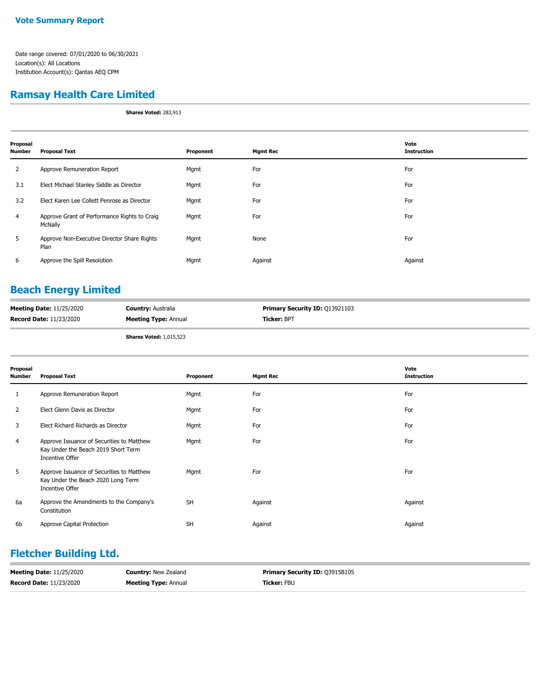#### **Ramsay Health Care Limited**

**Shares Voted:** 283,913

| Proposal<br><b>Number</b> | <b>Proposal Text</b>                                    | Proponent | <b>Mgmt Rec</b> | Vote<br><b>Instruction</b> |
|---------------------------|---------------------------------------------------------|-----------|-----------------|----------------------------|
| 2                         | Approve Remuneration Report                             | Mgmt      | For             | For                        |
| 3.1                       | Elect Michael Stanley Siddle as Director                | Mgmt      | For             | For                        |
| 3.2                       | Elect Karen Lee Collett Penrose as Director             | Mgmt      | For             | For                        |
| $\overline{4}$            | Approve Grant of Performance Rights to Craig<br>McNally | Mgmt      | For             | For                        |
| 5                         | Approve Non-Executive Director Share Rights<br>Plan     | Mgmt      | None            | For                        |
| 6                         | Approve the Spill Resolution                            | Mgmt      | Against         | Against                    |

# **Beach Energy Limited**

| <b>Meeting Date: 11/25/2020</b> | <b>Country: Australia</b>   | <b>Primary Security ID: 013921103</b> |
|---------------------------------|-----------------------------|---------------------------------------|
| <b>Record Date: 11/23/2020</b>  | <b>Meeting Type: Annual</b> | <b>Ticker:</b> BPT                    |
|                                 |                             |                                       |

**Shares Voted:** 1,015,523

| Proposal<br><b>Number</b> | <b>Proposal Text</b>                                                                                | Proponent | <b>Mgmt Rec</b> | Vote<br><b>Instruction</b> |
|---------------------------|-----------------------------------------------------------------------------------------------------|-----------|-----------------|----------------------------|
| 1                         | Approve Remuneration Report                                                                         | Mgmt      | For             | For                        |
| 2                         | Elect Glenn Davis as Director                                                                       | Mgmt      | For             | For                        |
| 3                         | Elect Richard Richards as Director                                                                  | Mgmt      | For             | For                        |
| 4                         | Approve Issuance of Securities to Matthew<br>Kay Under the Beach 2019 Short Term<br>Incentive Offer | Mgmt      | For             | For                        |
| 5                         | Approve Issuance of Securities to Matthew<br>Kay Under the Beach 2020 Long Term<br>Incentive Offer  | Mgmt      | For             | For                        |
| 6a                        | Approve the Amendments to the Company's<br>Constitution                                             | <b>SH</b> | Against         | Against                    |
| 6b                        | Approve Capital Protection                                                                          | <b>SH</b> | Against         | Against                    |

#### **Fletcher Building Ltd.**

| <b>Meeting Date: 11/25/2020</b> | <b>Country: New Zealand</b> | <b>Primary Security ID: 03915B105</b> |
|---------------------------------|-----------------------------|---------------------------------------|
| <b>Record Date: 11/23/2020</b>  | <b>Meeting Type: Annual</b> | <b>Ticker:</b> FBU                    |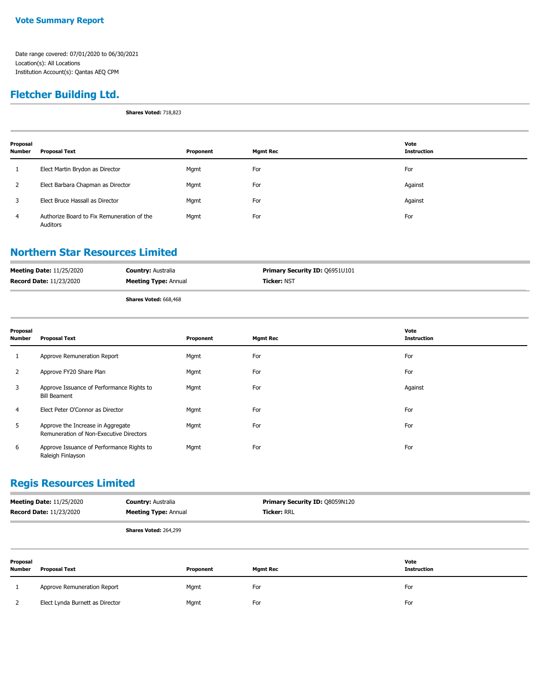#### **Vote Summary Report**

Date range covered: 07/01/2020 to 06/30/2021 Location(s): All Locations Institution Account(s): Qantas AEQ CPM

# **Fletcher Building Ltd.**

**Shares Voted:** 718,823

| Proposal<br>Number | Proposal Text                                          | Proponent | <b>Mgmt Rec</b> | Vote<br>Instruction |
|--------------------|--------------------------------------------------------|-----------|-----------------|---------------------|
|                    | Elect Martin Brydon as Director                        | Mgmt      | For             | For                 |
|                    | Elect Barbara Chapman as Director                      | Mgmt      | For             | Against             |
| 3                  | Elect Bruce Hassall as Director                        | Mgmt      | For             | Against             |
| $\overline{4}$     | Authorize Board to Fix Remuneration of the<br>Auditors | Mgmt      | For             | For                 |

#### **Northern Star Resources Limited**

| <b>Meeting Date: 11/25/2020</b> | <b>Country: Australia</b>    | <b>Primary Security ID: 06951U101</b> |
|---------------------------------|------------------------------|---------------------------------------|
| <b>Record Date: 11/23/2020</b>  | <b>Meeting Type: Annual</b>  | <b>Ticker: NST</b>                    |
|                                 | <b>Shares Voted: 668,468</b> |                                       |

| Proposal<br>Number | <b>Proposal Text</b>                                                         | Proponent | <b>Mgmt Rec</b> | Vote<br><b>Instruction</b> |
|--------------------|------------------------------------------------------------------------------|-----------|-----------------|----------------------------|
| 1                  | Approve Remuneration Report                                                  | Mgmt      | For             | For                        |
| $\overline{2}$     | Approve FY20 Share Plan                                                      | Mgmt      | For             | For                        |
| 3                  | Approve Issuance of Performance Rights to<br><b>Bill Beament</b>             | Mgmt      | For             | Against                    |
| 4                  | Elect Peter O'Connor as Director                                             | Mgmt      | For             | For                        |
| 5                  | Approve the Increase in Aggregate<br>Remuneration of Non-Executive Directors | Mgmt      | For             | For                        |
| 6                  | Approve Issuance of Performance Rights to<br>Raleigh Finlayson               | Mgmt      | For             | For                        |

#### **Regis Resources Limited**

| <b>Meeting Date: 11/25/2020</b> | <b>Country: Australia</b>    | <b>Primary Security ID: 08059N120</b> |
|---------------------------------|------------------------------|---------------------------------------|
| <b>Record Date: 11/23/2020</b>  | <b>Meeting Type: Annual</b>  | <b>Ticker: RRL</b>                    |
|                                 | <b>Shares Voted: 264,299</b> |                                       |

| Proposal<br>Number | <b>Proposal Text</b>            | Proponent | <b>Mgmt Rec</b> | Vote<br><b>Instruction</b> |
|--------------------|---------------------------------|-----------|-----------------|----------------------------|
|                    | Approve Remuneration Report     | Mgmt      | For             | For                        |
|                    | Elect Lynda Burnett as Director | Mgmt      | For             | For                        |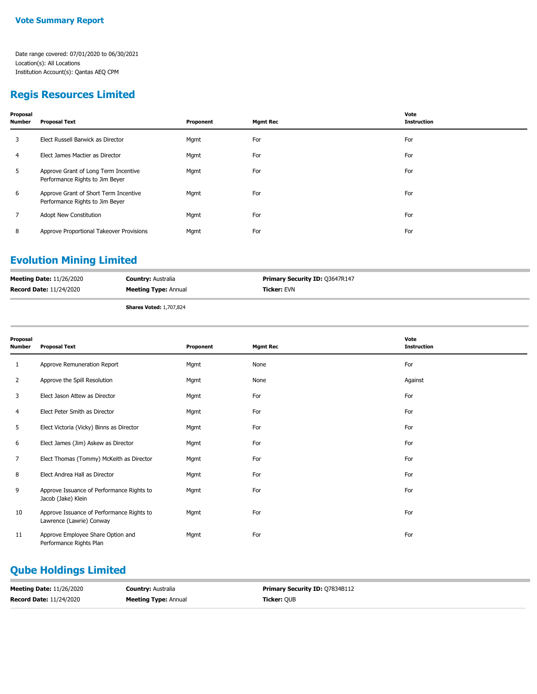#### **Regis Resources Limited**

| Proposal<br>Number | <b>Proposal Text</b>                                                     | Proponent | <b>Mgmt Rec</b> | Vote<br><b>Instruction</b> |
|--------------------|--------------------------------------------------------------------------|-----------|-----------------|----------------------------|
| 3                  | Elect Russell Barwick as Director                                        | Mgmt      | For             | For                        |
| 4                  | Elect James Mactier as Director                                          | Mgmt      | For             | For                        |
| 5                  | Approve Grant of Long Term Incentive<br>Performance Rights to Jim Beyer  | Mgmt      | For             | For                        |
| 6                  | Approve Grant of Short Term Incentive<br>Performance Rights to Jim Beyer | Mgmt      | For             | For                        |
| 7                  | <b>Adopt New Constitution</b>                                            | Mgmt      | For             | For                        |
| 8                  | Approve Proportional Takeover Provisions                                 | Mgmt      | For             | For                        |
|                    |                                                                          |           |                 |                            |

#### **Evolution Mining Limited**

| <b>Meeting Date: 11/26/2020</b> | <b>Country: Australia</b>      | <b>Primary Security ID: 03647R147</b> |
|---------------------------------|--------------------------------|---------------------------------------|
| <b>Record Date: 11/24/2020</b>  | <b>Meeting Type: Annual</b>    | <b>Ticker: EVN</b>                    |
|                                 | <b>Shares Voted: 1,707,824</b> |                                       |

| Proposal<br>Number | <b>Proposal Text</b>                                                  | Proponent | <b>Mgmt Rec</b> | Vote<br><b>Instruction</b> |
|--------------------|-----------------------------------------------------------------------|-----------|-----------------|----------------------------|
| 1                  | Approve Remuneration Report                                           | Mgmt      | None            | For                        |
| $\overline{2}$     | Approve the Spill Resolution                                          | Mgmt      | None            | Against                    |
| 3                  | Elect Jason Attew as Director                                         | Mgmt      | For             | For                        |
| 4                  | Elect Peter Smith as Director                                         | Mgmt      | For             | For                        |
| 5                  | Elect Victoria (Vicky) Binns as Director                              | Mgmt      | For             | For                        |
| 6                  | Elect James (Jim) Askew as Director                                   | Mgmt      | For             | For                        |
| 7                  | Elect Thomas (Tommy) McKeith as Director                              | Mgmt      | For             | For                        |
| 8                  | Elect Andrea Hall as Director                                         | Mgmt      | For             | For                        |
| 9                  | Approve Issuance of Performance Rights to<br>Jacob (Jake) Klein       | Mgmt      | For             | For                        |
| 10                 | Approve Issuance of Performance Rights to<br>Lawrence (Lawrie) Conway | Mgmt      | For             | For                        |
| 11                 | Approve Employee Share Option and<br>Performance Rights Plan          | Mgmt      | For             | For                        |

# **Qube Holdings Limited**

| <b>Meeting Date: 11/26/2020</b> | <b>Country: Australia</b>   | <b>Primary Security ID: 07834B112</b> |
|---------------------------------|-----------------------------|---------------------------------------|
| <b>Record Date: 11/24/2020</b>  | <b>Meeting Type: Annual</b> | <b>Ticker:</b> OUB                    |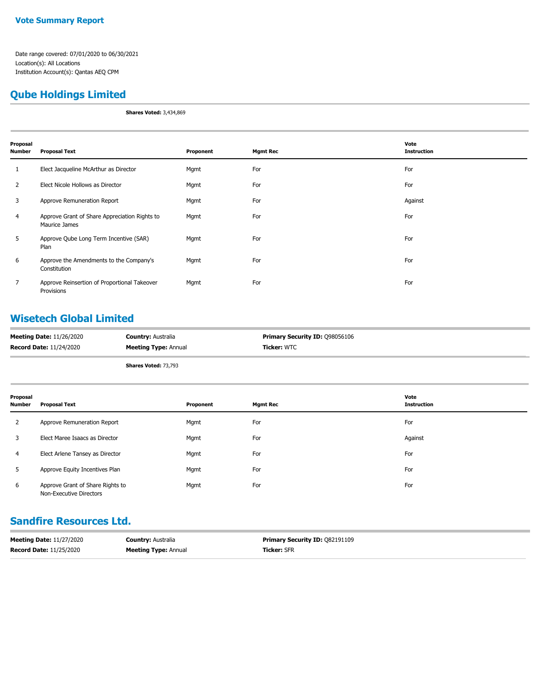#### **Qube Holdings Limited**

**Shares Voted:** 3,434,869

| Proposal<br>Number | <b>Proposal Text</b>                                           | Proponent | <b>Mgmt Rec</b> | Vote<br><b>Instruction</b> |
|--------------------|----------------------------------------------------------------|-----------|-----------------|----------------------------|
| $\mathbf{1}$       | Elect Jacqueline McArthur as Director                          | Mgmt      | For             | For                        |
| $\overline{2}$     | Elect Nicole Hollows as Director                               | Mgmt      | For             | For                        |
| 3                  | Approve Remuneration Report                                    | Mgmt      | For             | Against                    |
| $\overline{4}$     | Approve Grant of Share Appreciation Rights to<br>Maurice James | Mgmt      | For             | For                        |
| 5                  | Approve Qube Long Term Incentive (SAR)<br>Plan                 | Mgmt      | For             | For                        |
| 6                  | Approve the Amendments to the Company's<br>Constitution        | Mgmt      | For             | For                        |
| 7                  | Approve Reinsertion of Proportional Takeover<br>Provisions     | Mgmt      | For             | For                        |

#### **Wisetech Global Limited**

| <b>Meeting Date: 11/26/2020</b> | <b>Country: Australia</b>   | <b>Primary Security ID: 098056106</b> |
|---------------------------------|-----------------------------|---------------------------------------|
| <b>Record Date: 11/24/2020</b>  | <b>Meeting Type: Annual</b> | Ticker: WTC                           |
|                                 |                             |                                       |

**Shares Voted:** 73,793

| Proposal<br><b>Number</b> | <b>Proposal Text</b>                                        | Proponent | <b>Mgmt Rec</b> | Vote<br><b>Instruction</b> |
|---------------------------|-------------------------------------------------------------|-----------|-----------------|----------------------------|
| 2                         | Approve Remuneration Report                                 | Mgmt      | For             | For                        |
| 3                         | Elect Maree Isaacs as Director                              | Mgmt      | For             | Against                    |
| 4                         | Elect Arlene Tansey as Director                             | Mgmt      | For             | For                        |
| 5                         | Approve Equity Incentives Plan                              | Mgmt      | For             | For                        |
| 6                         | Approve Grant of Share Rights to<br>Non-Executive Directors | Mgmt      | For             | For                        |

#### **Sandfire Resources Ltd.**

| <b>Meeting Date: 11/27/2020</b> | <b>Country: Australia</b>   | <b>Primary Security ID: 082191109</b> |
|---------------------------------|-----------------------------|---------------------------------------|
| <b>Record Date: 11/25/2020</b>  | <b>Meeting Type: Annual</b> | <b>Ticker: SFR</b>                    |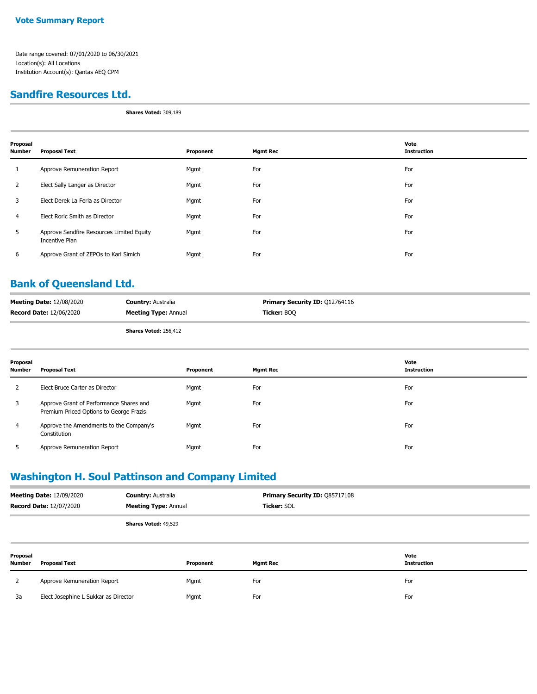#### **Sandfire Resources Ltd.**

**Shares Voted:** 309,189

| Proposal<br><b>Number</b> | <b>Proposal Text</b>                                        | Proponent | <b>Mgmt Rec</b> | Vote<br>Instruction |
|---------------------------|-------------------------------------------------------------|-----------|-----------------|---------------------|
| 1                         | Approve Remuneration Report                                 | Mgmt      | For             | For                 |
| 2                         | Elect Sally Langer as Director                              | Mgmt      | For             | For                 |
| 3                         | Elect Derek La Ferla as Director                            | Mgmt      | For             | For                 |
| 4                         | Elect Roric Smith as Director                               | Mgmt      | For             | For                 |
| 5                         | Approve Sandfire Resources Limited Equity<br>Incentive Plan | Mgmt      | For             | For                 |
| 6                         | Approve Grant of ZEPOs to Karl Simich                       | Mgmt      | For             | For                 |

#### **Bank of Queensland Ltd.**

| <b>Meeting Date: 12/08/2020</b> | <b>Country: Australia</b>   | <b>Primary Security ID: 012764116</b> |
|---------------------------------|-----------------------------|---------------------------------------|
| <b>Record Date: 12/06/2020</b>  | <b>Meeting Type: Annual</b> | Ticker: BOO                           |
|                                 |                             |                                       |

**Shares Voted:** 256,412

| Proposal<br><b>Number</b> | <b>Proposal Text</b>                                                               | Proponent | <b>Mgmt Rec</b> | Vote<br><b>Instruction</b> |
|---------------------------|------------------------------------------------------------------------------------|-----------|-----------------|----------------------------|
| 2                         | Elect Bruce Carter as Director                                                     | Mgmt      | For             | For                        |
| 3                         | Approve Grant of Performance Shares and<br>Premium Priced Options to George Frazis | Mgmt      | For             | For                        |
| 4                         | Approve the Amendments to the Company's<br>Constitution                            | Mgmt      | For             | For                        |
| ר                         | Approve Remuneration Report                                                        | Mgmt      | For             | For                        |

### **Washington H. Soul Pattinson and Company Limited**

| <b>Meeting Date: 12/09/2020</b> | <b>Country: Australia</b>   | <b>Primary Security ID: Q85717108</b> |
|---------------------------------|-----------------------------|---------------------------------------|
| <b>Record Date: 12/07/2020</b>  | <b>Meeting Type: Annual</b> | <b>Ticker:</b> SOL                    |
|                                 | <b>Shares Voted: 49,529</b> |                                       |

| Proposal<br><b>Number</b> | <b>Proposal Text</b>                 | Proponent | <b>Mgmt Rec</b> | Vote<br><b>Instruction</b> |
|---------------------------|--------------------------------------|-----------|-----------------|----------------------------|
|                           | Approve Remuneration Report          | Mgmt      | For             | For                        |
| 3a                        | Elect Josephine L Sukkar as Director | Mgmt      | For             | For                        |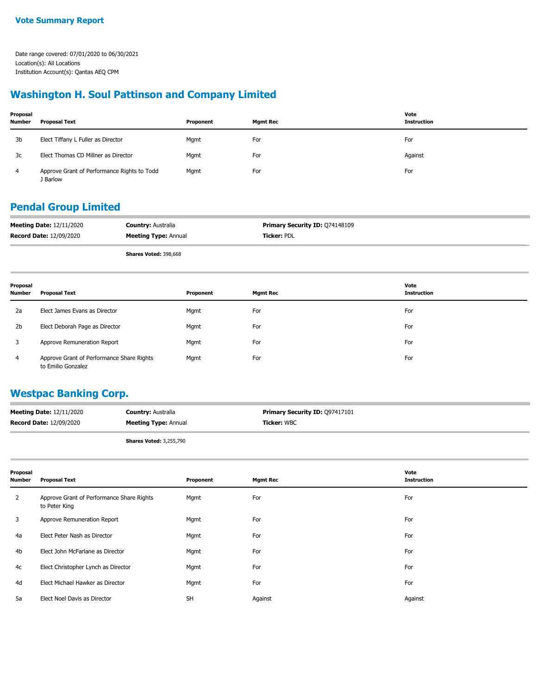#### **Washington H. Soul Pattinson and Company Limited**

| Proposal<br><b>Number</b> | <b>Proposal Text</b>                                    | Proponent | <b>Mgmt Rec</b> | Vote<br><b>Instruction</b> |
|---------------------------|---------------------------------------------------------|-----------|-----------------|----------------------------|
| 3b                        | Elect Tiffany L Fuller as Director                      | Mgmt      | For             | For                        |
| 3c                        | Elect Thomas CD Millner as Director                     | Mgmt      | For             | Against                    |
| 4                         | Approve Grant of Performance Rights to Todd<br>J Barlow | Mgmt      | For             | For                        |

#### **Pendal Group Limited**

| <b>Meeting Date: 12/11/2020</b> | <b>Country: Australia</b>   | <b>Primary Security ID: Q74148109</b> |
|---------------------------------|-----------------------------|---------------------------------------|
| <b>Record Date: 12/09/2020</b>  | <b>Meeting Type: Annual</b> | Ticker: PDL                           |
|                                 | Shares Voted: 398,668       |                                       |

| Proposal<br>Number | Proposal Text                                                   | Proponent | <b>Mgmt Rec</b> | Vote<br><b>Instruction</b> |
|--------------------|-----------------------------------------------------------------|-----------|-----------------|----------------------------|
| 2a                 | Elect James Evans as Director                                   | Mgmt      | For             | For                        |
| 2 <sub>b</sub>     | Elect Deborah Page as Director                                  | Mgmt      | For             | For                        |
|                    | Approve Remuneration Report                                     | Mgmt      | For             | For                        |
| 4                  | Approve Grant of Performance Share Rights<br>to Emilio Gonzalez | Mgmt      | For             | For                        |

#### **Westpac Banking Corp.**

| <b>Meeting Date: 12/11/2020</b> | <b>Country: Australia</b>   | <b>Primary Security ID: 097417101</b> |
|---------------------------------|-----------------------------|---------------------------------------|
| <b>Record Date: 12/09/2020</b>  | <b>Meeting Type: Annual</b> | <b>Ticker: WBC</b>                    |
|                                 |                             |                                       |

**Shares Voted:** 3,255,790

| Proposal<br><b>Number</b> | <b>Proposal Text</b>                                       | Proponent | <b>Mgmt Rec</b> | Vote<br><b>Instruction</b> |
|---------------------------|------------------------------------------------------------|-----------|-----------------|----------------------------|
| $\mathbf{2}$              | Approve Grant of Performance Share Rights<br>to Peter King | Mgmt      | For             | For                        |
| 3                         | Approve Remuneration Report                                | Mgmt      | For             | For                        |
| 4a                        | Elect Peter Nash as Director                               | Mgmt      | For             | For                        |
| 4b                        | Elect John McFarlane as Director                           | Mgmt      | For             | For                        |
| 4c                        | Elect Christopher Lynch as Director                        | Mgmt      | For             | For                        |
| 4d                        | Elect Michael Hawker as Director                           | Mgmt      | For             | For                        |
| 5a                        | Elect Noel Davis as Director                               | <b>SH</b> | Against         | Against                    |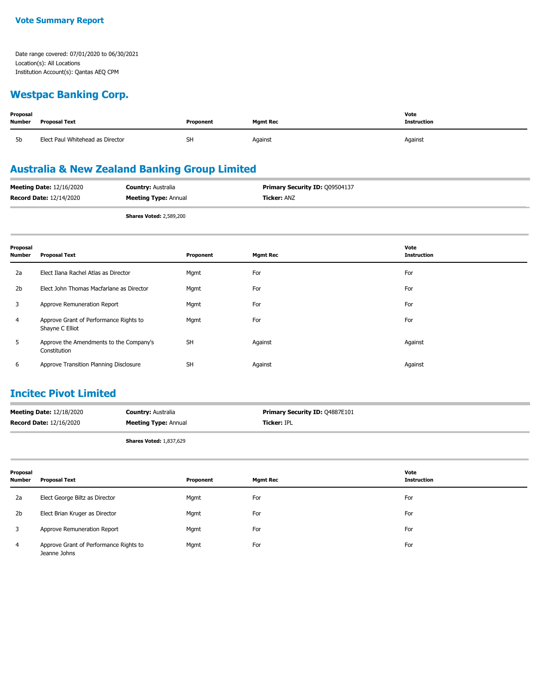#### **Westpac Banking Corp.**

| Proposal<br><b>Number</b> | <b>Proposal Text</b>             | Vote<br>Instruction |         |         |
|---------------------------|----------------------------------|---------------------|---------|---------|
| 5b                        | Elect Paul Whitehead as Director | <b>SH</b>           | Against | Against |

# **Australia & New Zealand Banking Group Limited**

| <b>Meeting Date: 12/16/2020</b> | <b>Country: Australia</b>      | <b>Primary Security ID: 009504137</b> |
|---------------------------------|--------------------------------|---------------------------------------|
| <b>Record Date: 12/14/2020</b>  | <b>Meeting Type: Annual</b>    | <b>Ticker:</b> ANZ                    |
|                                 | <b>Shares Voted: 2,589,200</b> |                                       |

| Proposal<br><b>Number</b> | <b>Proposal Text</b>                                      | Proponent | <b>Mgmt Rec</b> | Vote<br><b>Instruction</b> |
|---------------------------|-----------------------------------------------------------|-----------|-----------------|----------------------------|
| 2a                        | Elect Ilana Rachel Atlas as Director                      | Mgmt      | For             | For                        |
| 2 <sub>b</sub>            | Elect John Thomas Macfarlane as Director                  | Mgmt      | For             | For                        |
| 3                         | Approve Remuneration Report                               | Mgmt      | For             | For                        |
| $\overline{4}$            | Approve Grant of Performance Rights to<br>Shayne C Elliot | Mgmt      | For             | For                        |
| 5                         | Approve the Amendments to the Company's<br>Constitution   | <b>SH</b> | Against         | Against                    |
| 6                         | Approve Transition Planning Disclosure                    | <b>SH</b> | Against         | Against                    |

#### **Incitec Pivot Limited**

| <b>Meeting Date: 12/18/2020</b> | <b>Country: Australia</b>   | <b>Primary Security ID: 04887E101</b> |
|---------------------------------|-----------------------------|---------------------------------------|
| <b>Record Date: 12/16/2020</b>  | <b>Meeting Type: Annual</b> | <b>Ticker: IPL</b>                    |
|                                 |                             |                                       |

**Shares Voted:** 1,837,629

| Proposal<br><b>Number</b> | Proposal Text                                          | Proponent | <b>Mgmt Rec</b> | Vote<br><b>Instruction</b> |
|---------------------------|--------------------------------------------------------|-----------|-----------------|----------------------------|
| 2a                        | Elect George Biltz as Director                         | Mgmt      | For             | For                        |
| 2 <sub>b</sub>            | Elect Brian Kruger as Director                         | Mgmt      | For             | For                        |
|                           | Approve Remuneration Report                            | Mgmt      | For             | For                        |
| 4                         | Approve Grant of Performance Rights to<br>Jeanne Johns | Mgmt      | For             | For                        |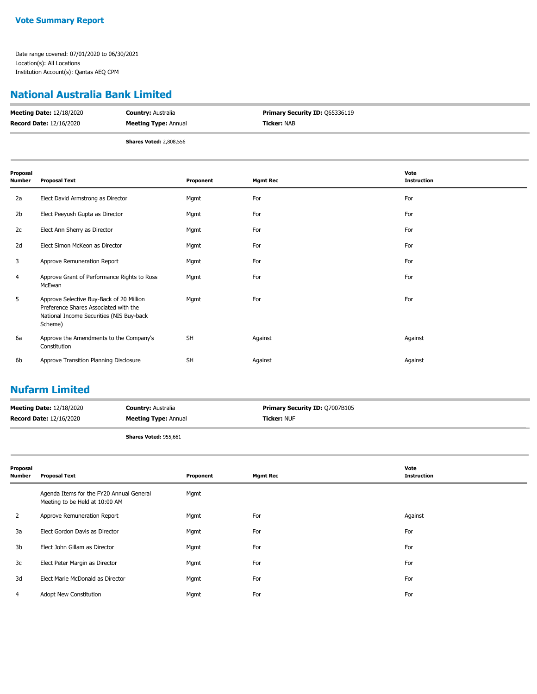#### **National Australia Bank Limited**

| <b>Meeting Date: 12/18/2020</b> | <b>Country: Australia</b>      | <b>Primary Security ID: 065336119</b> |
|---------------------------------|--------------------------------|---------------------------------------|
| <b>Record Date: 12/16/2020</b>  | <b>Meeting Type: Annual</b>    | <b>Ticker: NAB</b>                    |
|                                 | <b>Shares Voted: 2,808,556</b> |                                       |

| Proposal<br>Number | <b>Proposal Text</b>                                                                                                                     | Proponent | <b>Mgmt Rec</b> | Vote<br><b>Instruction</b> |
|--------------------|------------------------------------------------------------------------------------------------------------------------------------------|-----------|-----------------|----------------------------|
| 2a                 | Elect David Armstrong as Director                                                                                                        | Mgmt      | For             | For                        |
| 2 <sub>b</sub>     | Elect Peeyush Gupta as Director                                                                                                          | Mgmt      | For             | For                        |
| 2c                 | Elect Ann Sherry as Director                                                                                                             | Mgmt      | For             | For                        |
| 2d                 | Elect Simon McKeon as Director                                                                                                           | Mgmt      | For             | For                        |
| 3                  | Approve Remuneration Report                                                                                                              | Mgmt      | For             | For                        |
| 4                  | Approve Grant of Performance Rights to Ross<br>McEwan                                                                                    | Mgmt      | For             | For                        |
| 5                  | Approve Selective Buy-Back of 20 Million<br>Preference Shares Associated with the<br>National Income Securities (NIS Buy-back<br>Scheme) | Mgmt      | For             | For                        |
| 6a                 | Approve the Amendments to the Company's<br>Constitution                                                                                  | <b>SH</b> | Against         | Against                    |
| 6b                 | Approve Transition Planning Disclosure                                                                                                   | <b>SH</b> | Against         | Against                    |

# **Nufarm Limited**

| <b>Meeting Date: 12/18/2020</b> | <b>Country: Australia</b>   | <b>Primary Security ID: Q7007B105</b> |
|---------------------------------|-----------------------------|---------------------------------------|
| <b>Record Date: 12/16/2020</b>  | <b>Meeting Type: Annual</b> | <b>Ticker: NUF</b>                    |

**Shares Voted:** 955,661

| Proposal<br><b>Number</b> | <b>Proposal Text</b>                                                       | Proponent | <b>Mgmt Rec</b> | Vote<br><b>Instruction</b> |
|---------------------------|----------------------------------------------------------------------------|-----------|-----------------|----------------------------|
|                           | Agenda Items for the FY20 Annual General<br>Meeting to be Held at 10:00 AM | Mgmt      |                 |                            |
| $\overline{2}$            | Approve Remuneration Report                                                | Mgmt      | For             | Against                    |
| 3a                        | Elect Gordon Davis as Director                                             | Mgmt      | For             | For                        |
| 3b                        | Elect John Gillam as Director                                              | Mgmt      | For             | For                        |
| 3c                        | Elect Peter Margin as Director                                             | Mgmt      | For             | For                        |
| 3d                        | Elect Marie McDonald as Director                                           | Mgmt      | For             | For                        |
| 4                         | Adopt New Constitution                                                     | Mgmt      | For             | For                        |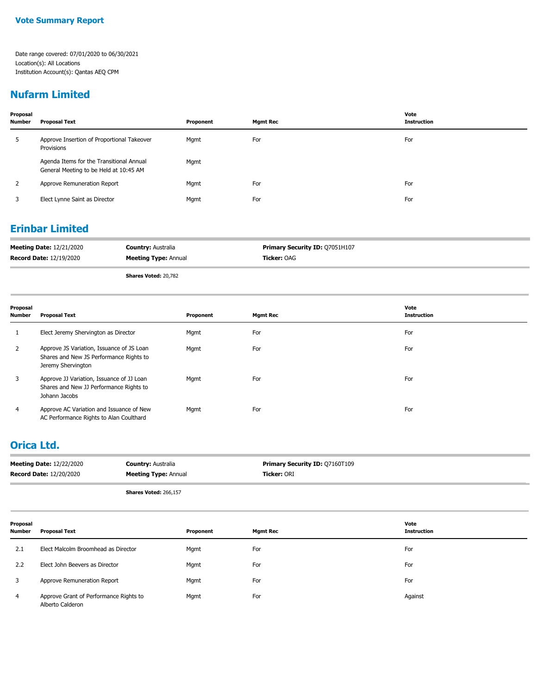### **Nufarm Limited**

| Proposal<br><b>Number</b> | Proposal Text                                                                      | Proponent | <b>Mgmt Rec</b> | Vote<br><b>Instruction</b> |
|---------------------------|------------------------------------------------------------------------------------|-----------|-----------------|----------------------------|
| 5                         | Approve Insertion of Proportional Takeover<br>Provisions                           | Mgmt      | For             | For                        |
|                           | Agenda Items for the Transitional Annual<br>General Meeting to be Held at 10:45 AM | Mgmt      |                 |                            |
| 2                         | Approve Remuneration Report                                                        | Mgmt      | For             | For                        |
| 3                         | Elect Lynne Saint as Director                                                      | Mgmt      | For             | For                        |

### **Erinbar Limited**

| <b>Meeting Date: 12/21/2020</b> | <b>Country: Australia</b>   | <b>Primary Security ID: 07051H107</b> |
|---------------------------------|-----------------------------|---------------------------------------|
| <b>Record Date: 12/19/2020</b>  | <b>Meeting Type: Annual</b> | <b>Ticker:</b> OAG                    |

**Shares Voted:** 20,782

| Proposal<br><b>Number</b> | <b>Proposal Text</b>                                                                                       | Proponent | <b>Mgmt Rec</b> | Vote<br><b>Instruction</b> |
|---------------------------|------------------------------------------------------------------------------------------------------------|-----------|-----------------|----------------------------|
|                           | Elect Jeremy Shervington as Director                                                                       | Mgmt      | For             | For                        |
| 2                         | Approve JS Variation, Issuance of JS Loan<br>Shares and New JS Performance Rights to<br>Jeremy Shervington | Mgmt      | For             | For                        |
| 3                         | Approve JJ Variation, Issuance of JJ Loan<br>Shares and New JJ Performance Rights to<br>Johann Jacobs      | Mgmt      | For             | For                        |
| 4                         | Approve AC Variation and Issuance of New<br>AC Performance Rights to Alan Coulthard                        | Mgmt      | For             | For                        |

#### **Orica Ltd.**

| <b>Meeting Date: 12/22/2020</b> | <b>Country: Australia</b>   | <b>Primary Security ID: 07160T109</b> |
|---------------------------------|-----------------------------|---------------------------------------|
| <b>Record Date: 12/20/2020</b>  | <b>Meeting Type: Annual</b> | Ticker: ORI                           |
|                                 |                             |                                       |

**Shares Voted:** 266,157

| Proposal<br>Number | <b>Proposal Text</b>                                       | Proponent | <b>Mgmt Rec</b> | Vote<br>Instruction |
|--------------------|------------------------------------------------------------|-----------|-----------------|---------------------|
| 2.1                | Elect Malcolm Broomhead as Director                        | Mgmt      | For             | For                 |
| 2.2                | Elect John Beevers as Director                             | Mgmt      | For             | For                 |
|                    | Approve Remuneration Report                                | Mgmt      | For             | For                 |
| 4                  | Approve Grant of Performance Rights to<br>Alberto Calderon | Mgmt      | For             | Against             |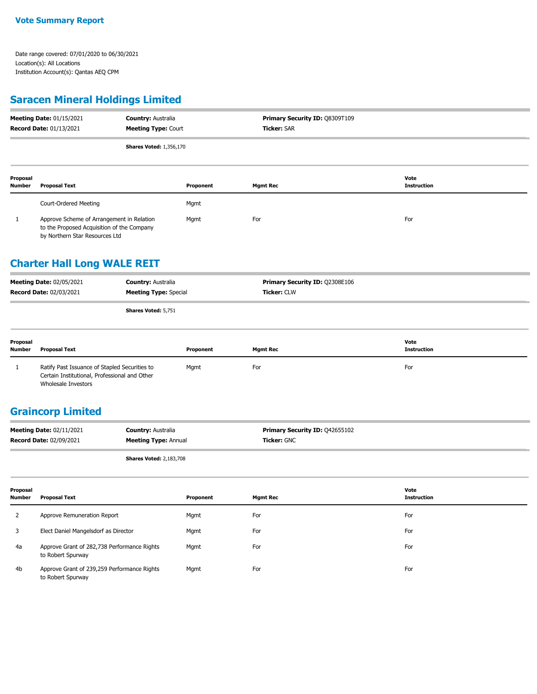#### **Vote Summary Report**

Date range covered: 07/01/2020 to 06/30/2021 Location(s): All Locations Institution Account(s): Qantas AEQ CPM

# **Saracen Mineral Holdings Limited**

| <b>Meeting Date: 01/15/2021</b><br>Record Date: 01/13/2021 |                                                                                                                           | <b>Country: Australia</b><br>Primary Security ID: Q8309T109<br><b>Ticker: SAR</b><br><b>Meeting Type: Court</b> |           |                                |                            |
|------------------------------------------------------------|---------------------------------------------------------------------------------------------------------------------------|-----------------------------------------------------------------------------------------------------------------|-----------|--------------------------------|----------------------------|
|                                                            |                                                                                                                           | <b>Shares Voted: 1,356,170</b>                                                                                  |           |                                |                            |
| Proposal<br><b>Number</b>                                  | <b>Proposal Text</b>                                                                                                      |                                                                                                                 | Proponent | <b>Mgmt Rec</b>                | Vote<br><b>Instruction</b> |
|                                                            | Court-Ordered Meeting                                                                                                     |                                                                                                                 | Mgmt      |                                |                            |
| $\mathbf{1}$                                               | Approve Scheme of Arrangement in Relation<br>to the Proposed Acquisition of the Company<br>by Northern Star Resources Ltd |                                                                                                                 | Mgmt      | For                            | For                        |
|                                                            | <b>Charter Hall Long WALE REIT</b>                                                                                        |                                                                                                                 |           |                                |                            |
|                                                            | Meeting Date: 02/05/2021                                                                                                  | <b>Country: Australia</b>                                                                                       |           | Primary Security ID: Q2308E106 |                            |
|                                                            | Record Date: 02/03/2021                                                                                                   | <b>Meeting Type: Special</b>                                                                                    |           | Ticker: CLW                    |                            |
|                                                            |                                                                                                                           | Shares Voted: 5,751                                                                                             |           |                                |                            |
| Proposal<br><b>Number</b>                                  | <b>Proposal Text</b>                                                                                                      |                                                                                                                 | Proponent | <b>Mgmt Rec</b>                | Vote<br><b>Instruction</b> |
| 1                                                          | Ratify Past Issuance of Stapled Securities to<br>Certain Institutional, Professional and Other<br>Wholesale Investors     |                                                                                                                 | Mgmt      | For                            | For                        |
|                                                            | <b>Graincorp Limited</b>                                                                                                  |                                                                                                                 |           |                                |                            |
|                                                            | Meeting Date: 02/11/2021                                                                                                  | <b>Country: Australia</b>                                                                                       |           | Primary Security ID: Q42655102 |                            |
|                                                            | <b>Record Date: 02/09/2021</b>                                                                                            | <b>Meeting Type: Annual</b>                                                                                     |           | Ticker: GNC                    |                            |
|                                                            |                                                                                                                           | <b>Shares Voted: 2,183,708</b>                                                                                  |           |                                |                            |
| Proposal<br>Number                                         | <b>Proposal Text</b>                                                                                                      |                                                                                                                 | Proponent | <b>Mgmt Rec</b>                | Vote<br><b>Instruction</b> |
| 2                                                          | Approve Remuneration Report                                                                                               |                                                                                                                 | Mgmt      | For                            | For                        |
| 3                                                          | Elect Daniel Mangelsdorf as Director                                                                                      |                                                                                                                 | Mgmt      | For                            | For                        |
| 4a                                                         | Approve Grant of 282,738 Performance Rights<br>to Robert Spurway                                                          |                                                                                                                 | Mgmt      | For                            | For                        |

Approve Grant of 239,259 Performance Rights Mgmt For For to Robert Spurway 4b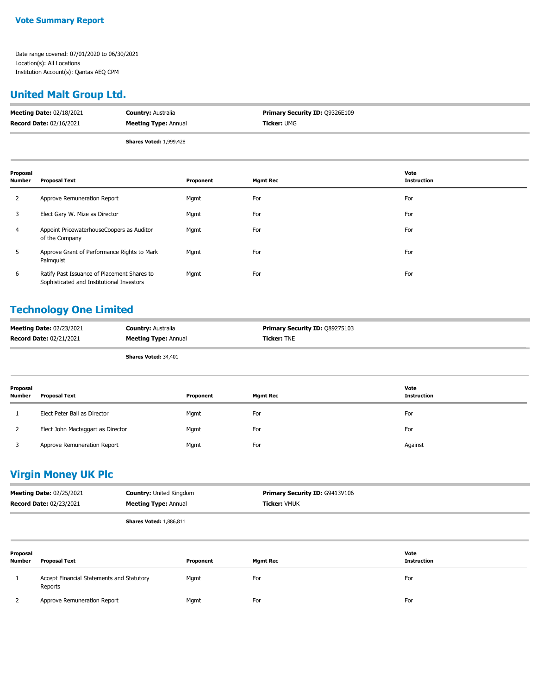#### **United Malt Group Ltd.**

| <b>Meeting Date: 02/18/2021</b> | <b>Country: Australia</b>      | <b>Primary Security ID: 09326E109</b> |
|---------------------------------|--------------------------------|---------------------------------------|
| <b>Record Date: 02/16/2021</b>  | <b>Meeting Type: Annual</b>    | <b>Ticker:</b> UMG                    |
|                                 | <b>Shares Voted: 1,999,428</b> |                                       |

| Proposal<br><b>Number</b> | <b>Proposal Text</b>                                                                     | Proponent | <b>Mgmt Rec</b> | Vote<br><b>Instruction</b> |
|---------------------------|------------------------------------------------------------------------------------------|-----------|-----------------|----------------------------|
| 2                         | Approve Remuneration Report                                                              | Mgmt      | For             | For                        |
| 3                         | Elect Gary W. Mize as Director                                                           | Mgmt      | For             | For                        |
| $\overline{4}$            | Appoint PricewaterhouseCoopers as Auditor<br>of the Company                              | Mgmt      | For             | For                        |
| 5                         | Approve Grant of Performance Rights to Mark<br>Palmquist                                 | Mgmt      | For             | For                        |
| 6                         | Ratify Past Issuance of Placement Shares to<br>Sophisticated and Institutional Investors | Mgmt      | For             | For                        |

#### **Technology One Limited**

| <b>Meeting Date: 02/23/2021</b> | <b>Country: Australia</b>   | <b>Primary Security ID: 089275103</b> |
|---------------------------------|-----------------------------|---------------------------------------|
| <b>Record Date: 02/21/2021</b>  | <b>Meeting Type: Annual</b> | <b>Ticker: TNE</b>                    |
|                                 |                             |                                       |

**Shares Voted:** 34,401

| Proposal<br>Number | <b>Proposal Text</b>              | Proponent | <b>Mgmt Rec</b> | Vote<br>Instruction |
|--------------------|-----------------------------------|-----------|-----------------|---------------------|
|                    | Elect Peter Ball as Director      | Mgmt      | For             | For                 |
| 2                  | Elect John Mactaggart as Director | Mgmt      | For             | For                 |
|                    | Approve Remuneration Report       | Mgmt      | For             | Against             |

# **Virgin Money UK Plc**

| <b>Meeting Date: 02/25/2021</b> | <b>Country: United Kingdom</b> | <b>Primary Security ID: G9413V106</b> |
|---------------------------------|--------------------------------|---------------------------------------|
| <b>Record Date: 02/23/2021</b>  | <b>Meeting Type: Annual</b>    | <b>Ticker: VMUK</b>                   |
|                                 |                                |                                       |

**Shares Voted:** 1,886,811

| Proposal<br>Number | <b>Proposal Text</b>                                 | Proponent | <b>Mgmt Rec</b> | Vote<br><b>Instruction</b> |
|--------------------|------------------------------------------------------|-----------|-----------------|----------------------------|
| Ι.                 | Accept Financial Statements and Statutory<br>Reports | Mgmt      | For             | For                        |
|                    | Approve Remuneration Report                          | Mgmt      | For             | For                        |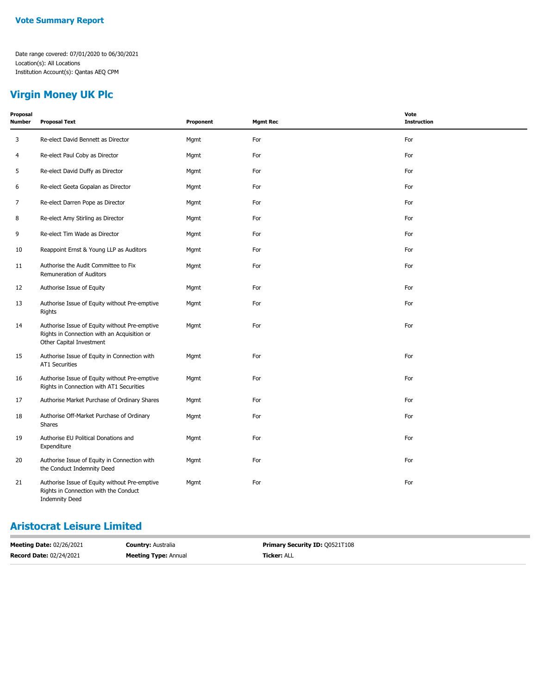# **Virgin Money UK Plc**

| Proposal<br><b>Number</b> | <b>Proposal Text</b>                                                                                                     | Proponent | <b>Mgmt Rec</b> | Vote<br><b>Instruction</b> |
|---------------------------|--------------------------------------------------------------------------------------------------------------------------|-----------|-----------------|----------------------------|
| 3                         | Re-elect David Bennett as Director                                                                                       | Mgmt      | For             | For                        |
| 4                         | Re-elect Paul Coby as Director                                                                                           | Mgmt      | For             | For                        |
| 5                         | Re-elect David Duffy as Director                                                                                         | Mgmt      | For             | For                        |
| 6                         | Re-elect Geeta Gopalan as Director                                                                                       | Mgmt      | For             | For                        |
| $\overline{7}$            | Re-elect Darren Pope as Director                                                                                         | Mgmt      | For             | For                        |
| 8                         | Re-elect Amy Stirling as Director                                                                                        | Mgmt      | For             | For                        |
| 9                         | Re-elect Tim Wade as Director                                                                                            | Mgmt      | For             | For                        |
| 10                        | Reappoint Ernst & Young LLP as Auditors                                                                                  | Mgmt      | For             | For                        |
| 11                        | Authorise the Audit Committee to Fix<br>Remuneration of Auditors                                                         | Mgmt      | For             | For                        |
| 12                        | Authorise Issue of Equity                                                                                                | Mgmt      | For             | For                        |
| 13                        | Authorise Issue of Equity without Pre-emptive<br>Rights                                                                  | Mgmt      | For             | For                        |
| 14                        | Authorise Issue of Equity without Pre-emptive<br>Rights in Connection with an Acquisition or<br>Other Capital Investment | Mgmt      | For             | For                        |
| 15                        | Authorise Issue of Equity in Connection with<br><b>AT1 Securities</b>                                                    | Mgmt      | For             | For                        |
| 16                        | Authorise Issue of Equity without Pre-emptive<br>Rights in Connection with AT1 Securities                                | Mgmt      | For             | For                        |
| 17                        | Authorise Market Purchase of Ordinary Shares                                                                             | Mgmt      | For             | For                        |
| 18                        | Authorise Off-Market Purchase of Ordinary<br>Shares                                                                      | Mgmt      | For             | For                        |
| 19                        | Authorise EU Political Donations and<br>Expenditure                                                                      | Mgmt      | For             | For                        |
| 20                        | Authorise Issue of Equity in Connection with<br>the Conduct Indemnity Deed                                               | Mgmt      | For             | For                        |
| 21                        | Authorise Issue of Equity without Pre-emptive<br>Rights in Connection with the Conduct<br><b>Indemnity Deed</b>          | Mgmt      | For             | For                        |

### **Aristocrat Leisure Limited**

| <b>Meeting Date: 02/26/2021</b> | <b>Country:</b> Australia   | <b>Primary Security ID: 00521T108</b> |
|---------------------------------|-----------------------------|---------------------------------------|
| <b>Record Date: 02/24/2021</b>  | <b>Meeting Type: Annual</b> | <b>Ticker: ALL</b>                    |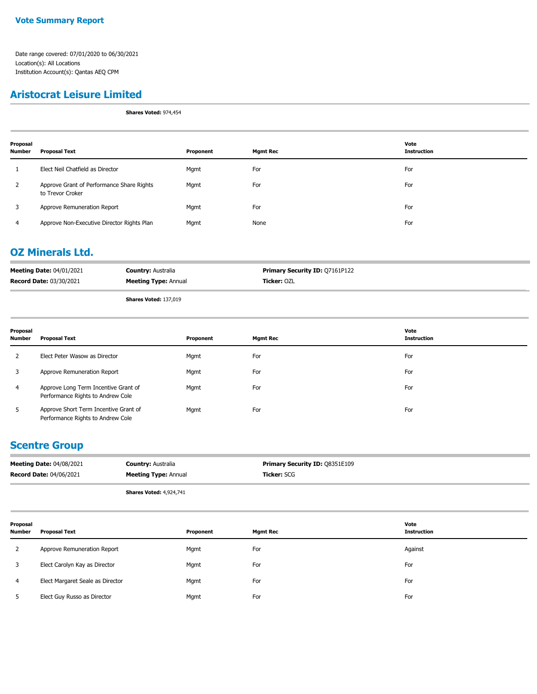#### **Aristocrat Leisure Limited**

**Shares Voted:** 974,454

| Proposal<br><b>Number</b> | <b>Proposal Text</b>                                          | Proponent | <b>Mgmt Rec</b> | Vote<br><b>Instruction</b> |
|---------------------------|---------------------------------------------------------------|-----------|-----------------|----------------------------|
|                           | Elect Neil Chatfield as Director                              | Mgmt      | For             | For                        |
| 2                         | Approve Grant of Performance Share Rights<br>to Trevor Croker | Mgmt      | For             | For                        |
| 3                         | Approve Remuneration Report                                   | Mgmt      | For             | For                        |
| 4                         | Approve Non-Executive Director Rights Plan                    | Mgmt      | None            | For                        |

## **OZ Minerals Ltd.**

|                                 | Chapter Makedy 197,010      |                                       |
|---------------------------------|-----------------------------|---------------------------------------|
| <b>Record Date: 03/30/2021</b>  | <b>Meeting Type: Annual</b> | <b>Ticker:</b> OZL                    |
| <b>Meeting Date: 04/01/2021</b> | <b>Country: Australia</b>   | <b>Primary Security ID: 07161P122</b> |

**Shares Voted:** 137,019

| Proposal<br><b>Number</b> | <b>Proposal Text</b>                                                       | Proponent | <b>Mgmt Rec</b> | Vote<br><b>Instruction</b> |
|---------------------------|----------------------------------------------------------------------------|-----------|-----------------|----------------------------|
|                           | Elect Peter Wasow as Director                                              | Mgmt      | For             | For                        |
| 3                         | Approve Remuneration Report                                                | Mgmt      | For             | For                        |
| 4                         | Approve Long Term Incentive Grant of<br>Performance Rights to Andrew Cole  | Mgmt      | For             | For                        |
| 5                         | Approve Short Term Incentive Grant of<br>Performance Rights to Andrew Cole | Mgmt      | For             | For                        |

#### **Scentre Group**

| <b>Meeting Date: 04/08/2021</b> | <b>Country: Australia</b>   | <b>Primary Security ID: Q8351E109</b> |
|---------------------------------|-----------------------------|---------------------------------------|
| <b>Record Date: 04/06/2021</b>  | <b>Meeting Type: Annual</b> | <b>Ticker:</b> SCG                    |
|                                 |                             |                                       |

 $\overline{\phantom{0}}$ 

 $\overline{\phantom{0}}$ 

**Shares Voted:** 4,924,741

| Proposal<br><b>Number</b> | <b>Proposal Text</b>             | Proponent | <b>Mgmt Rec</b> | Vote<br><b>Instruction</b> |
|---------------------------|----------------------------------|-----------|-----------------|----------------------------|
| 2                         | Approve Remuneration Report      | Mgmt      | For             | Against                    |
| 3                         | Elect Carolyn Kay as Director    | Mgmt      | For             | For                        |
| $\overline{4}$            | Elect Margaret Seale as Director | Mgmt      | For             | For                        |
|                           | Elect Guy Russo as Director      | Mgmt      | For             | For                        |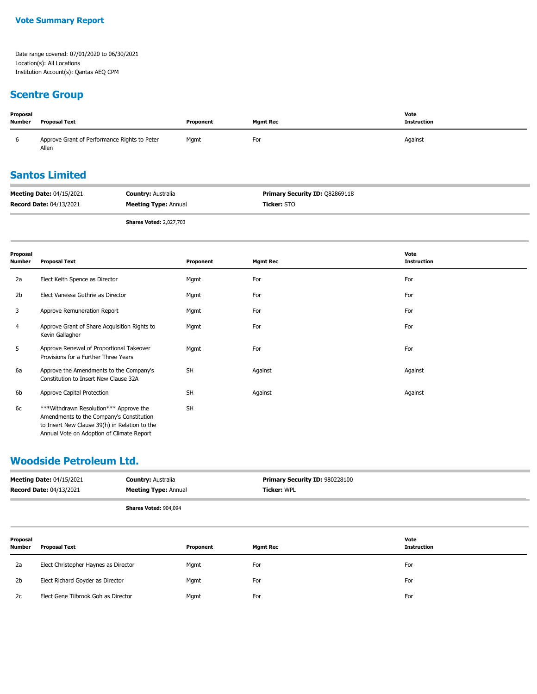# **Scentre Group**

| Proposal<br><b>Number</b> | <b>Proposal Text</b>                                  | Proponent | Mgmt Rec | Vote<br><b>Instruction</b> |
|---------------------------|-------------------------------------------------------|-----------|----------|----------------------------|
| b                         | Approve Grant of Performance Rights to Peter<br>Allen | Mgmt      | For      | Against                    |

# **Santos Limited**

| <b>Record Date: 04/13/2021</b>  | <b>Meeting Type: Annual</b> | <b>Ticker:</b> STO                    |
|---------------------------------|-----------------------------|---------------------------------------|
| <b>Meeting Date: 04/15/2021</b> | <b>Country: Australia</b>   | <b>Primary Security ID: 082869118</b> |

**Shares Voted:** 2,027,703

| Proposal<br><b>Number</b> | <b>Proposal Text</b>                                                                                                                                                             | Proponent | <b>Mgmt Rec</b> | Vote<br><b>Instruction</b> |
|---------------------------|----------------------------------------------------------------------------------------------------------------------------------------------------------------------------------|-----------|-----------------|----------------------------|
| 2a                        | Elect Keith Spence as Director                                                                                                                                                   | Mgmt      | For             | For                        |
| 2 <sub>b</sub>            | Elect Vanessa Guthrie as Director                                                                                                                                                | Mgmt      | For             | For                        |
| 3                         | Approve Remuneration Report                                                                                                                                                      | Mgmt      | For             | For                        |
| 4                         | Approve Grant of Share Acquisition Rights to<br>Kevin Gallagher                                                                                                                  | Mgmt      | For             | For                        |
| 5                         | Approve Renewal of Proportional Takeover<br>Provisions for a Further Three Years                                                                                                 | Mgmt      | For             | For                        |
| 6a                        | Approve the Amendments to the Company's<br>Constitution to Insert New Clause 32A                                                                                                 | <b>SH</b> | Against         | Against                    |
| 6b                        | Approve Capital Protection                                                                                                                                                       | <b>SH</b> | Against         | Against                    |
| 6c                        | ***Withdrawn Resolution*** Approve the<br>Amendments to the Company's Constitution<br>to Insert New Clause 39(h) in Relation to the<br>Annual Vote on Adoption of Climate Report | <b>SH</b> |                 |                            |

### **Woodside Petroleum Ltd.**

|                           | <b>Meeting Date: 04/15/2021</b><br><b>Record Date: 04/13/2021</b> | <b>Country: Australia</b><br><b>Meeting Type: Annual</b> |           | Primary Security ID: 980228100<br><b>Ticker: WPL</b> |                            |
|---------------------------|-------------------------------------------------------------------|----------------------------------------------------------|-----------|------------------------------------------------------|----------------------------|
|                           |                                                                   | Shares Voted: 904,094                                    |           |                                                      |                            |
| Proposal<br><b>Number</b> | <b>Proposal Text</b>                                              |                                                          | Proponent | <b>Mgmt Rec</b>                                      | Vote<br><b>Instruction</b> |
| 2a                        | Elect Christopher Haynes as Director                              |                                                          | Mgmt      | For                                                  | For                        |
| 2 <sub>b</sub>            | Elect Richard Goyder as Director                                  |                                                          | Mgmt      | For                                                  | For                        |
| 2c                        | Elect Gene Tilbrook Goh as Director                               |                                                          | Mgmt      | For                                                  | For                        |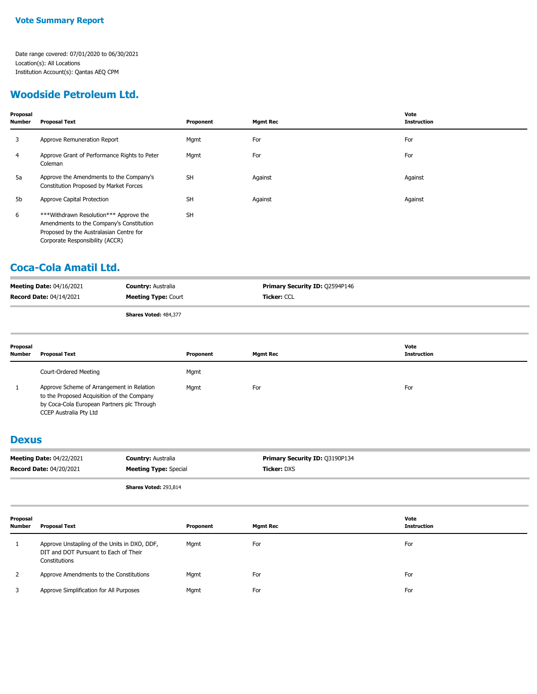### **Woodside Petroleum Ltd.**

| Proposal<br>Number | Proposal Text                                                                                                                                                    | Proponent | <b>Mgmt Rec</b> | Vote<br><b>Instruction</b> |
|--------------------|------------------------------------------------------------------------------------------------------------------------------------------------------------------|-----------|-----------------|----------------------------|
| 3                  | Approve Remuneration Report                                                                                                                                      | Mgmt      | For             | For                        |
| 4                  | Approve Grant of Performance Rights to Peter<br>Coleman                                                                                                          | Mgmt      | For             | For                        |
| 5a                 | Approve the Amendments to the Company's<br>Constitution Proposed by Market Forces                                                                                | <b>SH</b> | Against         | Against                    |
| 5b                 | Approve Capital Protection                                                                                                                                       | <b>SH</b> | Against         | Against                    |
| 6                  | ***Withdrawn Resolution*** Approve the<br>Amendments to the Company's Constitution<br>Proposed by the Australasian Centre for<br>Corporate Responsibility (ACCR) | <b>SH</b> |                 |                            |

### **Coca-Cola Amatil Ltd.**

| <b>Meeting Date: 04/16/2021</b> | <b>Country: Australia</b>  | <b>Primary Security ID: 02594P146</b> |
|---------------------------------|----------------------------|---------------------------------------|
| <b>Record Date: 04/14/2021</b>  | <b>Meeting Type: Court</b> | <b>Ticker: CCL</b>                    |
|                                 | Shares Voted: 484,377      |                                       |

| Proposal<br><b>Number</b> | Proposal Text                                                                                                                                                   | Proponent | Mgmt Rec | Vote<br>Instruction |
|---------------------------|-----------------------------------------------------------------------------------------------------------------------------------------------------------------|-----------|----------|---------------------|
|                           | Court-Ordered Meeting                                                                                                                                           | Mgmt      |          |                     |
|                           | Approve Scheme of Arrangement in Relation<br>to the Proposed Acquisition of the Company<br>by Coca-Cola European Partners plc Through<br>CCEP Australia Pty Ltd | Mgmt      | For      | For                 |

#### **Dexus**

| <b>Meeting Date: 04/22/2021</b> | <b>Country: Australia</b>    | <b>Primary Security ID: Q3190P134</b> |
|---------------------------------|------------------------------|---------------------------------------|
| <b>Record Date: 04/20/2021</b>  | <b>Meeting Type: Special</b> | <b>Ticker: DXS</b>                    |
|                                 | <b>Shares Voted: 293,814</b> |                                       |

| Proposal<br><b>Number</b> | Proposal Text                                                                                          | Proponent | <b>Mgmt Rec</b> | Vote<br><b>Instruction</b> |
|---------------------------|--------------------------------------------------------------------------------------------------------|-----------|-----------------|----------------------------|
|                           | Approve Unstapling of the Units in DXO, DDF,<br>DIT and DOT Pursuant to Each of Their<br>Constitutions | Mgmt      | For             | For                        |
|                           | Approve Amendments to the Constitutions                                                                | Mgmt      | For             | For                        |
|                           | Approve Simplification for All Purposes                                                                | Mgmt      | For             | For                        |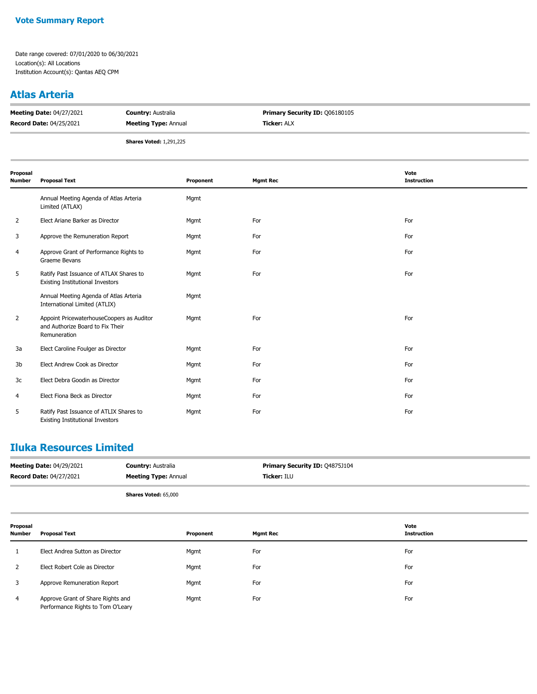#### **Atlas Arteria**

| <b>Meeting Date: 04/27/2021</b> | <b>Country: Australia</b>      | <b>Primary Security ID: 006180105</b> |
|---------------------------------|--------------------------------|---------------------------------------|
| <b>Record Date: 04/25/2021</b>  | <b>Meeting Type: Annual</b>    | <b>Ticker: ALX</b>                    |
|                                 | <b>Shares Voted: 1,291,225</b> |                                       |

| Proposal<br><b>Number</b> | <b>Proposal Text</b>                                                                          | Proponent | <b>Mgmt Rec</b> | Vote<br><b>Instruction</b> |
|---------------------------|-----------------------------------------------------------------------------------------------|-----------|-----------------|----------------------------|
|                           | Annual Meeting Agenda of Atlas Arteria<br>Limited (ATLAX)                                     | Mgmt      |                 |                            |
| 2                         | Elect Ariane Barker as Director                                                               | Mgmt      | For             | For                        |
| 3                         | Approve the Remuneration Report                                                               | Mgmt      | For             | For                        |
| 4                         | Approve Grant of Performance Rights to<br>Graeme Bevans                                       | Mgmt      | For             | For                        |
| 5                         | Ratify Past Issuance of ATLAX Shares to<br><b>Existing Institutional Investors</b>            | Mgmt      | For             | For                        |
|                           | Annual Meeting Agenda of Atlas Arteria<br>International Limited (ATLIX)                       | Mgmt      |                 |                            |
| $\overline{2}$            | Appoint PricewaterhouseCoopers as Auditor<br>and Authorize Board to Fix Their<br>Remuneration | Mgmt      | For             | For                        |
| 3a                        | Elect Caroline Foulger as Director                                                            | Mgmt      | For             | For                        |
| 3b                        | Elect Andrew Cook as Director                                                                 | Mgmt      | For             | For                        |
| 3c                        | Elect Debra Goodin as Director                                                                | Mgmt      | For             | For                        |
| 4                         | Elect Fiona Beck as Director                                                                  | Mgmt      | For             | For                        |
| 5                         | Ratify Past Issuance of ATLIX Shares to<br><b>Existing Institutional Investors</b>            | Mgmt      | For             | For                        |

### **Iluka Resources Limited**

| <b>Meeting Date: 04/29/2021</b> | <b>Country: Australia</b>   | <b>Primary Security ID: 04875J104</b> |
|---------------------------------|-----------------------------|---------------------------------------|
| <b>Record Date: 04/27/2021</b>  | <b>Meeting Type: Annual</b> | <b>Ticker: ILU</b>                    |
|                                 | <b>Shares Voted: 65,000</b> |                                       |

| Proposal<br>Number | <b>Proposal Text</b>                                                   | Proponent | <b>Mgmt Rec</b> | Vote<br><b>Instruction</b> |
|--------------------|------------------------------------------------------------------------|-----------|-----------------|----------------------------|
|                    | Elect Andrea Sutton as Director                                        | Mgmt      | For             | For                        |
|                    | Elect Robert Cole as Director                                          | Mgmt      | For             | For                        |
|                    | Approve Remuneration Report                                            | Mgmt      | For             | For                        |
| 4                  | Approve Grant of Share Rights and<br>Performance Rights to Tom O'Leary | Mgmt      | For             | For                        |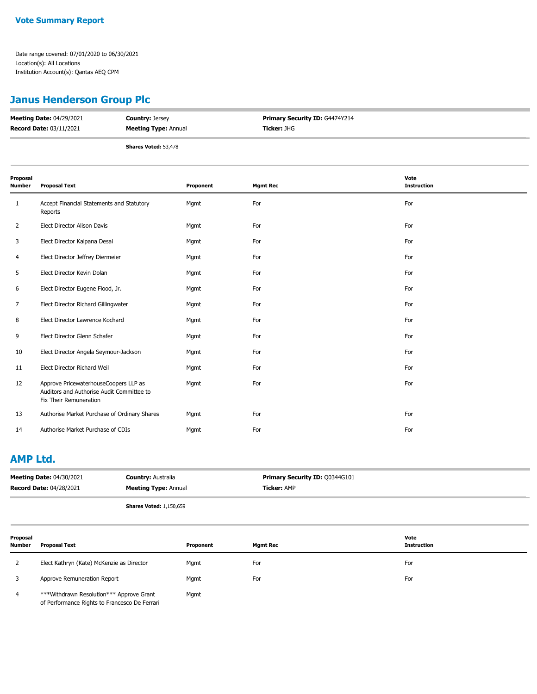# **Janus Henderson Group Plc**

| <b>Meeting Date: 04/29/2021</b> | <b>Country: Jersey</b>      | <b>Primary Security ID: G4474Y214</b> |
|---------------------------------|-----------------------------|---------------------------------------|
| <b>Record Date: 03/11/2021</b>  | <b>Meeting Type: Annual</b> | <b>Ticker: JHG</b>                    |
|                                 | <b>Shares Voted: 53,478</b> |                                       |

| Proposal<br>Number | <b>Proposal Text</b>                                                                                         | Proponent | <b>Mgmt Rec</b> | Vote<br><b>Instruction</b> |
|--------------------|--------------------------------------------------------------------------------------------------------------|-----------|-----------------|----------------------------|
| 1                  | Accept Financial Statements and Statutory<br>Reports                                                         | Mgmt      | For             | For                        |
| $\overline{2}$     | Elect Director Alison Davis                                                                                  | Mgmt      | For             | For                        |
| 3                  | Elect Director Kalpana Desai                                                                                 | Mgmt      | For             | For                        |
| 4                  | Elect Director Jeffrey Diermeier                                                                             | Mgmt      | For             | For                        |
| 5                  | Elect Director Kevin Dolan                                                                                   | Mgmt      | For             | For                        |
| 6                  | Elect Director Eugene Flood, Jr.                                                                             | Mgmt      | For             | For                        |
| 7                  | Elect Director Richard Gillingwater                                                                          | Mgmt      | For             | For                        |
| 8                  | Elect Director Lawrence Kochard                                                                              | Mgmt      | For             | For                        |
| 9                  | Elect Director Glenn Schafer                                                                                 | Mgmt      | For             | For                        |
| 10                 | Elect Director Angela Seymour-Jackson                                                                        | Mgmt      | For             | For                        |
| 11                 | Elect Director Richard Weil                                                                                  | Mgmt      | For             | For                        |
| 12                 | Approve PricewaterhouseCoopers LLP as<br>Auditors and Authorise Audit Committee to<br>Fix Their Remuneration | Mgmt      | For             | For                        |
| 13                 | Authorise Market Purchase of Ordinary Shares                                                                 | Mgmt      | For             | For                        |
| 14                 | Authorise Market Purchase of CDIs                                                                            | Mgmt      | For             | For                        |

#### **AMP Ltd.**

| <b>Meeting Date: 04/30/2021</b><br><b>Record Date: 04/28/2021</b> |                                                                                                     | <b>Country: Australia</b><br><b>Meeting Type: Annual</b> |           | Primary Security ID: Q0344G101<br><b>Ticker: AMP</b> |                            |
|-------------------------------------------------------------------|-----------------------------------------------------------------------------------------------------|----------------------------------------------------------|-----------|------------------------------------------------------|----------------------------|
| <b>Shares Voted: 1,150,659</b>                                    |                                                                                                     |                                                          |           |                                                      |                            |
| Proposal<br><b>Number</b>                                         | <b>Proposal Text</b>                                                                                |                                                          | Proponent | <b>Mgmt Rec</b>                                      | Vote<br><b>Instruction</b> |
| 2                                                                 | Elect Kathryn (Kate) McKenzie as Director                                                           |                                                          | Mgmt      | For                                                  | For                        |
| 3                                                                 | Approve Remuneration Report                                                                         |                                                          | Mgmt      | For                                                  | For                        |
| $\overline{4}$                                                    | *** Withdrawn Resolution *** Approve Grant<br>Mgmt<br>of Performance Rights to Francesco De Ferrari |                                                          |           |                                                      |                            |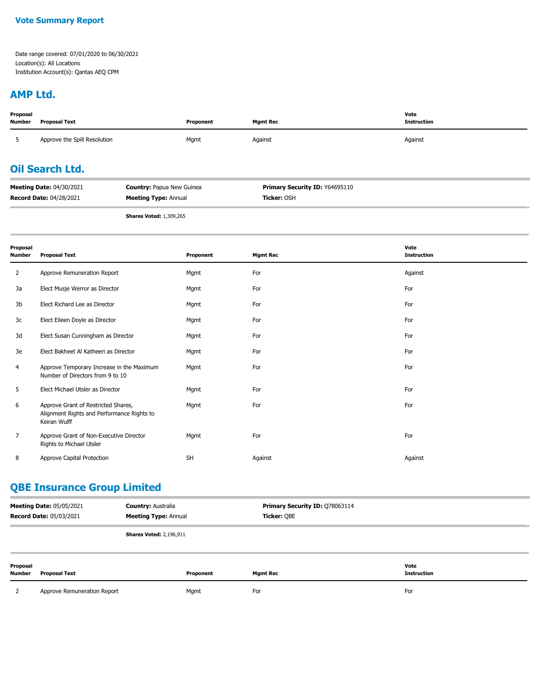#### **Vote Summary Report**

Date range covered: 07/01/2020 to 06/30/2021 Location(s): All Locations Institution Account(s): Qantas AEQ CPM

#### **AMP Ltd.**

| Proposal<br><b>Number</b>                                           | <b>Proposal Text</b>         |  | Proponent                             | <b>Mgmt Rec</b> | Vote<br><b>Instruction</b> |
|---------------------------------------------------------------------|------------------------------|--|---------------------------------------|-----------------|----------------------------|
| $\mathcal{D}$                                                       | Approve the Spill Resolution |  | Mgmt                                  | Against         | Against                    |
| <b>Oil Search Ltd.</b>                                              |                              |  |                                       |                 |                            |
| <b>Meeting Date: 04/30/2021</b><br><b>Country: Papua New Guinea</b> |                              |  | <b>Primary Security ID: Y64695110</b> |                 |                            |
| <b>Record Date: 04/28/2021</b><br><b>Meeting Type: Annual</b>       |                              |  | Ticker: OSH                           |                 |                            |
|                                                                     |                              |  |                                       |                 |                            |

**Shares Voted:** 1,309,265

| Proposal<br><b>Number</b> | <b>Proposal Text</b>                                                                              | Proponent | <b>Mgmt Rec</b> | Vote<br><b>Instruction</b> |
|---------------------------|---------------------------------------------------------------------------------------------------|-----------|-----------------|----------------------------|
| 2                         | Approve Remuneration Report                                                                       | Mgmt      | For             | Against                    |
| 3a                        | Elect Musje Werror as Director                                                                    | Mgmt      | For             | For                        |
| 3b                        | Elect Richard Lee as Director                                                                     | Mgmt      | For             | For                        |
| 3c                        | Elect Eileen Doyle as Director                                                                    | Mgmt      | For             | For                        |
| 3d                        | Elect Susan Cunningham as Director                                                                | Mgmt      | For             | For                        |
| 3e                        | Elect Bakheet Al Katheeri as Director                                                             | Mgmt      | For             | For                        |
| 4                         | Approve Temporary Increase in the Maximum<br>Number of Directors from 9 to 10                     | Mgmt      | For             | For                        |
| 5                         | Elect Michael Utsler as Director                                                                  | Mgmt      | For             | For                        |
| 6                         | Approve Grant of Restricted Shares,<br>Alignment Rights and Performance Rights to<br>Keiran Wulff | Mgmt      | For             | For                        |
| $\overline{7}$            | Approve Grant of Non-Executive Director<br>Rights to Michael Utsler                               | Mgmt      | For             | For                        |
| 8                         | Approve Capital Protection                                                                        | <b>SH</b> | Against         | Against                    |

# **QBE Insurance Group Limited**

| <b>Meeting Date: 05/05/2021</b><br><b>Country: Australia</b><br><b>Meeting Type: Annual</b><br><b>Record Date: 05/03/2021</b> |                             | Primary Security ID: Q78063114<br>Ticker: QBE |           |                 |                            |
|-------------------------------------------------------------------------------------------------------------------------------|-----------------------------|-----------------------------------------------|-----------|-----------------|----------------------------|
|                                                                                                                               |                             | <b>Shares Voted: 2,196,911</b>                |           |                 |                            |
| Proposal<br>Number                                                                                                            | Proposal Text               |                                               | Proponent | <b>Mgmt Rec</b> | Vote<br><b>Instruction</b> |
|                                                                                                                               | Approve Remuneration Report |                                               | Mgmt      | For             | For                        |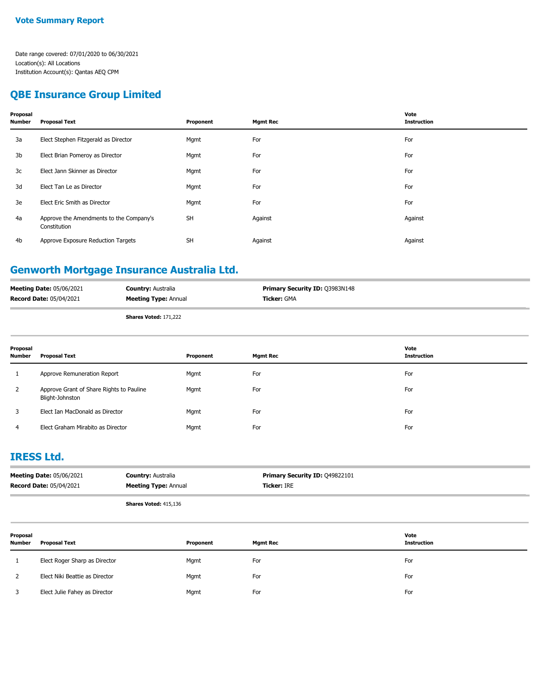#### **QBE Insurance Group Limited**

| Proposal<br>Number | <b>Proposal Text</b>                                    | Proponent | <b>Mgmt Rec</b> | Vote<br><b>Instruction</b> |
|--------------------|---------------------------------------------------------|-----------|-----------------|----------------------------|
| 3a                 | Elect Stephen Fitzgerald as Director                    | Mgmt      | For             | For                        |
| 3b                 | Elect Brian Pomeroy as Director                         | Mgmt      | For             | For                        |
| 3c                 | Elect Jann Skinner as Director                          | Mgmt      | For             | For                        |
| 3d                 | Elect Tan Le as Director                                | Mgmt      | For             | For                        |
| 3e                 | Elect Eric Smith as Director                            | Mgmt      | For             | For                        |
| 4a                 | Approve the Amendments to the Company's<br>Constitution | <b>SH</b> | Against         | Against                    |
| 4b                 | Approve Exposure Reduction Targets                      | <b>SH</b> | Against         | Against                    |
|                    |                                                         |           |                 |                            |

### **Genworth Mortgage Insurance Australia Ltd.**

| <b>Meeting Date: 05/06/2021</b> | <b>Country: Australia</b>    | <b>Primary Security ID: Q3983N148</b> |
|---------------------------------|------------------------------|---------------------------------------|
| Record Date: 05/04/2021         | <b>Meeting Type: Annual</b>  | <b>Ticker: GMA</b>                    |
|                                 | <b>Shares Voted: 171,222</b> |                                       |

| Proposal<br>Number | <b>Proposal Text</b>                                        | Proponent | <b>Mgmt Rec</b> | Vote<br><b>Instruction</b> |
|--------------------|-------------------------------------------------------------|-----------|-----------------|----------------------------|
| 1                  | Approve Remuneration Report                                 | Mgmt      | For             | For                        |
| $\mathbf{2}$       | Approve Grant of Share Rights to Pauline<br>Blight-Johnston | Mgmt      | For             | For                        |
| 3                  | Elect Ian MacDonald as Director                             | Mgmt      | For             | For                        |
| 4                  | Elect Graham Mirabito as Director                           | Mgmt      | For             | For                        |

#### **IRESS Ltd.**

| <b>Meeting Date: 05/06/2021</b> | <b>Country: Australia</b>    | <b>Primary Security ID: 049822101</b> |
|---------------------------------|------------------------------|---------------------------------------|
| <b>Record Date: 05/04/2021</b>  | <b>Meeting Type: Annual</b>  | <b>Ticker:</b> IRE                    |
|                                 | <b>Shares Voted: 415,136</b> |                                       |

| Proposal<br><b>Number</b> | <b>Proposal Text</b>           | Proponent | <b>Mgmt Rec</b> | Vote<br><b>Instruction</b> |
|---------------------------|--------------------------------|-----------|-----------------|----------------------------|
|                           | Elect Roger Sharp as Director  | Mgmt      | For             | For                        |
|                           | Elect Niki Beattie as Director | Mgmt      | For             | For                        |
|                           | Elect Julie Fahey as Director  | Mgmt      | For             | For                        |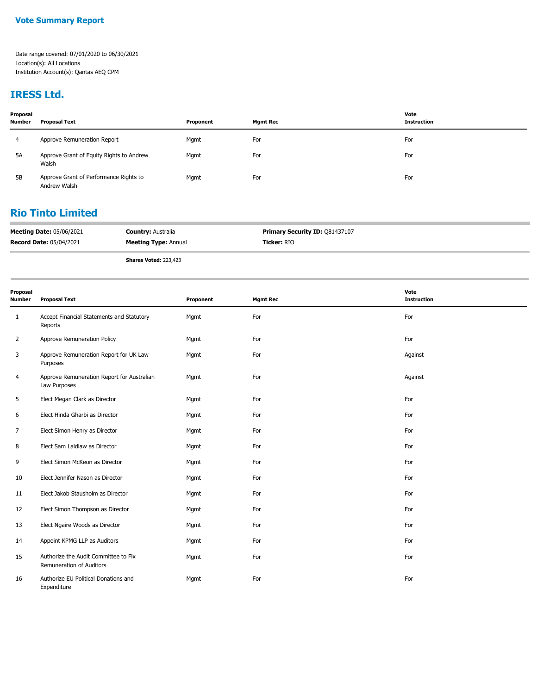## **IRESS Ltd.**

| Proposal<br><b>Number</b> | <b>Proposal Text</b>                                   | Proponent | <b>Mgmt Rec</b> | Vote<br><b>Instruction</b> |
|---------------------------|--------------------------------------------------------|-----------|-----------------|----------------------------|
| 4                         | Approve Remuneration Report                            | Mgmt      | For             | For                        |
| 5A                        | Approve Grant of Equity Rights to Andrew<br>Walsh      | Mgmt      | For             | For                        |
| <b>5B</b>                 | Approve Grant of Performance Rights to<br>Andrew Walsh | Mgmt      | For             | For                        |

#### **Rio Tinto Limited**

| <b>Meeting Date: 05/06/2021</b> | <b>Country: Australia</b>   | <b>Primary Security ID: 081437107</b> |
|---------------------------------|-----------------------------|---------------------------------------|
| <b>Record Date: 05/04/2021</b>  | <b>Meeting Type: Annual</b> | Ticker: RIO                           |

**Shares Voted:** 223,423

| Proposal<br><b>Number</b> | <b>Proposal Text</b>                                             | Proponent | <b>Mgmt Rec</b> | Vote<br><b>Instruction</b> |
|---------------------------|------------------------------------------------------------------|-----------|-----------------|----------------------------|
| 1                         | Accept Financial Statements and Statutory<br>Reports             | Mgmt      | For             | For                        |
| $\overline{2}$            | Approve Remuneration Policy                                      | Mgmt      | For             | For                        |
| 3                         | Approve Remuneration Report for UK Law<br>Purposes               | Mgmt      | For             | Against                    |
| 4                         | Approve Remuneration Report for Australian<br>Law Purposes       | Mgmt      | For             | Against                    |
| 5                         | Elect Megan Clark as Director                                    | Mgmt      | For             | For                        |
| 6                         | Elect Hinda Gharbi as Director                                   | Mgmt      | For             | For                        |
| 7                         | Elect Simon Henry as Director                                    | Mgmt      | For             | For                        |
| 8                         | Elect Sam Laidlaw as Director                                    | Mgmt      | For             | For                        |
| 9                         | Elect Simon McKeon as Director                                   | Mgmt      | For             | For                        |
| 10                        | Elect Jennifer Nason as Director                                 | Mgmt      | For             | For                        |
| 11                        | Elect Jakob Stausholm as Director                                | Mgmt      | For             | For                        |
| 12                        | Elect Simon Thompson as Director                                 | Mgmt      | For             | For                        |
| 13                        | Elect Ngaire Woods as Director                                   | Mgmt      | For             | For                        |
| 14                        | Appoint KPMG LLP as Auditors                                     | Mgmt      | For             | For                        |
| 15                        | Authorize the Audit Committee to Fix<br>Remuneration of Auditors | Mgmt      | For             | For                        |
| 16                        | Authorize EU Political Donations and<br>Expenditure              | Mgmt      | For             | For                        |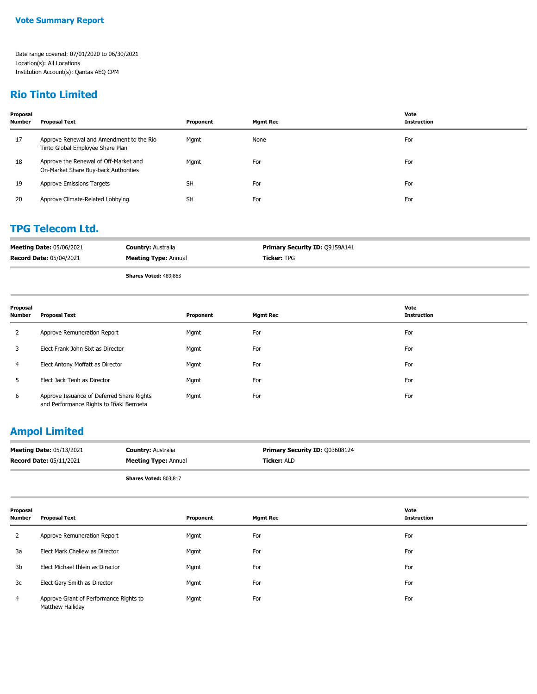### **Rio Tinto Limited**

| Proposal<br><b>Number</b> | <b>Proposal Text</b>                                                          | Proponent | <b>Mgmt Rec</b> | Vote<br><b>Instruction</b> |
|---------------------------|-------------------------------------------------------------------------------|-----------|-----------------|----------------------------|
| 17                        | Approve Renewal and Amendment to the Rio<br>Tinto Global Employee Share Plan  | Mgmt      | None            | For                        |
| 18                        | Approve the Renewal of Off-Market and<br>On-Market Share Buy-back Authorities | Mgmt      | For             | For                        |
| 19                        | Approve Emissions Targets                                                     | <b>SH</b> | For             | For                        |
| 20                        | Approve Climate-Related Lobbying                                              | <b>SH</b> | For             | For                        |

#### **TPG Telecom Ltd.**

| <b>Meeting Date: 05/06/2021</b> | <b>Country: Australia</b>   | <b>Primary Security ID: Q9159A141</b> |
|---------------------------------|-----------------------------|---------------------------------------|
| <b>Record Date: 05/04/2021</b>  | <b>Meeting Type: Annual</b> | <b>Ticker:</b> TPG                    |

**Shares Voted:** 489,863

| Proposal<br><b>Number</b> | <b>Proposal Text</b>                                                                  | Proponent | <b>Mgmt Rec</b> | Vote<br><b>Instruction</b> |
|---------------------------|---------------------------------------------------------------------------------------|-----------|-----------------|----------------------------|
| 2                         | Approve Remuneration Report                                                           | Mgmt      | For             | For                        |
| 3                         | Elect Frank John Sixt as Director                                                     | Mgmt      | For             | For                        |
| 4                         | Elect Antony Moffatt as Director                                                      | Mgmt      | For             | For                        |
| 5.                        | Elect Jack Teoh as Director                                                           | Mgmt      | For             | For                        |
| 6                         | Approve Issuance of Deferred Share Rights<br>and Performance Rights to Iñaki Berroeta | Mgmt      | For             | For                        |

# **Ampol Limited**

| <b>Meeting Date: 05/13/2021</b> | <b>Country: Australia</b>   | <b>Primary Security ID: 003608124</b> |
|---------------------------------|-----------------------------|---------------------------------------|
| <b>Record Date: 05/11/2021</b>  | <b>Meeting Type: Annual</b> | <b>Ticker:</b> ALD                    |
|                                 |                             |                                       |

**Shares Voted:** 803,817

| Proposal<br><b>Number</b> | <b>Proposal Text</b>                                       | Proponent | <b>Mgmt Rec</b> | Vote<br><b>Instruction</b> |
|---------------------------|------------------------------------------------------------|-----------|-----------------|----------------------------|
|                           | Approve Remuneration Report                                | Mgmt      | For             | For                        |
| 3a                        | Elect Mark Chellew as Director                             | Mgmt      | For             | For                        |
| 3b                        | Elect Michael Ihlein as Director                           | Mgmt      | For             | For                        |
| 3c                        | Elect Gary Smith as Director                               | Mgmt      | For             | For                        |
| 4                         | Approve Grant of Performance Rights to<br>Matthew Halliday | Mgmt      | For             | For                        |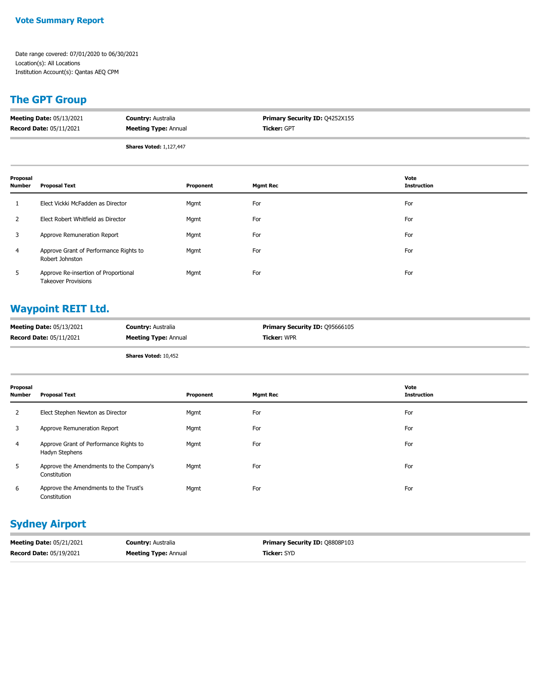#### **Vote Summary Report**

Date range covered: 07/01/2020 to 06/30/2021 Location(s): All Locations Institution Account(s): Qantas AEQ CPM

# **The GPT Group**

| <b>Meeting Date: 05/13/2021</b> | <b>Country: Australia</b>   | <b>Primary Security ID: Q4252X155</b> |
|---------------------------------|-----------------------------|---------------------------------------|
| <b>Record Date: 05/11/2021</b>  | <b>Meeting Type: Annual</b> | <b>Ticker: GPT</b>                    |
|                                 |                             |                                       |

**Shares Voted:** 1,127,447

| Proposal<br><b>Number</b> | <b>Proposal Text</b>                                               | Proponent | <b>Mgmt Rec</b> | Vote<br><b>Instruction</b> |
|---------------------------|--------------------------------------------------------------------|-----------|-----------------|----------------------------|
|                           | Elect Vickki McFadden as Director                                  | Mgmt      | For             | For                        |
| 2                         | Elect Robert Whitfield as Director                                 | Mgmt      | For             | For                        |
| 3                         | Approve Remuneration Report                                        | Mgmt      | For             | For                        |
| $\overline{4}$            | Approve Grant of Performance Rights to<br>Robert Johnston          | Mgmt      | For             | For                        |
| 5                         | Approve Re-insertion of Proportional<br><b>Takeover Provisions</b> | Mgmt      | For             | For                        |

# **Waypoint REIT Ltd.**

| <b>Meeting Date: 05/13/2021</b> | <b>Country: Australia</b>   | Primary Security ID: 095666105 |
|---------------------------------|-----------------------------|--------------------------------|
| <b>Record Date: 05/11/2021</b>  | <b>Meeting Type: Annual</b> | Ticker: WPR                    |
|                                 |                             |                                |

**Shares Voted:** 10,452

| Proposal<br>Number | <b>Proposal Text</b>                                     | Proponent | <b>Mgmt Rec</b> | Vote<br><b>Instruction</b> |
|--------------------|----------------------------------------------------------|-----------|-----------------|----------------------------|
| $\overline{2}$     | Elect Stephen Newton as Director                         | Mgmt      | For             | For                        |
| 3                  | Approve Remuneration Report                              | Mgmt      | For             | For                        |
| 4                  | Approve Grant of Performance Rights to<br>Hadyn Stephens | Mgmt      | For             | For                        |
| 5                  | Approve the Amendments to the Company's<br>Constitution  | Mgmt      | For             | For                        |
| 6                  | Approve the Amendments to the Trust's<br>Constitution    | Mgmt      | For             | For                        |

# **Sydney Airport**

| <b>Meeting Date: 05/21/2021</b> | <b>Country: Australia</b>   | <b>Primary Security ID: 08808P103</b> |
|---------------------------------|-----------------------------|---------------------------------------|
| <b>Record Date: 05/19/2021</b>  | <b>Meeting Type: Annual</b> | <b>Ticker: SYD</b>                    |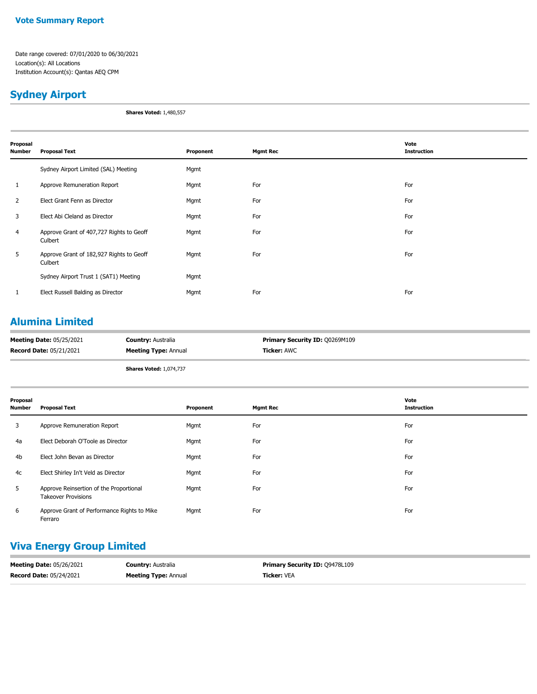#### **Vote Summary Report**

Date range covered: 07/01/2020 to 06/30/2021 Location(s): All Locations Institution Account(s): Qantas AEQ CPM

### **Sydney Airport**

**Shares Voted:** 1,480,557

| Proposal<br>Number | <b>Proposal Text</b>                                | Proponent | <b>Mgmt Rec</b> | Vote<br><b>Instruction</b> |
|--------------------|-----------------------------------------------------|-----------|-----------------|----------------------------|
|                    | Sydney Airport Limited (SAL) Meeting                | Mgmt      |                 |                            |
| 1                  | Approve Remuneration Report                         | Mgmt      | For             | For                        |
| $\overline{2}$     | Elect Grant Fenn as Director                        | Mgmt      | For             | For                        |
| 3                  | Elect Abi Cleland as Director                       | Mgmt      | For             | For                        |
| $\overline{4}$     | Approve Grant of 407,727 Rights to Geoff<br>Culbert | Mgmt      | For             | For                        |
| 5                  | Approve Grant of 182,927 Rights to Geoff<br>Culbert | Mgmt      | For             | For                        |
|                    | Sydney Airport Trust 1 (SAT1) Meeting               | Mgmt      |                 |                            |
| 1                  | Elect Russell Balding as Director                   | Mgmt      | For             | For                        |
|                    |                                                     |           |                 |                            |

# **Alumina Limited**

| <b>Meeting Date: 05/25/2021</b> | <b>Country: Australia</b>      | <b>Primary Security ID: 00269M109</b> |
|---------------------------------|--------------------------------|---------------------------------------|
| <b>Record Date: 05/21/2021</b>  | <b>Meeting Type: Annual</b>    | Ticker: AWC                           |
|                                 | <b>Shares Voted: 1,074,737</b> |                                       |

| Proposal<br><b>Number</b> | <b>Proposal Text</b>                                                  | Proponent | <b>Mgmt Rec</b> | Vote<br><b>Instruction</b> |
|---------------------------|-----------------------------------------------------------------------|-----------|-----------------|----------------------------|
| 3                         | Approve Remuneration Report                                           | Mgmt      | For             | For                        |
| 4a                        | Elect Deborah O'Toole as Director                                     | Mgmt      | For             | For                        |
| 4 <sub>b</sub>            | Elect John Bevan as Director                                          | Mgmt      | For             | For                        |
| 4c                        | Elect Shirley In't Veld as Director                                   | Mgmt      | For             | For                        |
| 5                         | Approve Reinsertion of the Proportional<br><b>Takeover Provisions</b> | Mgmt      | For             | For                        |
| 6                         | Approve Grant of Performance Rights to Mike<br>Ferraro                | Mgmt      | For             | For                        |

# **Viva Energy Group Limited**

| <b>Meeting Date: 05/26/2021</b> | <b>Country: Australia</b>   | <b>Primary Security ID: 09478L109</b> |
|---------------------------------|-----------------------------|---------------------------------------|
| <b>Record Date: 05/24/2021</b>  | <b>Meeting Type:</b> Annual | <b>Ticker:</b> VEA                    |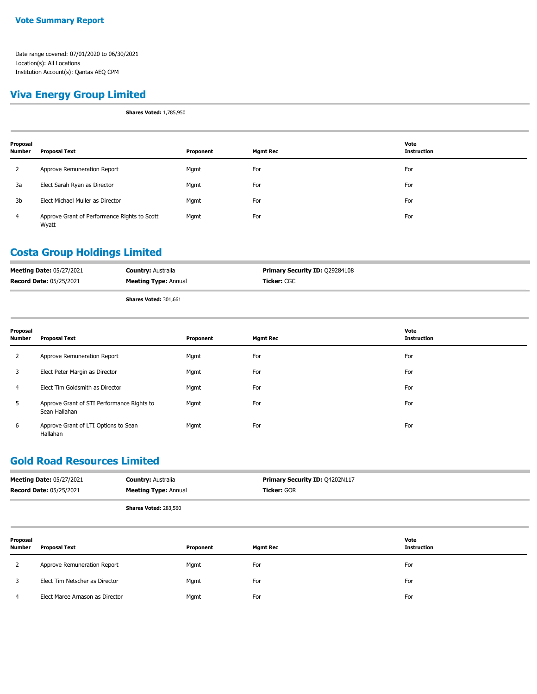#### **Viva Energy Group Limited**

**Shares Voted:** 1,785,950

| Proposal<br>Number | <b>Proposal Text</b>                                  | Proponent | <b>Mgmt Rec</b> | Vote<br><b>Instruction</b> |
|--------------------|-------------------------------------------------------|-----------|-----------------|----------------------------|
| 2                  | Approve Remuneration Report                           | Mgmt      | For             | For                        |
| 3a                 | Elect Sarah Ryan as Director                          | Mgmt      | For             | For                        |
| 3b                 | Elect Michael Muller as Director                      | Mgmt      | For             | For                        |
| 4                  | Approve Grant of Performance Rights to Scott<br>Wyatt | Mgmt      | For             | For                        |

#### **Costa Group Holdings Limited**

| <b>Meeting Date: 05/27/2021</b> | <b>Country: Australia</b>    | <b>Primary Security ID: Q29284108</b> |
|---------------------------------|------------------------------|---------------------------------------|
| <b>Record Date: 05/25/2021</b>  | <b>Meeting Type: Annual</b>  | <b>Ticker:</b> CGC                    |
|                                 | <b>Shares Voted: 301.661</b> |                                       |

| Proposal<br>Number | <b>Proposal Text</b>                                        | Proponent | <b>Mgmt Rec</b> | Vote<br><b>Instruction</b> |
|--------------------|-------------------------------------------------------------|-----------|-----------------|----------------------------|
| $\overline{2}$     | Approve Remuneration Report                                 | Mgmt      | For             | For                        |
| 3                  | Elect Peter Margin as Director                              | Mgmt      | For             | For                        |
| 4                  | Elect Tim Goldsmith as Director                             | Mgmt      | For             | For                        |
| 5                  | Approve Grant of STI Performance Rights to<br>Sean Hallahan | Mgmt      | For             | For                        |
| 6                  | Approve Grant of LTI Options to Sean<br>Hallahan            | Mgmt      | For             | For                        |

#### **Gold Road Resources Limited**

| <b>Meeting Date: 05/27/2021</b><br><b>Record Date: 05/25/2021</b> |                                | <b>Country: Australia</b><br><b>Meeting Type: Annual</b> |           | Primary Security ID: Q4202N117<br>Ticker: GOR |                            |
|-------------------------------------------------------------------|--------------------------------|----------------------------------------------------------|-----------|-----------------------------------------------|----------------------------|
|                                                                   |                                | Shares Voted: 283,560                                    |           |                                               |                            |
| Proposal<br>Number                                                | <b>Proposal Text</b>           |                                                          | Proponent | <b>Mgmt Rec</b>                               | Vote<br><b>Instruction</b> |
| 2                                                                 | Approve Remuneration Report    |                                                          | Mgmt      | For                                           | For                        |
|                                                                   | Elect Tim Netscher as Director |                                                          | Mgmt      | For                                           | For                        |

4 Elect Maree Arnason as Director Mgmt For For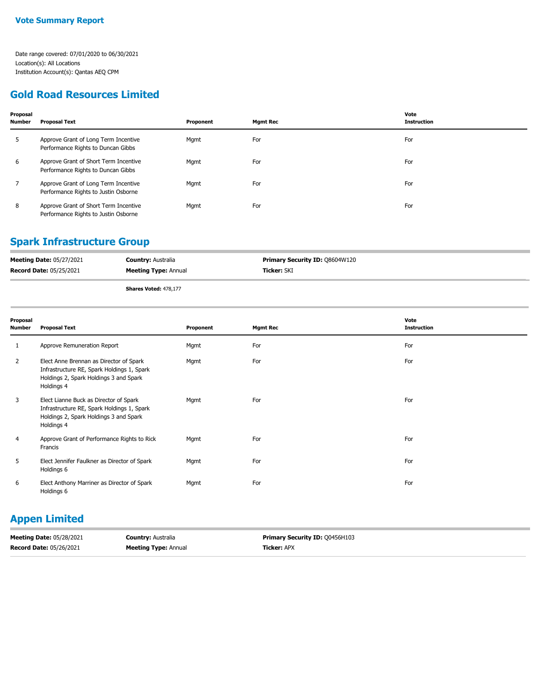#### **Gold Road Resources Limited**

| Proposal<br><b>Number</b> | Proposal Text                                                                 | Proponent | <b>Mgmt Rec</b> | Vote<br><b>Instruction</b> |
|---------------------------|-------------------------------------------------------------------------------|-----------|-----------------|----------------------------|
| 5                         | Approve Grant of Long Term Incentive<br>Performance Rights to Duncan Gibbs    | Mgmt      | For             | For                        |
| 6                         | Approve Grant of Short Term Incentive<br>Performance Rights to Duncan Gibbs   | Mgmt      | For             | For                        |
| 7                         | Approve Grant of Long Term Incentive<br>Performance Rights to Justin Osborne  | Mgmt      | For             | For                        |
| 8                         | Approve Grant of Short Term Incentive<br>Performance Rights to Justin Osborne | Mgmt      | For             | For                        |

#### **Spark Infrastructure Group**

| <b>Meeting Date: 05/27/2021</b> | <b>Country: Australia</b>   | <b>Primary Security ID: Q8604W120</b> |
|---------------------------------|-----------------------------|---------------------------------------|
| <b>Record Date: 05/25/2021</b>  | <b>Meeting Type: Annual</b> | <b>Ticker:</b> SKI                    |
|                                 |                             |                                       |

**Shares Voted:** 478,177

| Proposal<br><b>Number</b> | <b>Proposal Text</b>                                                                                                                          | Proponent | <b>Mgmt Rec</b> | Vote<br><b>Instruction</b> |
|---------------------------|-----------------------------------------------------------------------------------------------------------------------------------------------|-----------|-----------------|----------------------------|
| 1                         | Approve Remuneration Report                                                                                                                   | Mgmt      | For             | For                        |
| 2                         | Elect Anne Brennan as Director of Spark<br>Infrastructure RE, Spark Holdings 1, Spark<br>Holdings 2, Spark Holdings 3 and Spark<br>Holdings 4 | Mgmt      | For             | For                        |
| 3                         | Elect Lianne Buck as Director of Spark<br>Infrastructure RE, Spark Holdings 1, Spark<br>Holdings 2, Spark Holdings 3 and Spark<br>Holdings 4  | Mgmt      | For             | For                        |
| 4                         | Approve Grant of Performance Rights to Rick<br>Francis                                                                                        | Mgmt      | For             | For                        |
| 5                         | Elect Jennifer Faulkner as Director of Spark<br>Holdings 6                                                                                    | Mgmt      | For             | For                        |
| 6                         | Elect Anthony Marriner as Director of Spark<br>Holdings 6                                                                                     | Mgmt      | For             | For                        |

#### **Appen Limited**

| <b>Meeting Date: 05/28/2021</b> | <b>Country: Australia</b>   | <b>Primary Security ID: 00456H103</b> |
|---------------------------------|-----------------------------|---------------------------------------|
| <b>Record Date: 05/26/2021</b>  | <b>Meeting Type: Annual</b> | <b>Ticker: APX</b>                    |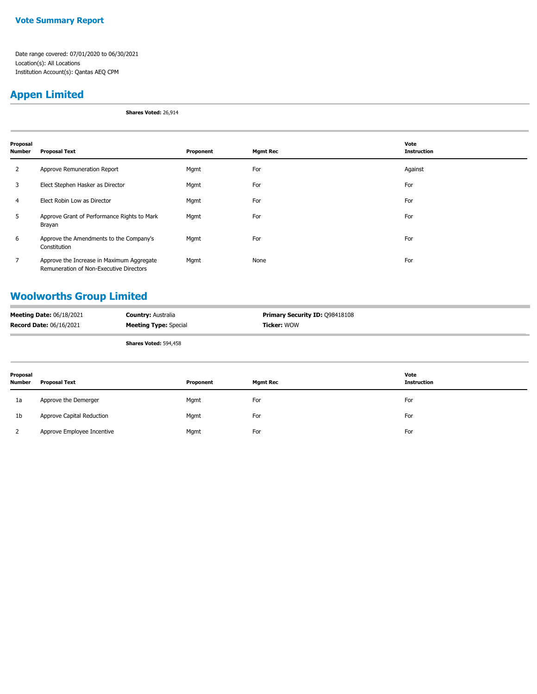#### **Vote Summary Report**

Date range covered: 07/01/2020 to 06/30/2021 Location(s): All Locations Institution Account(s): Qantas AEQ CPM

# **Appen Limited**

**Shares Voted:** 26,914

| Proposal<br><b>Number</b> | <b>Proposal Text</b>                                                                 | Proponent | <b>Mgmt Rec</b> | Vote<br><b>Instruction</b> |
|---------------------------|--------------------------------------------------------------------------------------|-----------|-----------------|----------------------------|
| $\overline{2}$            | Approve Remuneration Report                                                          | Mgmt      | For             | Against                    |
| 3                         | Elect Stephen Hasker as Director                                                     | Mgmt      | For             | For                        |
| 4                         | Elect Robin Low as Director                                                          | Mgmt      | For             | For                        |
| 5                         | Approve Grant of Performance Rights to Mark<br>Brayan                                | Mgmt      | For             | For                        |
| 6                         | Approve the Amendments to the Company's<br>Constitution                              | Mgmt      | For             | For                        |
| 7                         | Approve the Increase in Maximum Aggregate<br>Remuneration of Non-Executive Directors | Mgmt      | None            | For                        |

# **Woolworths Group Limited**

| <b>Meeting Date: 06/18/2021</b> | <b>Country: Australia</b>    | <b>Primary Security ID: 098418108</b> |
|---------------------------------|------------------------------|---------------------------------------|
| <b>Record Date: 06/16/2021</b>  | <b>Meeting Type: Special</b> | <b>Ticker: WOW</b>                    |
|                                 | <b>Shares Voted: 594,458</b> |                                       |

| Proposal<br><b>Number</b> | <b>Proposal Text</b>       | Proponent | <b>Mgmt Rec</b> | Vote<br><b>Instruction</b> |
|---------------------------|----------------------------|-----------|-----------------|----------------------------|
| 1a                        | Approve the Demerger       | Mgmt      | For             | For                        |
| 1b                        | Approve Capital Reduction  | Mgmt      | For             | For                        |
|                           | Approve Employee Incentive | Mgmt      | For             | For                        |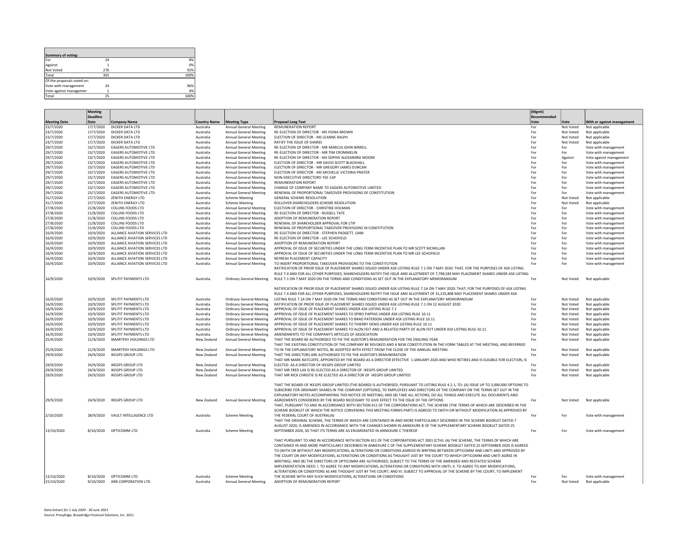| Summary of voting:         |     |      |
|----------------------------|-----|------|
| For                        | 24  | 8%   |
| Against                    |     | 0%   |
| Not Voted                  | 276 | 92%  |
| Total                      | 301 | 100% |
| Of the proposals voted on: |     |      |
| Vote with management       | 24  | 96%  |
| Vote against managemen     |     | 4%   |
| Total                      | 25  | 100% |

|                        | <b>Meeting</b>         |                                                              |                        |                                                  |                                                                                                                                            | (Mgmt)      |                |                                              |
|------------------------|------------------------|--------------------------------------------------------------|------------------------|--------------------------------------------------|--------------------------------------------------------------------------------------------------------------------------------------------|-------------|----------------|----------------------------------------------|
|                        | <b>Deadline</b>        |                                                              |                        |                                                  |                                                                                                                                            | Recommended |                |                                              |
| <b>Meeting Date</b>    | Date                   | <b>Company Name</b>                                          | <b>Country Name</b>    | <b>Meeting Type</b>                              | <b>Proposal Long Text</b>                                                                                                                  | Vote        | Vote           | With or against management                   |
| 23/7/2020              | 17/7/2020              | DICKER DATA LTD                                              | Australia              | <b>Annual General Meeting</b>                    | <b>REMUNERATION REPORT</b>                                                                                                                 | For         | Not Voted      | Not applicable                               |
| 23/7/2020              | 17/7/2020              | DICKER DATA LTD                                              | Australia              | Annual General Meeting                           | RE-ELECTION OF DIRECTOR - MS FIONA BROWN                                                                                                   | For         | Not Voted      | Not applicable                               |
| 23/7/2020              | 17/7/2020              | DICKER DATA LTD                                              | Australia              | <b>Annual General Meeting</b>                    | ELECTION OF DIRECTOR - MS LEANNE RALPH                                                                                                     | For         | Not Voted      | Not applicable                               |
| 23/7/2020              | 17/7/2020              | DICKER DATA LTD                                              | Australia              | Annual General Meeting                           | RATIFY THE ISSUE OF SHARES<br>RE-ELECTION OF DIRECTOR - MR MARCUS JOHN BIRRELL                                                             | For<br>For  | Not Voted      | Not applicable                               |
| 29/7/2020              | 23/7/2020<br>23/7/2020 | <b>EAGERS AUTOMOTIVE LTD</b><br><b>EAGERS AUTOMOTIVE LTD</b> | Australia              | Annual General Meeting                           | RE-ELECTION OF DIRECTOR - MR TIM CROMMELIN                                                                                                 | For         | For            | Vote with management                         |
| 29/7/2020<br>29/7/2020 | 23/7/2020              | <b>EAGERS AUTOMOTIVE LTD</b>                                 | Australia              | <b>Annual General Meeting</b>                    | RE-ELECTION OF DIRECTOR - MS SOPHIE ALEXANDRA MOORE                                                                                        | For         | For            | Vote with management                         |
| 29/7/2020              | 23/7/2020              | <b>EAGERS AUTOMOTIVE LTD</b>                                 | Australia<br>Australia | Annual General Meeting<br>Annual General Meeting | ELECTION OF DIRECTOR - MR DAVID SCOTT BLACKHALL                                                                                            | For         | Against<br>For | Vote against management                      |
| 29/7/2020              | 23/7/2020              | <b>EAGERS AUTOMOTIVE LTD</b>                                 | Australia              | <b>Annual General Meeting</b>                    | ELECTION OF DIRECTOR - MR GREGORY JAMES DUNCAN                                                                                             | For         | For            | Vote with management<br>Vote with management |
| 29/7/2020              | 23/7/2020              | EAGERS AUTOMOTIVE LTD                                        | Australia              | <b>Annual General Meeting</b>                    | ELECTION OF DIRECTOR - MS MICHELLE VICTORIA PRATER                                                                                         | For         | For            | Vote with management                         |
| 29/7/2020              | 23/7/2020              | <b>EAGERS AUTOMOTIVE LTD</b>                                 | Australia              | Annual General Meeting                           | NON-EXECUTIVE DIRECTORS' FEE CAP                                                                                                           | For         | For            | Vote with management                         |
| 29/7/2020              | 23/7/2020              | EAGERS AUTOMOTIVE LTD                                        | Australia              | Annual General Meeting                           | <b>REMUNERATION REPORT</b>                                                                                                                 | For         | For            | Vote with management                         |
| 29/7/2020              | 23/7/2020              | <b>EAGERS AUTOMOTIVE LTD</b>                                 | Australia              | <b>Annual General Meeting</b>                    | CHANGE OF COMPANY NAME TO EAGERS AUTOMOTIVE LIMITED                                                                                        | For         | For            | Vote with management                         |
| 29/7/2020              | 23/7/2020              | EAGERS AUTOMOTIVE LTD                                        | Australia              | <b>Annual General Meeting</b>                    | RENEWAL OF PROPORTIONAL TAKEOVER PROVISIONS OF CONSTITUTION                                                                                | For         | For            | Vote with management                         |
| 31/7/2020              | 27/7/2020              | ZENITH ENERGY LTD                                            | Australia              | <b>Scheme Meeting</b>                            | GENERAL SCHEME RESOLUTION                                                                                                                  | For         | Not Voted      | Not applicable                               |
| 31/7/2020              | 27/7/2020              | ZENITH ENERGY LTD                                            | Australia              | <b>Scheme Meeting</b>                            | ROLLOVER SHAREHOLDERS SCHEME RESOLUTION                                                                                                    | For         | Not Voted      | Not applicable                               |
| 27/8/2020              | 21/8/2020              | <b>COLLINS FOODS LTD</b>                                     | Australia              | Annual General Meeting                           | ELECTION OF DIRECTOR - CHRISTINE HOLMAN                                                                                                    | For         | For            | Vote with management                         |
| 27/8/2020              | 21/8/2020              | <b>COLLINS FOODS LTD</b>                                     | Australia              | <b>Annual General Meeting</b>                    | RE-ELECTION OF DIRECTOR - RUSSELL TATE                                                                                                     | For         | For            | Vote with management                         |
| 27/8/2020              | 21/8/2020              | <b>COLLINS FOODS LTD</b>                                     | Australia              | Annual General Meeting                           | ADOPTION OF REMUNERATION REPORT                                                                                                            | For         | For            | Vote with management                         |
| 27/8/2020              | 21/8/2020              | <b>COLLINS FOODS LTD</b>                                     | Australia              | Annual General Meeting                           | RENEWAL OF SHAREHOLDER APPROVAL FOR LTIP                                                                                                   | For         | For            | Vote with management                         |
| 27/8/2020              | 21/8/2020              | <b>COLLINS FOODS LTD</b>                                     | Australia              | Annual General Meeting                           | RENEWAL OF PROPORTIONAL TAKEOVER PROVISIONS IN CONSTITUTION                                                                                | For         | For            | Vote with management                         |
| 16/9/2020              | 10/9/2020              | ALLIANCE AVIATION SERVICES LTD                               | Australia              | Annual General Meeting                           | RE-ELECTION OF DIRECTOR - STEPHEN PADGETT, OAM                                                                                             | For         | For            | Vote with management                         |
| 16/9/2020              | 10/9/2020              | ALLIANCE AVIATION SERVICES LTD                               | Australia              | Annual General Meeting                           | RE-ELECTION OF DIRECTOR - LEE SCHOFIELD                                                                                                    | For         | For            | Vote with management                         |
| 16/9/2020              | 10/9/2020              | ALLIANCE AVIATION SERVICES LTD                               | Australia              | Annual General Meeting                           | ADOPTION OF REMUNERATION REPORT                                                                                                            | For         | For            | Vote with management                         |
| 16/9/2020              | 10/9/2020              | ALLIANCE AVIATION SERVICES LTD                               | Australia              | Annual General Meeting                           | APPROVAL OF ISSUE OF SECURITIES UNDER THE LONG TERM INCENTIVE PLAN TO MR SCOTT MCMILLAN                                                    | For         | For            | Vote with management                         |
| 16/9/2020              | 10/9/2020              | ALLIANCE AVIATION SERVICES LTD                               | Australia              | Annual General Meeting                           | APPROVAL OF ISSUE OF SECURITIES UNDER THE LONG TERM INCENTIVE PLAN TO MR LEE SCHOFIELD                                                     | For         | For            | Vote with management                         |
| 16/9/2020              | 10/9/2020              | ALLIANCE AVIATION SERVICES LTD                               | Australia              | Annual General Meeting                           | REFRESH PLACEMENT CAPACITY                                                                                                                 | For         | For            | Vote with management                         |
| 16/9/2020              | 10/9/2020              | ALLIANCE AVIATION SERVICES LTD                               | Australia              | Annual General Meeting                           | TO INSERT PROPORTIONAL TAKEOVER PROVISIONS TO THE CONSTITUTION                                                                             | For         | For            | Vote with management                         |
|                        |                        |                                                              |                        |                                                  | RATIFICATION OF PRIOR ISSUE OF PLACEMENT SHARES ISSUED UNDER ASX LISTING RULE 7.1 ON 7 MAY 2020: THAT, FOR THE PURPOSES OF ASX LISTING     |             |                |                                              |
|                        |                        |                                                              | Australia              |                                                  | RULE 7.4 AND FOR ALL OTHER PURPOSES, SHAREHOLDERS RATIFY THE ISSUE AND ALLOTMENT OF 7,798,583 MAY PLACEMENT SHARES UNDER ASX LISTING       | For         |                |                                              |
| 16/9/2020              | 10/9/2020              | SPLITIT PAYMENTS LTD                                         |                        | <b>Ordinary General Meeting</b>                  | RULE 7.1 ON 7 MAY 2020 ON THE TERMS AND CONDITIONS AS SET OUT IN THE EXPLANATORY MEMORANDUM                                                |             | Not Voted      | Not applicable                               |
|                        |                        |                                                              |                        |                                                  | RATIFICATION OF PRIOR ISSUE OF PLACEMENT SHARES ISSUED UNDER ASX LISTING RULE 7.1A ON 7 MAY 2020: THAT, FOR THE PURPOSES OF ASX LISTING    |             |                |                                              |
|                        |                        |                                                              |                        |                                                  | RULE 7.4 AND FOR ALL OTHER PURPOSES, SHAREHOLDERS RATIFY THE ISSUE AND ALLOTMENT OF 31,225,808 MAY PLACEMENT SHARES UNDER ASX              |             |                |                                              |
| 16/9/2020              | 10/9/2020              | SPLITIT PAYMENTS LTD                                         | Australia              | <b>Ordinary General Meeting</b>                  | LISTING RULE 7.1A ON 7 MAY 2020 ON THE TERMS AND CONDITIONS AS SET OUT IN THE EXPLANATORY MEMORANDUM                                       | For         | Not Voted      | Not applicable                               |
| 16/9/2020              | 10/9/2020              | SPLITIT PAYMENTS LTD                                         | Australia              | <b>Ordinary General Meeting</b>                  | RATIFICATION OF PRIOR ISSUE OF PLACEMENT SHARES ISSUED UNDER ASX LISTING RULE 7.1 ON 12 AUGUST 2020                                        | For         | Not Voted      | Not applicable                               |
| 16/9/2020              | 10/9/2020              | SPI ITIT PAYMENTS ITD                                        | Australia              | <b>Ordinary General Meeting</b>                  | APPROVAL OF ISSUE OF PLACEMENT SHARES UNDER ASX LISTING RULE 7.1                                                                           | For         | Not Voted      | Not applicable                               |
| 16/9/2020              | 10/9/2020              | SPLITIT PAYMENTS LTD                                         | Australia              | <b>Ordinary General Meeting</b>                  | APPROVAL OF ISSUE OF PLACEMENT SHARES TO SPIRO PAPPAS UNDER ASX LISTING RULE 10.11                                                         | For         | Not Voted      | Not applicable                               |
| 16/9/2020              | 10/9/2020              | SPLITIT PAYMENTS LTD                                         | Australia              | <b>Ordinary General Meeting</b>                  | APPROVAL OF ISSUE OF PLACEMENT SHARES TO BRAD PATERSON UNDER ASX LISTING RULE 10.11                                                        | For         | Not Voted      | Not applicable                               |
| 16/9/2020              | 10/9/2020              | SPLITIT PAYMENTS LTD                                         | Australia              | <b>Ordinary General Meeting</b>                  | APPROVAL OF ISSUE OF PLACEMENT SHARES TO THIERRY DENIS UNDER ASX LISTING RULE 10.11                                                        | For         | Not Voted      | Not applicable                               |
| 16/9/2020              | 10/9/2020              | SPLITIT PAYMENTS LTD                                         | Australia              | <b>Ordinary General Meeting</b>                  | APPROVAL OF ISSUE OF PLACEMENT SHARES TO ALON FEIT AND A RELATED PARTY OF ALON FEIT UNDER ASX LISTING RULE 10.11                           | For         | Not Voted      | Not applicable                               |
| 16/9/2020              | 10/9/2020              | SPLITIT PAYMENTS LTD                                         | Australia              | <b>Ordinary General Meeting</b>                  | AMENDMENTS TO THE COMPANY'S ARTICLES OF ASSOCIATION                                                                                        | For         | Not Voted      | Not applicable                               |
| 25/9/2020              | 21/9/2020              | SMARTPAY HOLDINGS LTD                                        | New Zealand            | <b>Annual General Meeting</b>                    | THAT THE BOARD BE AUTHORISED TO FIX THE AUDITOR'S REMUNERATION FOR THE ENSUING YEAR                                                        | For         | Not Voted      | Not applicable                               |
|                        |                        |                                                              |                        |                                                  | THAT THE EXISTING CONSTITUTION OF THE COMPANY BE REVOKED AND A NEW CONSTITUTION IN THE FORM TABLED AT THE MEETING, AND REFERRED            |             |                |                                              |
| 25/9/2020              | 21/9/2020              | SMARTPAY HOLDINGS LTD                                        | New Zealand            | Annual General Meeting                           | TO IN THE EXPLANATORY NOTES. BE ADOPTED WITH FEFECT FROM THE CLOSE OF THE ANNUAL MEETING                                                   | For         | Not Voted      | Not applicable                               |
| 29/9/2020              | 24/9/2020              | <b>IKEGPS GROUP LTD</b>                                      | New Zealand            | <b>Annual General Meeting</b>                    | THAT THE DIRECTORS ARE AUTHORISED TO FIX THE AUDITOR'S REMUNERATION                                                                        | For         | Not Voted      | Not applicable                               |
|                        |                        |                                                              |                        |                                                  | THAT MR MARK RATCLIFFE, APPOINTED BY THE BOARD AS A DIRECTOR EFFECTIVE 1 JANUARY 2020 AND WHO RETIRES AND IS ELIGIBLE FOR ELECTION, IS     |             |                |                                              |
| 29/9/2020              | 24/9/2020              | <b>IKEGPS GROUP LTD</b>                                      | New Zealand            | <b>Annual General Meeting</b>                    | ELECTED AS A DIRECTOR OF IKEGPS GROUP LIMITED                                                                                              | For         | Not Voted      | Not applicable                               |
| 29/9/2020              | 24/9/2020              | <b>IKEGPS GROUP LTD</b>                                      | New Zealand            | Annual General Meeting                           | THAT MR FRED LAX IS RE-ELECTED AS A DIRECTOR OF IKEGPS GROUP LIMITED                                                                       | For         | Not Voted      | Not applicable                               |
| 29/9/2020              | 24/9/2020              | <b>IKEGPS GROUP LTD</b>                                      | New Zealand            | <b>Annual General Meeting</b>                    | THAT MR RICK CHRISTIE IS RE-ELECTED AS A DIRECTOR OF IKEGPS GROUP LIMITED                                                                  | For         | Not Voted      | Not applicable                               |
|                        |                        |                                                              |                        |                                                  |                                                                                                                                            |             |                |                                              |
|                        |                        |                                                              |                        |                                                  | THAT THE BOARD OF IKEGPS GROUP LIMITED (THE BOARD) IS AUTHORISED, PURSUANT TO LISTING RULE 4.2.1, TO: (A) ISSUE UP TO 3,000,000 OPTIONS TO |             |                |                                              |
|                        |                        |                                                              |                        |                                                  | SUBSCRIBE FOR ORDINARY SHARES IN THE COMPANY (OPTIONS). TO EMPLOYEES AND DIRECTORS OF THE COMPANY ON THE TERMS SET OUT IN THE              |             |                |                                              |
|                        |                        |                                                              |                        |                                                  | EXPLANATORY NOTES ACCOMPANYING THIS NOTICE OF MEETING; AND (B) TAKE ALL ACTIONS, DO ALL THINGS AND EXECUTE ALL DOCUMENTS AND               |             |                |                                              |
| 29/9/2020              | 24/9/2020              | IKEGPS GROUP LTD                                             | New Zealand            | Annual General Meeting                           | AGREEMENTS CONSIDERED BY THE BOARD NECESSARY TO GIVE EFFECT TO THE ISSUE OF THE OPTIONS                                                    | For         | Not Voted      | Not applicable                               |
|                        |                        |                                                              |                        |                                                  | THAT, PURSUANT TO AND IN ACCORDANCE WITH SECTION 411 OF THE CORPORATIONS ACT, THE SCHEME (THE TERMS OF WHICH ARE DESCRIBED IN THE          |             |                |                                              |
|                        |                        |                                                              |                        |                                                  | SCHEME BOOKLET OF WHICH THE NOTICE CONVENING THIS MEETING FORMS PART) IS AGREED TO (WITH OR WITHOUT MODIFICATION AS APPROVED BY            |             |                |                                              |
| 2/10/2020              |                        | 28/9/2020 VAULT INTELLIGENCE LTD                             | Australia              | <b>Scheme Meeting</b>                            | THE FEDERAL COURT OF AUSTRALIA)                                                                                                            | For         | For            | Vote with management                         |
|                        |                        |                                                              |                        |                                                  | THAT THE ORIGINAL SCHEME, THE TERMS OF WHICH ARE CONTAINED IN AND MORE PARTICULARLY DESCRIBED IN THE SCHEME BOOKLET DATED 7                |             |                |                                              |
|                        |                        |                                                              |                        |                                                  | AUGUST 2020, IS AMENDED IN ACCORDANCE WITH THE CHANGES SHOWN IN ANNEXURE B OF THE SUPPLEMENTARY SCHEME BOOKLET DATED 25                    |             |                |                                              |
| 13/10/2020             |                        | 8/10/2020 OPTICOMM LTD                                       | Australia              | <b>Scheme Meeting</b>                            | SEPTEMBER 2020, SO THAT ITS TERMS ARE AS ENUMERATED IN ANNEXURE C THEREOF                                                                  | For         | For            | Vote with management                         |
|                        |                        |                                                              |                        |                                                  | THAT PURSUANT TO AND IN ACCORDANCE WITH SECTION 411 OF THE CORPORATIONS ACT 2001 (CTH): (A) THE SCHEME, THE TERMS OF WHICH ARE             |             |                |                                              |
|                        |                        |                                                              |                        |                                                  | CONTAINED IN AND MORE PARTICULARLY DESCRIBED IN ANNEXURE C OF THE SUPPLEMENTARY SCHEME BOOKLET DATED 25 SEPTEMBER 2020 IS AGREED           |             |                |                                              |
|                        |                        |                                                              |                        |                                                  | TO (WITH OR WITHOUT ANY MODIFICATIONS, ALTERATIONS OR CONDITIONS AGREED IN WRITING BETWEEN OPTICOMM AND UNITI AND APPROVED BY              |             |                |                                              |
|                        |                        |                                                              |                        |                                                  | THE COURT OR ANY MODIFICATIONS, ALTERATIONS OR CONDITIONS AS THOUGHT JUST BY THE COURT TO WHICH OPTICOMM AND UNITI AGREE IN                |             |                |                                              |
|                        |                        |                                                              |                        |                                                  | WRITING); AND (B) THE DIRECTORS OF OPTICOMM ARE AUTHORISED, SUBJECT TO THE TERMS OF THE AMENDED AND RESTATED SCHEME                        |             |                |                                              |
|                        |                        |                                                              |                        |                                                  | IMPLEMENTATION DEED: I. TO AGREE TO ANY MODIFICATIONS, ALTERATIONS OR CONDITIONS WITH UNITI; II. TO AGREE TO ANY MODIFICATIONS,            |             |                |                                              |
|                        |                        |                                                              |                        |                                                  | ALTERATIONS OR CONDITIONS AS ARE THOUGHT JUST BY THE COURT; AND III. SUBJECT TO APPROVAL OF THE SCHEME BY THE COURT, TO IMPLEMENT          |             |                |                                              |
| 13/10/2020             |                        | 8/10/2020 OPTICOMM LTD                                       | Australia              | Scheme Meeting                                   | THE SCHEME WITH ANY SUCH MODIFICATIONS, ALTERATIONS OR CONDITIONS                                                                          | For         | For            | Vote with management                         |
| 15/10/2020             |                        | 9/10/2020 ARB CORPORATION LTD                                | Australia              | Annual General Meeting                           | ADOPTION OF REMUNERATION REPORT                                                                                                            | For         | Not Voted      | Not applicable                               |
|                        |                        |                                                              |                        |                                                  |                                                                                                                                            |             |                |                                              |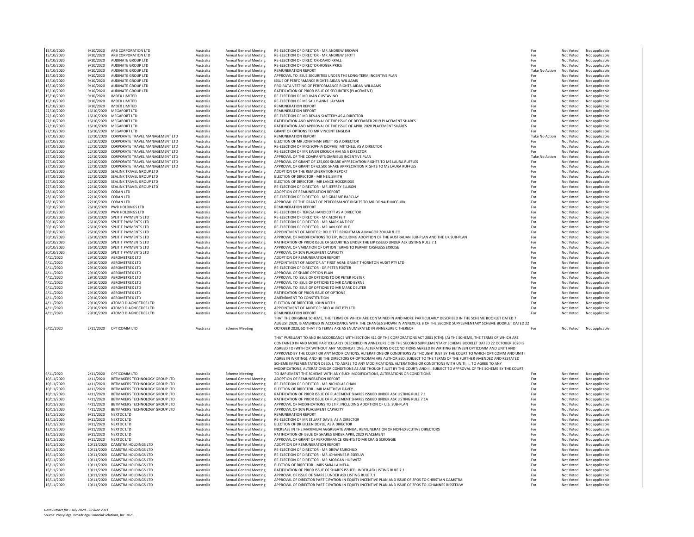|            |                      | ARB CORPORATION LTD                        |           |                               | RE-ELECTION OF DIRECTOR - MR ANDREW BROWN                                                                                                                                                                                                                                                                                                                                                                                                                                                                                                                                                                                                                       |                       |           |                |
|------------|----------------------|--------------------------------------------|-----------|-------------------------------|-----------------------------------------------------------------------------------------------------------------------------------------------------------------------------------------------------------------------------------------------------------------------------------------------------------------------------------------------------------------------------------------------------------------------------------------------------------------------------------------------------------------------------------------------------------------------------------------------------------------------------------------------------------------|-----------------------|-----------|----------------|
| 15/10/2020 | 9/10/2020            |                                            | Australia | <b>Annual General Meeting</b> |                                                                                                                                                                                                                                                                                                                                                                                                                                                                                                                                                                                                                                                                 | For                   | Not Voted | Not applicable |
| 15/10/2020 | 9/10/2020            | ARB CORPORATION LTD                        | Australia | Annual General Meeting        | RE-ELECTION OF DIRECTOR - MR ANDREW STOTT                                                                                                                                                                                                                                                                                                                                                                                                                                                                                                                                                                                                                       | For                   | Not Voted | Not applicable |
| 15/10/2020 | 9/10/2020            | AUDINATE GROUP LTD                         | Australia | Annual General Meeting        | RE-ELECTION OF DIRECTOR-DAVID KRALL                                                                                                                                                                                                                                                                                                                                                                                                                                                                                                                                                                                                                             | For                   | Not Voted | Not applicable |
| 15/10/2020 | 9/10/2020            | AUDINATE GROUP LTD                         | Australia | <b>Annual General Meeting</b> | RE-ELECTION OF DIRECTOR-ROGER PRICE                                                                                                                                                                                                                                                                                                                                                                                                                                                                                                                                                                                                                             | For                   | Not Voted | Not applicable |
| 15/10/2020 | 9/10/2020            | AUDINATE GROUP LTD                         | Australia | Annual General Meeting        | REMUNERATION REPORT                                                                                                                                                                                                                                                                                                                                                                                                                                                                                                                                                                                                                                             | <b>Take No Action</b> | Not Voted | Not applicable |
| 15/10/2020 | 9/10/2020            | AUDINATE GROUP LTD                         | Australia | <b>Annual General Meeting</b> | APPROVAL TO ISSUE SECURITIES UNDER THE LONG-TERM INCENTIVE PLAN                                                                                                                                                                                                                                                                                                                                                                                                                                                                                                                                                                                                 | For                   | Not Voted | Not applicable |
|            |                      |                                            |           |                               |                                                                                                                                                                                                                                                                                                                                                                                                                                                                                                                                                                                                                                                                 |                       |           |                |
| 15/10/2020 | 9/10/2020            | AUDINATE GROUP LTD                         | Australia | <b>Annual General Meeting</b> | ISSUE OF PERFORMANCE RIGHTS-AIDAN WILLIAMS                                                                                                                                                                                                                                                                                                                                                                                                                                                                                                                                                                                                                      | For                   | Not Voted | Not applicable |
| 15/10/2020 | 9/10/2020            | AUDINATE GROUP LTD                         | Australia | <b>Annual General Meeting</b> | PRO-RATA VESTING OF PERFORMANCE RIGHTS-AIDAN WILLIAMS                                                                                                                                                                                                                                                                                                                                                                                                                                                                                                                                                                                                           | For                   | Not Voted | Not applicable |
| 15/10/2020 | 9/10/2020            | AUDINATE GROUP LTD                         | Australia | Annual General Meeting        | RATIFICATION OF PRIOR ISSUE OF SECURITIES (PLACEMENT)                                                                                                                                                                                                                                                                                                                                                                                                                                                                                                                                                                                                           | For                   | Not Voted | Not applicable |
| 15/10/2020 | 9/10/2020            | <b>IMDEX LIMITED</b>                       | Australia | Annual General Meeting        | RE-ELECTION OF MR IVAN GUSTAVINO                                                                                                                                                                                                                                                                                                                                                                                                                                                                                                                                                                                                                                | For                   | Not Voted | Not applicable |
| 15/10/2020 | 9/10/2020            | <b>IMDEX LIMITED</b>                       | Australia | <b>Annual General Meeting</b> | RE-ELECTION OF MS SALLY-ANNE LAYMAN                                                                                                                                                                                                                                                                                                                                                                                                                                                                                                                                                                                                                             | For                   | Not Voted | Not applicable |
|            |                      |                                            |           |                               |                                                                                                                                                                                                                                                                                                                                                                                                                                                                                                                                                                                                                                                                 |                       |           |                |
| 15/10/2020 | 9/10/2020            | <b>IMDEX LIMITED</b>                       | Australia | Annual General Meeting        | <b>REMUNERATION REPORT</b>                                                                                                                                                                                                                                                                                                                                                                                                                                                                                                                                                                                                                                      | For                   | Not Voted | Not applicable |
| 22/10/2020 |                      | 16/10/2020 MEGAPORT LTD                    | Australia | Annual General Meeting        | <b>REMUNERATION REPORT</b>                                                                                                                                                                                                                                                                                                                                                                                                                                                                                                                                                                                                                                      | For                   | Not Voted | Not applicable |
| 22/10/2020 |                      | 16/10/2020 MEGAPORT LTD                    | Australia | Annual General Meeting        | RE-ELECTION OF MR BEVAN SLATTERY AS A DIRECTOR                                                                                                                                                                                                                                                                                                                                                                                                                                                                                                                                                                                                                  | For                   | Not Voted | Not applicable |
| 22/10/2020 |                      | 16/10/2020 MEGAPORT LTD                    | Australia | Annual General Meeting        | RATIFICATION AND APPROVAL OF THE ISSUE OF DECEMBER 2019 PLACEMENT SHARES                                                                                                                                                                                                                                                                                                                                                                                                                                                                                                                                                                                        | For                   | Not Voted | Not applicable |
|            |                      |                                            |           |                               |                                                                                                                                                                                                                                                                                                                                                                                                                                                                                                                                                                                                                                                                 |                       |           |                |
| 22/10/2020 |                      | 16/10/2020 MEGAPORT LTD                    | Australia | <b>Annual General Meeting</b> | RATIFICATION AND APPROVAL OF THE ISSUE OF APRIL 2020 PLACEMENT SHARES                                                                                                                                                                                                                                                                                                                                                                                                                                                                                                                                                                                           | For                   | Not Voted | Not applicable |
| 22/10/2020 |                      | 16/10/2020 MFGAPORT ITD                    | Australia | <b>Annual General Meeting</b> | GRANT OF OPTIONS TO MR VINCENT ENGLISH                                                                                                                                                                                                                                                                                                                                                                                                                                                                                                                                                                                                                          | For                   | Not Voted | Not applicable |
| 27/10/2020 |                      | 22/10/2020 CORPORATE TRAVEL MANAGEMENT LTD | Australia | <b>Annual General Meeting</b> | <b>REMUNERATION REPORT</b>                                                                                                                                                                                                                                                                                                                                                                                                                                                                                                                                                                                                                                      | Take No Action        | Not Voted | Not applicable |
| 27/10/2020 |                      | 22/10/2020 CORPORATE TRAVEL MANAGEMENT LTD | Australia | Annual General Meeting        | ELECTION OF MR JONATHAN BRETT AS A DIRECTOR                                                                                                                                                                                                                                                                                                                                                                                                                                                                                                                                                                                                                     | For                   | Not Voted | Not applicable |
| 27/10/2020 |                      | 22/10/2020 CORPORATE TRAVEL MANAGEMENT LTD | Australia | Annual General Meeting        | RE-ELECTION OF MRS SOPHIA (SOPHIE) MITCHELL AS A DIRECTOR                                                                                                                                                                                                                                                                                                                                                                                                                                                                                                                                                                                                       | For                   | Not Voted | Not applicable |
|            |                      |                                            |           |                               |                                                                                                                                                                                                                                                                                                                                                                                                                                                                                                                                                                                                                                                                 |                       |           |                |
| 27/10/2020 |                      | 22/10/2020 CORPORATE TRAVEL MANAGEMENT LTD | Australia | Annual General Meeting        | RE-ELECTION OF MR EWEN CROUCH AM AS A DIRECTOR                                                                                                                                                                                                                                                                                                                                                                                                                                                                                                                                                                                                                  | For                   | Not Voted | Not applicable |
| 27/10/2020 |                      | 22/10/2020 CORPORATE TRAVEL MANAGEMENT LTD | Australia | Annual General Meeting        | APPROVAL OF THE COMPANY'S OMNIBUS INCENTIVE PLAN                                                                                                                                                                                                                                                                                                                                                                                                                                                                                                                                                                                                                | Take No Action        | Not Voted | Not applicable |
| 27/10/2020 |                      | 22/10/2020 CORPORATE TRAVEL MANAGEMENT LTD | Australia | Annual General Meeting        | APPROVAL OF GRANT OF 125,000 SHARE APPRECIATION RIGHTS TO MS LAURA RUFFLES                                                                                                                                                                                                                                                                                                                                                                                                                                                                                                                                                                                      | For                   | Not Voted | Not applicable |
| 27/10/2020 |                      | 22/10/2020 CORPORATE TRAVEL MANAGEMENT LTD | Australia | Annual General Meeting        | APPROVAL OF GRANT OF 62,500 SHARE APPRECIATION RIGHTS TO MS LAURA RUFFLES                                                                                                                                                                                                                                                                                                                                                                                                                                                                                                                                                                                       | For                   | Not Voted | Not applicable |
| 27/10/2020 |                      | 22/10/2020 SEALINK TRAVEL GROUP LTD        | Australia | <b>Annual General Meeting</b> | ADOPTION OF THE REMUNERATION REPORT                                                                                                                                                                                                                                                                                                                                                                                                                                                                                                                                                                                                                             | For                   | Not Voted | Not applicable |
|            |                      |                                            |           |                               |                                                                                                                                                                                                                                                                                                                                                                                                                                                                                                                                                                                                                                                                 |                       |           |                |
| 27/10/2020 |                      | 22/10/2020 SEALINK TRAVEL GROUP LTD        | Australia | Annual General Meeting        | ELECTION OF DIRECTOR - MR NEIL SMITH                                                                                                                                                                                                                                                                                                                                                                                                                                                                                                                                                                                                                            | For                   | Not Voted | Not applicable |
| 27/10/2020 |                      | 22/10/2020 SEALINK TRAVEL GROUP LTD        | Australia | <b>Annual General Meeting</b> | ELECTION OF DIRECTOR - MR LANCE HOCKRIDGE                                                                                                                                                                                                                                                                                                                                                                                                                                                                                                                                                                                                                       | For                   | Not Voted | Not applicable |
| 27/10/2020 |                      | 22/10/2020 SEALINK TRAVEL GROUP LTD        | Australia | <b>Annual General Meeting</b> | RE-ELECTION OF DIRECTOR - MR JEFFREY ELLISON                                                                                                                                                                                                                                                                                                                                                                                                                                                                                                                                                                                                                    | For                   | Not Voted | Not applicable |
| 28/10/2020 | 22/10/2020 CODAN LTD |                                            | Australia | <b>Annual General Meeting</b> | ADOPTION OF REMUNERATION REPORT                                                                                                                                                                                                                                                                                                                                                                                                                                                                                                                                                                                                                                 | For                   | Not Voted | Not applicable |
|            |                      |                                            |           |                               |                                                                                                                                                                                                                                                                                                                                                                                                                                                                                                                                                                                                                                                                 |                       |           |                |
| 28/10/2020 | 22/10/2020 CODAN LTD |                                            | Australia | <b>Annual General Meeting</b> | RE-ELECTION OF DIRECTOR - MR GRAEME BARCLAY                                                                                                                                                                                                                                                                                                                                                                                                                                                                                                                                                                                                                     | For                   | Not Voted | Not applicable |
| 28/10/2020 | 22/10/2020 CODAN LTD |                                            | Australia | Annual General Meeting        | APPROVAL OF THE GRANT OF PERFORMANCE RIGHTS TO MR DONALD MCGURK                                                                                                                                                                                                                                                                                                                                                                                                                                                                                                                                                                                                 | For                   | Not Voted | Not applicable |
| 30/10/2020 |                      | 26/10/2020 PWR HOLDINGS LTD                | Australia | <b>Annual General Meeting</b> | <b>REMUNERATION REPORT</b>                                                                                                                                                                                                                                                                                                                                                                                                                                                                                                                                                                                                                                      | For                   | Not Voted | Not applicable |
| 30/10/2020 |                      | 26/10/2020 PWR HOLDINGS LTD                | Australia | <b>Annual General Meeting</b> | RE-ELECTION OF TERESA HANDICOTT AS A DIRECTOR                                                                                                                                                                                                                                                                                                                                                                                                                                                                                                                                                                                                                   | For                   | Not Voted | Not applicable |
|            |                      |                                            |           |                               |                                                                                                                                                                                                                                                                                                                                                                                                                                                                                                                                                                                                                                                                 |                       |           |                |
| 30/10/2020 |                      | 26/10/2020 SPLITIT PAYMENTS LTD            | Australia | Annual General Meeting        | RE-ELECTION OF DIRECTOR - MR ALON FEIT                                                                                                                                                                                                                                                                                                                                                                                                                                                                                                                                                                                                                          | For                   | Not Voted | Not applicable |
| 30/10/2020 |                      | 26/10/2020 SPLITIT PAYMENTS LTD            | Australia | Annual General Meeting        | RE-ELECTION OF DIRECTOR - MR MARK ANTIPOF                                                                                                                                                                                                                                                                                                                                                                                                                                                                                                                                                                                                                       | For                   | Not Voted | Not applicable |
| 30/10/2020 |                      | 26/10/2020 SPLITIT PAYMENTS LTD            | Australia | Annual General Meeting        | RE-ELECTION OF DIRECTOR - MR JAN KOELBLE                                                                                                                                                                                                                                                                                                                                                                                                                                                                                                                                                                                                                        | For                   | Not Voted | Not applicable |
| 30/10/2020 |                      | 26/10/2020 SPLITIT PAYMENTS LTD            | Australia | <b>Annual General Meeting</b> | APPOINTMENT OF AUDITOR: DELOITTE BRIGHTMAN ALMAGOR ZOHAR & CO                                                                                                                                                                                                                                                                                                                                                                                                                                                                                                                                                                                                   | For                   | Not Voted | Not applicable |
| 30/10/2020 |                      | 26/10/2020 SPLITIT PAYMENTS LTD            | Australia | Annual General Meeting        | APPROVAL OF MODIFICATIONS TO EIP, INCLUDING ADOPTION OF THE AUSTRALIAN SUB-PLAN AND THE UK SUB-PLAN                                                                                                                                                                                                                                                                                                                                                                                                                                                                                                                                                             | For                   | Not Voted | Not applicable |
|            |                      |                                            |           |                               |                                                                                                                                                                                                                                                                                                                                                                                                                                                                                                                                                                                                                                                                 |                       |           |                |
| 30/10/2020 |                      | 26/10/2020 SPLITIT PAYMENTS LTD            | Australia | Annual General Meeting        | RATIFICATION OF PRIOR ISSUE OF SECURITIES UNDER THE EIP ISSUED UNDER ASX LISTING RULE 7.1                                                                                                                                                                                                                                                                                                                                                                                                                                                                                                                                                                       | For                   | Not Voted | Not applicable |
| 30/10/2020 |                      | 26/10/2020 SPLITIT PAYMENTS LTD            | Australia | <b>Annual General Meeting</b> | APPROVAL OF VARIATION OF OPTION TERMS TO PERMIT CASHLESS EXRCISE                                                                                                                                                                                                                                                                                                                                                                                                                                                                                                                                                                                                | For                   | Not Voted | Not applicable |
| 30/10/2020 |                      | 26/10/2020 SPLITIT PAYMENTS LTD            | Australia | Annual General Meeting        | APPROVAL OF 10% PLACEMENT CAPACITY                                                                                                                                                                                                                                                                                                                                                                                                                                                                                                                                                                                                                              | For                   | Not Voted | Not applicable |
| 4/11/2020  |                      | 29/10/2020 AEROMETREX LTD                  | Australia | Annual General Meeting        | ADOPTION OF REMUNERATION REPORT                                                                                                                                                                                                                                                                                                                                                                                                                                                                                                                                                                                                                                 | For                   | Not Voted | Not applicable |
|            |                      |                                            |           |                               | APPOINTMENT OF AUDITOR AT FIRST AGM: GRANT THORNTON AUDIT PTY LTD                                                                                                                                                                                                                                                                                                                                                                                                                                                                                                                                                                                               |                       |           |                |
| 4/11/2020  |                      | 29/10/2020 AEROMETREX LTD                  | Australia | Annual General Meeting        |                                                                                                                                                                                                                                                                                                                                                                                                                                                                                                                                                                                                                                                                 | For                   | Not Voted | Not applicable |
| 4/11/2020  |                      | 29/10/2020 AEROMETREX LTD                  | Australia | <b>Annual General Meeting</b> | RE-ELECTION OF DIRECTOR - DR PETER FOSTER                                                                                                                                                                                                                                                                                                                                                                                                                                                                                                                                                                                                                       | For                   | Not Voted | Not applicable |
| 4/11/2020  |                      | 29/10/2020 AEROMETREX LTD                  | Australia | Annual General Meeting        | APPROVAL OF SHARE OPTION PLAN                                                                                                                                                                                                                                                                                                                                                                                                                                                                                                                                                                                                                                   | For                   | Not Voted | Not applicable |
| 4/11/2020  |                      | 29/10/2020 AEROMETREX LTD                  | Australia | <b>Annual General Meeting</b> | APPROVAL TO ISSUE OF OPTIONS TO DR PETER FOSTER                                                                                                                                                                                                                                                                                                                                                                                                                                                                                                                                                                                                                 | For                   | Not Voted | Not applicable |
| 4/11/2020  |                      |                                            |           | Annual General Meeting        | APPROVAL TO ISSUE OF OPTIONS TO MR DAVID BYRNE                                                                                                                                                                                                                                                                                                                                                                                                                                                                                                                                                                                                                  | For                   |           |                |
|            |                      | 29/10/2020 AEROMETREX LTD                  | Australia |                               |                                                                                                                                                                                                                                                                                                                                                                                                                                                                                                                                                                                                                                                                 |                       | Not Voted | Not applicable |
| 4/11/2020  |                      | 29/10/2020 AEROMETREX LTD                  | Australia | Annual General Meeting        | APPROVAL TO ISSUE OF OPTIONS TO MR MARK DEUTER                                                                                                                                                                                                                                                                                                                                                                                                                                                                                                                                                                                                                  | For                   | Not Voted | Not applicable |
| 4/11/2020  |                      | 29/10/2020 AEROMETREX LTD                  | Australia | <b>Annual General Meeting</b> | RATIFICATION OF PRIOR ISSUE OF OPTIONS                                                                                                                                                                                                                                                                                                                                                                                                                                                                                                                                                                                                                          | For                   | Not Voted | Not applicable |
| 4/11/2020  |                      | 29/10/2020 AEROMETREX LTD                  | Australia | Annual General Meeting        | AMENDMENT TO CONSTITUTION                                                                                                                                                                                                                                                                                                                                                                                                                                                                                                                                                                                                                                       | For                   | Not Voted | Not applicable |
| 4/11/2020  |                      | 29/10/2020 ATOMO DIAGNOSTICS LTD           | Australia | <b>Annual General Meeting</b> | ELECTION OF DIRECTOR, JOHN KEITH                                                                                                                                                                                                                                                                                                                                                                                                                                                                                                                                                                                                                                | For                   | Not Voted | Not applicable |
|            |                      |                                            |           |                               |                                                                                                                                                                                                                                                                                                                                                                                                                                                                                                                                                                                                                                                                 |                       |           |                |
| 4/11/2020  |                      | 29/10/2020 ATOMO DIAGNOSTICS LTD           | Australia | <b>Annual General Meeting</b> | APPOINTMENT OF AUDITOR: BDO AUDIT PTY LTD                                                                                                                                                                                                                                                                                                                                                                                                                                                                                                                                                                                                                       | For                   | Not Voted | Not applicable |
| 4/11/2020  |                      | 29/10/2020 ATOMO DIAGNOSTICS LTD           | Australia | Annual General Meeting        | <b>REMUNERATION REPORT</b>                                                                                                                                                                                                                                                                                                                                                                                                                                                                                                                                                                                                                                      | For                   | Not Voted | Not applicable |
|            |                      |                                            |           |                               | THAT THE ORIGINAL SCHEME, THE TERMS OF WHICH ARE CONTAINED IN AND MORE PARTICULARLY DESCRIBED IN THE SCHEME BOOKLET DATED 7                                                                                                                                                                                                                                                                                                                                                                                                                                                                                                                                     |                       |           |                |
|            |                      |                                            |           |                               | AUGUST 2020. IS AMENDED IN ACCORDANCE WITH THE CHANGES SHOWN IN ANNEXURE B OF THE SECOND SUPPLEMENTARY SCHEME BOOKLET DATED 22                                                                                                                                                                                                                                                                                                                                                                                                                                                                                                                                  |                       |           |                |
|            |                      |                                            |           |                               |                                                                                                                                                                                                                                                                                                                                                                                                                                                                                                                                                                                                                                                                 |                       |           |                |
| 6/11/2020  |                      | 2/11/2020 OPTICOMM LTD                     | Australia | <b>Scheme Meeting</b>         | OCTOBER 2020, SO THAT ITS TERMS ARE AS ENUMERATED IN ANNEXURE C THEREOF                                                                                                                                                                                                                                                                                                                                                                                                                                                                                                                                                                                         | For                   | Not Voted | Not applicable |
|            |                      |                                            |           |                               | THAT PURSUANT TO AND IN ACCORDANCE WITH SECTION 411 OF THE CORPORATIONS ACT 2001 (CTH): (A) THE SCHEME, THE TERMS OF WHICH ARE<br>CONTAINED IN AND MORE PARTICULARLY DESCRIBED IN ANNEXURE C OF THE SECOND SUPPLEMENTARY SCHEME BOOKLET DATED 22 OCTOBER 2020 IS<br>AGREED TO (WITH OR WITHOUT ANY MODIFICATIONS, ALTERATIONS OR CONDITIONS AGREED IN WRITING BETWEEN OPTICOMM AND UNITI AND<br>APPROVED BY THE COURT OR ANY MODIFICATIONS, ALTERATIONS OR CONDITIONS AS THOUGHT JUST BY THE COURT TO WHICH OPTICOMM AND UNITI<br>AGREE IN WRITING): AND (B) THE DIRECTORS OF OPTICOMM ARE AUTHORISED. SUBJECT TO THE TERMS OF THE EURTHER AMENDED AND RESTATED |                       |           |                |
| 6/11/2020  | 2/11/2020            | OPTICOMM LTD                               | Australia | <b>Scheme Meeting</b>         | SCHEME IMPLEMENTATION DEED: I. TO AGREE TO ANY MODIFICATIONS, ALTERATIONS OR CONDITIONS WITH UNITI; II. TO AGREE TO ANY<br>MODIFICATIONS, ALTERATIONS OR CONDITIONS AS ARE THOUGHT JUST BY THE COURT: AND III, SUBJECT TO APPROVAL OF THE SCHEME BY THE COURT.<br>TO IMPLEMENT THE SCHEME WITH ANY SUCH MODIFICATIONS, ALTERATIONS OR CONDITIONS                                                                                                                                                                                                                                                                                                                | For                   | Not Voted | Not applicable |
| 10/11/2020 | 4/11/2020            | BETMAKERS TECHNOLOGY GROUP LTD             | Australia | Annual General Meeting        | ADOPTION OF REMUNERATION REPORT                                                                                                                                                                                                                                                                                                                                                                                                                                                                                                                                                                                                                                 | For                   | Not Voted | Not applicable |
| 10/11/2020 | 4/11/2020            | BETMAKERS TECHNOLOGY GROUP LTD             | Australia | <b>Annual General Meeting</b> | RE-ELECTION OF DIRECTOR - MR NICHOLAS CHAN                                                                                                                                                                                                                                                                                                                                                                                                                                                                                                                                                                                                                      | For                   | Not Voted | Not applicable |
|            |                      |                                            |           |                               |                                                                                                                                                                                                                                                                                                                                                                                                                                                                                                                                                                                                                                                                 |                       |           |                |
| 10/11/2020 | 4/11/2020            | BETMAKERS TECHNOLOGY GROUP LTD             | Australia | <b>Annual General Meeting</b> | ELECTION OF DIRECTOR - MR MATTHEW DAVEY                                                                                                                                                                                                                                                                                                                                                                                                                                                                                                                                                                                                                         | For                   | Not Voted | Not applicable |
| 10/11/2020 | 4/11/2020            | BETMAKERS TECHNOLOGY GROUP LTD             | Australia | <b>Annual General Meeting</b> | RATIFICATION OF PRIOR ISSUE OF PLACEMENT SHARES ISSUED UNDER ASX LISTING RULE 7.1                                                                                                                                                                                                                                                                                                                                                                                                                                                                                                                                                                               | For                   | Not Voted | Not applicable |
| 10/11/2020 | 4/11/2020            | BETMAKERS TECHNOLOGY GROUP LTD             | Australia | <b>Annual General Meeting</b> | RATIFICATION OF PRIOR ISSUE OF PLACEMENT SHARES ISSUED UNDER ASX LISTING RULE 7.1A                                                                                                                                                                                                                                                                                                                                                                                                                                                                                                                                                                              | For                   | Not Voted | Not applicable |
| 10/11/2020 | 4/11/2020            | BETMAKERS TECHNOLOGY GROUP LTD             | Australia | Annual General Meeting        | APPROVAL OF MODIFICATIONS TO LTIP. INCLUDING ADOPTION OF U.S. SUB-PLAN                                                                                                                                                                                                                                                                                                                                                                                                                                                                                                                                                                                          | For                   | Not Voted | Not applicable |
| 10/11/2020 | 4/11/2020            | BETMAKERS TECHNOLOGY GROUP LTD             | Australia | <b>Annual General Meeting</b> | APPROVAL OF 10% PLACEMENT CAPACITY                                                                                                                                                                                                                                                                                                                                                                                                                                                                                                                                                                                                                              | For                   | Not Voted | Not applicable |
|            |                      |                                            |           |                               |                                                                                                                                                                                                                                                                                                                                                                                                                                                                                                                                                                                                                                                                 |                       |           |                |
| 13/11/2020 | 9/11/2020            | NEXTDC LTD                                 | Australia | Annual General Meeting        | <b>REMUNERATION REPORT</b>                                                                                                                                                                                                                                                                                                                                                                                                                                                                                                                                                                                                                                      | For                   | Not Voted | Not applicable |
| 13/11/2020 | 9/11/2020            | NEXTDC LTD                                 | Australia | Annual General Meeting        | RE-ELECTION OF MR STUART DAVIS, AS A DIRECTOR                                                                                                                                                                                                                                                                                                                                                                                                                                                                                                                                                                                                                   | For                   | Not Voted | Not applicable |
| 13/11/2020 | 9/11/2020            | NEXTDC LTD                                 | Australia | <b>Annual General Meeting</b> | ELECTION OF DR EILEEN DOYLE, AS A DIRECTOR                                                                                                                                                                                                                                                                                                                                                                                                                                                                                                                                                                                                                      | For                   | Not Voted | Not applicable |
| 13/11/2020 | 9/11/2020            | NEXTDC LTD                                 | Australia | <b>Annual General Meeting</b> | INCREASE IN THE MAXIMUM AGGREGATE ANNUAL REMUNERATION OF NON-EXECUTIVE DIRECTORS                                                                                                                                                                                                                                                                                                                                                                                                                                                                                                                                                                                | For                   | Not Voted | Not applicable |
| 13/11/2020 | 9/11/2020            | NEXTDC LTD                                 | Australia | Annual General Meeting        | RATIFICATION OF ISSUE OF SHARES UNDER APRIL 2020 PLACEMENT                                                                                                                                                                                                                                                                                                                                                                                                                                                                                                                                                                                                      | For                   | Not Voted | Not applicable |
|            |                      |                                            |           |                               |                                                                                                                                                                                                                                                                                                                                                                                                                                                                                                                                                                                                                                                                 |                       |           |                |
| 13/11/2020 |                      | 9/11/2020 NEXTDC LTD                       | Australia | Annual General Meeting        | APPROVAL OF GRANT OF PERFORMANCE RIGHTS TO MR CRAIG SCROGGIE                                                                                                                                                                                                                                                                                                                                                                                                                                                                                                                                                                                                    | For                   | Not Voted | Not applicable |
| 16/11/2020 |                      | 10/11/2020 DAMSTRA HOLDINGS LTD            | Australia | <b>Annual General Meeting</b> | ADOPTION OF REMUNERATION REPORT                                                                                                                                                                                                                                                                                                                                                                                                                                                                                                                                                                                                                                 | For                   | Not Voted | Not applicable |
| 16/11/2020 |                      | 10/11/2020 DAMSTRA HOLDINGS LTD            | Australia | Annual General Meeting        | RE-ELECTION OF DIRECTOR - MR DREW FAIRCHILD                                                                                                                                                                                                                                                                                                                                                                                                                                                                                                                                                                                                                     | For                   | Not Voted | Not applicable |
| 16/11/2020 |                      | 10/11/2020 DAMSTRA HOLDINGS LTD            | Australia | <b>Annual General Meeting</b> | RE-ELECTION OF DIRECTOR - MR JOHANNES RISSEEUW                                                                                                                                                                                                                                                                                                                                                                                                                                                                                                                                                                                                                  | For                   | Not Voted | Not applicable |
| 16/11/2020 |                      | 10/11/2020 DAMSTRA HOLDINGS LTD            | Australia | <b>Annual General Meeting</b> | RE-ELECTION OF DIRECTOR - MR MORGAN HURWITZ                                                                                                                                                                                                                                                                                                                                                                                                                                                                                                                                                                                                                     | For                   | Not Voted | Not applicable |
|            |                      |                                            |           |                               |                                                                                                                                                                                                                                                                                                                                                                                                                                                                                                                                                                                                                                                                 |                       |           |                |
| 16/11/2020 |                      | 10/11/2020 DAMSTRA HOLDINGS LTD            | Australia | Annual General Meeting        | FLECTION OF DIRECTOR - MRS SARA LA MELA                                                                                                                                                                                                                                                                                                                                                                                                                                                                                                                                                                                                                         | For                   | Not Voted | Not applicable |
| 16/11/2020 |                      | 10/11/2020 DAMSTRA HOLDINGS LTD            | Australia | Annual General Meeting        | RATIFICATION OF PRIOR ISSUE OF SHARES ISSUED UNDER ASX LISTING RULE 7.1                                                                                                                                                                                                                                                                                                                                                                                                                                                                                                                                                                                         | For                   | Not Voted | Not applicable |
| 16/11/2020 |                      | 10/11/2020 DAMSTRA HOLDINGS LTD            | Australia | Annual General Meeting        | APPROVAL OF ISSUE OF SHARES UNDER ASX LISTING RULE 7.1                                                                                                                                                                                                                                                                                                                                                                                                                                                                                                                                                                                                          | For                   | Not Voted | Not applicable |
| 16/11/2020 |                      | 10/11/2020 DAMSTRA HOLDINGS LTD            | Australia | Annual General Meeting        | APPROVAL OF DIRECTOR PARTICIPATION IN EQUITY INCENTIVE PLAN AND ISSUE OF ZPOS TO CHRISTIAN DAMSTRA                                                                                                                                                                                                                                                                                                                                                                                                                                                                                                                                                              | For                   | Not Voted | Not applicable |
| 16/11/2020 |                      | 10/11/2020 DAMSTRA HOLDINGS LTD            | Australia |                               | APPROVAL OF DIRECTOR PARTICIPATION IN EQUITY INCENTIVE PLAN AND ISSUE OF ZPOS TO JOHANNES RISSEEUW                                                                                                                                                                                                                                                                                                                                                                                                                                                                                                                                                              | For                   | Not Voted |                |
|            |                      |                                            |           | Annual General Meeting        |                                                                                                                                                                                                                                                                                                                                                                                                                                                                                                                                                                                                                                                                 |                       |           | Not applicable |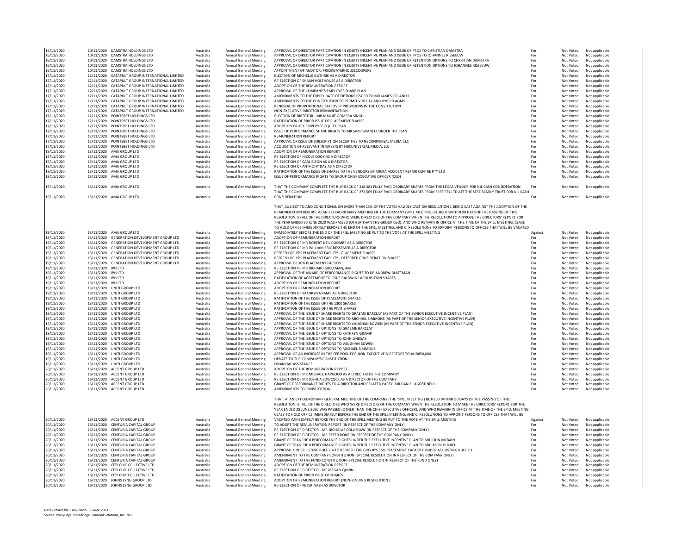| 16/11/2020               |                    | 10/11/2020 DAMSTRA HOLDINGS LTD                                    | Australia              | Annual General Meeting                           | APPROVAL OF DIRECTOR PARTICIPATION IN EQUITY INCENTIVE PLAN AND ISSUE OF PPOS TO CHRISTIAN DAMSTRA                                                                                                                                                                                                                                                                                                                                                                                                                                                                                                                                                                                    | For        | Not Voted              | Not applicable                   |
|--------------------------|--------------------|--------------------------------------------------------------------|------------------------|--------------------------------------------------|---------------------------------------------------------------------------------------------------------------------------------------------------------------------------------------------------------------------------------------------------------------------------------------------------------------------------------------------------------------------------------------------------------------------------------------------------------------------------------------------------------------------------------------------------------------------------------------------------------------------------------------------------------------------------------------|------------|------------------------|----------------------------------|
| 16/11/2020               |                    | 10/11/2020 DAMSTRA HOLDINGS LTD                                    | Australia              | <b>Annual General Meeting</b>                    | APPROVAL OF DIRECTOR PARTICIPATION IN EQUITY INCENTIVE PLAN AND ISSUE OF PPOS TO JOHANNES RISSEEUW                                                                                                                                                                                                                                                                                                                                                                                                                                                                                                                                                                                    | For        | Not Voted              | Not applicable                   |
| 16/11/2020               |                    | 10/11/2020 DAMSTRA HOLDINGS LTD                                    | Australia              | Annual General Meeting                           | APPROVAL OF DIRECTOR PARTICIPATION IN EQUITY INCENTIVE PLAN AND ISSUE OF RETENTION OPTIONS TO CHRISTIAN DAMSTRA                                                                                                                                                                                                                                                                                                                                                                                                                                                                                                                                                                       | For        | Not Voted              | Not applicable                   |
|                          |                    |                                                                    |                        |                                                  |                                                                                                                                                                                                                                                                                                                                                                                                                                                                                                                                                                                                                                                                                       | For        |                        |                                  |
| 16/11/2020               |                    | 10/11/2020 DAMSTRA HOLDINGS LTD                                    | Australia              | <b>Annual General Meeting</b>                    | APPROVAL OF DIRECTOR PARTICIPATION IN EQUITY INCENTIVE PLAN AND ISSUE OF RETENTION OPTIONS TO JOHANNES RISSEEUW                                                                                                                                                                                                                                                                                                                                                                                                                                                                                                                                                                       |            | Not Voted              | Not applicable                   |
| 16/11/2020               |                    | 10/11/2020 DAMSTRA HOLDINGS LTD                                    | Australia              | <b>Annual General Meeting</b>                    | APPOINTMENT OF AUDITOR: PRICEWATERHOUSECOOPERS                                                                                                                                                                                                                                                                                                                                                                                                                                                                                                                                                                                                                                        | For        | Not Voted              | Not applicable                   |
| 17/11/2020               |                    | 12/11/2020 CATAPULT GROUP INTERNATIONAL LIMITED                    | Australia              | <b>Annual General Meeting</b>                    | ELECTION OF MICHELLE GUTHRIE AS A DIRECTOR                                                                                                                                                                                                                                                                                                                                                                                                                                                                                                                                                                                                                                            | For        | Not Voted              | Not applicable                   |
| 17/11/2020               |                    | 12/11/2020 CATAPULT GROUP INTERNATIONAL LIMITED                    | Australia              | <b>Annual General Meeting</b>                    | RE-ELECTION OF SHAUN HOLTHOUSE AS A DIRECTOR                                                                                                                                                                                                                                                                                                                                                                                                                                                                                                                                                                                                                                          | For        | Not Voted              | Not applicable                   |
| 17/11/2020               |                    | 12/11/2020 CATAPULT GROUP INTERNATIONAL LIMITED                    | Australia              | <b>Annual General Meeting</b>                    | ADOPTION OF THE REMUNERATION REPORT                                                                                                                                                                                                                                                                                                                                                                                                                                                                                                                                                                                                                                                   | For        | Not Voted              | Not applicable                   |
| 17/11/2020               |                    | 12/11/2020 CATAPULT GROUP INTERNATIONAL LIMITED                    | Australia              | Annual General Meeting                           | APPROVAL OF THE COMPANY'S EMPLOYEE SHARE PLAN                                                                                                                                                                                                                                                                                                                                                                                                                                                                                                                                                                                                                                         | For        | Not Voted              | Not applicable                   |
|                          |                    |                                                                    |                        |                                                  |                                                                                                                                                                                                                                                                                                                                                                                                                                                                                                                                                                                                                                                                                       |            |                        |                                  |
| 17/11/2020               |                    | 12/11/2020 CATAPULT GROUP INTERNATIONAL LIMITED                    | Australia              | Annual General Meeting                           | AMENDMENTS TO THE EXPIRY DATE OF OPTIONS ISSUED TO MR JAMES ORLANDO                                                                                                                                                                                                                                                                                                                                                                                                                                                                                                                                                                                                                   | For        | Not Voted              | Not applicable                   |
| 17/11/2020               |                    | 12/11/2020 CATAPULT GROUP INTERNATIONAL LIMITED                    | Australia              | <b>Annual General Meeting</b>                    | AMENDMENTS TO THE CONSTITUTION TO PERMIT VIRTUAL AND HYBRID AGMS                                                                                                                                                                                                                                                                                                                                                                                                                                                                                                                                                                                                                      | For        | Not Voted              | Not applicable                   |
| 17/11/2020               |                    | 12/11/2020 CATAPULT GROUP INTERNATIONAL LIMITED                    | Australia              | Annual General Meeting                           | RENEWAL OF PROPORTIONAL TAKEOVER PROVISIONS IN THE CONSTITUTION                                                                                                                                                                                                                                                                                                                                                                                                                                                                                                                                                                                                                       | For        | Not Voted              | Not applicable                   |
| 17/11/2020               |                    | 12/11/2020 CATAPULT GROUP INTERNATIONAL LIMITED                    | Australia              | <b>Annual General Meeting</b>                    | NON-EXECUTIVE DIRECTOR REMUNERATION                                                                                                                                                                                                                                                                                                                                                                                                                                                                                                                                                                                                                                                   | For        | Not Voted              | Not applicable                   |
| 17/11/2020               |                    | 12/11/2020 POINTSBET HOLDINGS LTD                                  | Australia              | Annual General Meeting                           | ELECTION OF DIRECTOR - MR MANJIT GOMBRA SINGH                                                                                                                                                                                                                                                                                                                                                                                                                                                                                                                                                                                                                                         | For        | Not Voted              | Not applicable                   |
|                          |                    | 12/11/2020 POINTSBET HOLDINGS LTD                                  |                        |                                                  |                                                                                                                                                                                                                                                                                                                                                                                                                                                                                                                                                                                                                                                                                       |            |                        |                                  |
| 17/11/2020               |                    |                                                                    | Australia              | Annual General Meeting                           | RATIFICATION OF PRIOR ISSUE OF PLACEMENT SHARES                                                                                                                                                                                                                                                                                                                                                                                                                                                                                                                                                                                                                                       | For        | Not Voted              | Not applicable                   |
| 17/11/2020               | 12/11/2020         | POINTSBET HOLDINGS LTD                                             | Australia              | <b>Annual General Meeting</b>                    | ADOPTION OF KEY EMPLOYEE EQUITY PLAN                                                                                                                                                                                                                                                                                                                                                                                                                                                                                                                                                                                                                                                  | For        | Not Voted              | Not applicable                   |
| 17/11/2020               |                    | 12/11/2020 POINTSBET HOLDINGS LTD                                  | Australia              | Annual General Meeting                           | ISSUE OF PERFORMANCE SHARE RIGHTS TO MR SAM SWANELL UNDER THE PLAN                                                                                                                                                                                                                                                                                                                                                                                                                                                                                                                                                                                                                    | For        | Not Voted              | Not applicable                   |
| 17/11/2020               |                    | 12/11/2020 POINTSBET HOLDINGS LTD                                  | Australia              | Annual General Meeting                           | REMUNERATION REPORT                                                                                                                                                                                                                                                                                                                                                                                                                                                                                                                                                                                                                                                                   | For        | Not Voted              | Not applicable                   |
| 17/11/2020               |                    | 12/11/2020 POINTSBET HOLDINGS LTD                                  | Australia              | Annual General Meeting                           | APPROVAL OF ISSUE OF SUBSCRIPTION SECURITIES TO NBCUNIVERSAL MEDIA, LLC                                                                                                                                                                                                                                                                                                                                                                                                                                                                                                                                                                                                               | For        | Not Voted              | Not applicable                   |
|                          |                    |                                                                    |                        |                                                  |                                                                                                                                                                                                                                                                                                                                                                                                                                                                                                                                                                                                                                                                                       |            |                        |                                  |
| 17/11/2020               |                    | 12/11/2020 POINTSBET HOLDINGS LTD                                  | Australia              | <b>Annual General Meeting</b>                    | ACQUISITION OF RELEVANT INTERESTS BY NBCUNIVERSAL MEDIA, LLC                                                                                                                                                                                                                                                                                                                                                                                                                                                                                                                                                                                                                          | For        | Not Voted              | Not applicable                   |
| 19/11/2020               |                    | 13/11/2020 AMA GROUP LTD                                           | Australia              | Annual General Meeting                           | ADOPTION OF REMUNERATION REPORT                                                                                                                                                                                                                                                                                                                                                                                                                                                                                                                                                                                                                                                       | For        | Not Voted              | Not applicable                   |
| 19/11/2020               |                    | 13/11/2020 AMA GROUP LTD                                           | Australia              | Annual General Meeting                           | RE-ELECTION OF NICOLE COOK AS A DIRECTOR                                                                                                                                                                                                                                                                                                                                                                                                                                                                                                                                                                                                                                              | For        | Not Voted              | Not applicable                   |
| 19/11/2020               |                    | 13/11/2020 AMA GROUP LTD                                           | Australia              | Annual General Meeting                           | RE-ELECTION OF CARL BIZON AS A DIRECTOR                                                                                                                                                                                                                                                                                                                                                                                                                                                                                                                                                                                                                                               | For        | Not Voted              | Not applicable                   |
| 19/11/2020               |                    | 13/11/2020 AMA GROUP ITD                                           | Australia              | Annual General Meeting                           | <b>RE-FLECTION OF ANTHONY DAY AS A DIRECTOR</b>                                                                                                                                                                                                                                                                                                                                                                                                                                                                                                                                                                                                                                       | For        | Not Voted              | Not applicable                   |
|                          |                    |                                                                    |                        |                                                  |                                                                                                                                                                                                                                                                                                                                                                                                                                                                                                                                                                                                                                                                                       |            |                        |                                  |
| 19/11/2020               |                    | 13/11/2020 AMA GROUP LTD                                           | Australia              | <b>Annual General Meeting</b>                    | RATIFICATION OF THE ISSUE OF SHARES TO THE VENDORS OF MICRA ACCIDENT REPAIR CENTRE PTY LTD                                                                                                                                                                                                                                                                                                                                                                                                                                                                                                                                                                                            | For        | Not Voted              | Not applicable                   |
| 19/11/2020               |                    | 13/11/2020 AMA GROUP LTD                                           | Australia              | Annual General Meeting                           | ISSUE OF PERFORMANCE RIGHTS TO GROUP CHIEF EXECUTIVE OFFICER (CEO)                                                                                                                                                                                                                                                                                                                                                                                                                                                                                                                                                                                                                    | For        | Not Voted              | Not applicable                   |
|                          |                    |                                                                    |                        |                                                  |                                                                                                                                                                                                                                                                                                                                                                                                                                                                                                                                                                                                                                                                                       |            |                        |                                  |
| 19/11/2020               |                    | 13/11/2020 AMA GROUP LTD                                           | Australia              | Annual General Meeting                           | THAT THE COMPANY COMPLETE THE BUY-BACK OF 318,381 FULLY PAID ORDINARY SHARES FROM THE LPGAS VENDOR FOR NIL CASH CONSIDERATION                                                                                                                                                                                                                                                                                                                                                                                                                                                                                                                                                         | For        | Not Voted              | Not applicable                   |
|                          |                    |                                                                    |                        |                                                  | THAT THE COMPANY COMPLETE THE BUY-BACK OF 272,569 FULLY PAID ORDINARY SHARES FROM SRFE PTY LTD ATF THE SFRE FAMILY TRUST FOR NIL CASH                                                                                                                                                                                                                                                                                                                                                                                                                                                                                                                                                 |            |                        |                                  |
|                          |                    |                                                                    |                        |                                                  | CONSIDERATION                                                                                                                                                                                                                                                                                                                                                                                                                                                                                                                                                                                                                                                                         | For        |                        |                                  |
| 19/11/2020               |                    | 13/11/2020 AMA GROUP LTD                                           | Australia              | <b>Annual General Meeting</b>                    |                                                                                                                                                                                                                                                                                                                                                                                                                                                                                                                                                                                                                                                                                       |            | Not Voted              | Not applicable                   |
|                          |                    |                                                                    |                        |                                                  | THAT, SUBJECT TO AND CONDITIONAL ON MORE THAN 25% OF THE VOTES VALIDLY CAST ON RESOLUTION 1 BEING CAST AGAINST THE ADOPTION OF THE<br>REMUNERATION REPORT: A) AN EXTRAORDINARY MEETING OF THE COMPANY (SPILL MEETING) BE HELD WITHIN 90 DAYS OF THE PASSING OF THIS<br>RESOLUTION; B) ALL OF THE DIRECTORS WHO WERE DIRECTORS OF THE COMPANY WHEN THE RESOLUTION TO APPROVE THE DIRECTORS' REPORT FOR<br>THE YEAR ENDED 30 JUNE 2020 WAS PASSED (OTHER THAN THE GROUP CEO). AND WHO REMAIN IN OFFICE AT THE TIME OF THE SPILL MEETING. CEASE<br>TO HOLD OFFICE IMMEDIATELY BEFORE THE END OF THE SPILL MEETING; AND C) RESOLUTIONS TO APPOINT PERSONS TO OFFICES THAT WILL BE VACATED |            |                        |                                  |
| 19/11/2020               |                    | 13/11/2020 AMA GROUP LTD                                           | Australia              | Annual General Meeting                           | IMMEDIATELY BEFORE THE END OF THE SPILL MEETING BE PUT TO THE VOTE AT THE SPILL MEETING                                                                                                                                                                                                                                                                                                                                                                                                                                                                                                                                                                                               | Against    | Not Voted              | Not applicable                   |
| 19/11/2020               |                    | 13/11/2020 GENERATION DEVELOPMENT GROUP LTD                        | Australia              | Annual General Meeting                           | ADOPTION OF REMUNERATION REPORT                                                                                                                                                                                                                                                                                                                                                                                                                                                                                                                                                                                                                                                       | For        | Not Voted              | Not applicable                   |
| 19/11/2020               |                    | 13/11/2020 GENERATION DEVELOPMENT GROUP LTD                        | Australia              | Annual General Meeting                           | RE-ELECTION OF MR ROBERT NEIL COOMBE AS A DIRECTOR                                                                                                                                                                                                                                                                                                                                                                                                                                                                                                                                                                                                                                    | For        | Not Voted              | Not applicable                   |
| 19/11/2020               |                    | 13/11/2020 GENERATION DEVELOPMENT GROUP LTD                        | Australia              | <b>Annual General Meeting</b>                    | RE-ELECTION OF MR WILLIAM ERIC BESSEMER AS A DIRECTOR                                                                                                                                                                                                                                                                                                                                                                                                                                                                                                                                                                                                                                 | Eor        | Not Voted              | Not applicable                   |
|                          |                    |                                                                    |                        |                                                  |                                                                                                                                                                                                                                                                                                                                                                                                                                                                                                                                                                                                                                                                                       |            |                        |                                  |
| 19/11/2020               |                    | 13/11/2020 GENERATION DEVELOPMENT GROUP LTD                        | Australia              | Annual General Meeting                           | REFRESH OF 15% PLACEMENT FACILITY - PLACEMENT SHARES                                                                                                                                                                                                                                                                                                                                                                                                                                                                                                                                                                                                                                  | For        | Not Voted              | Not applicable                   |
| 19/11/2020               |                    | 13/11/2020 GENERATION DEVELOPMENT GROUP LTD                        | Australia              | Annual General Meeting                           | REFRESH OF 15% PLACEMENT FACILITY - DEFERRED CONSIDERATION SHARES                                                                                                                                                                                                                                                                                                                                                                                                                                                                                                                                                                                                                     | For        | Not Voted              | Not applicable                   |
| 19/11/2020               |                    | 13/11/2020 GENERATION DEVELOPMENT GROUP LTD                        | Australia              | <b>Annual General Meeting</b>                    | APPROVAL OF 10% PLACEMENT FACILITY                                                                                                                                                                                                                                                                                                                                                                                                                                                                                                                                                                                                                                                    | For        | Not Voted              | Not applicable                   |
| 19/11/2020               | 13/11/2020 IPH LTD |                                                                    | Australia              | <b>Annual General Meeting</b>                    | RE-FLECTION OF MR RICHARD GRELLMAN, AM                                                                                                                                                                                                                                                                                                                                                                                                                                                                                                                                                                                                                                                | For        | Not Voted              | Not applicable                   |
|                          |                    |                                                                    |                        |                                                  |                                                                                                                                                                                                                                                                                                                                                                                                                                                                                                                                                                                                                                                                                       |            |                        |                                  |
| 19/11/2020               | 13/11/2020 IPH LTD |                                                                    | Australia              | <b>Annual General Meeting</b>                    | APPROVAL OF THE AWARD OF PERFORMANCE RIGHTS TO DR ANDREW BLATTMAN                                                                                                                                                                                                                                                                                                                                                                                                                                                                                                                                                                                                                     | For        | Not Voted              | Not applicable                   |
| 19/11/2020               | 13/11/2020 IPH LTD |                                                                    | Australia              | Annual General Meeting                           | RATIFICATION OF AGREEMENT TO ISSUE BALDWINS ACQUISITION SHARES                                                                                                                                                                                                                                                                                                                                                                                                                                                                                                                                                                                                                        | For        | Not Voted              | Not applicable                   |
| 19/11/2020               | 13/11/2020 IPH LTD |                                                                    | Australia              | <b>Annual General Meeting</b>                    | ADOPTION OF REMUNERATION REPORT                                                                                                                                                                                                                                                                                                                                                                                                                                                                                                                                                                                                                                                       | For        | Not Voted              | Not applicable                   |
| 19/11/2020               |                    | 13/11/2020 UNITI GROUP LTD                                         | Australia              | Annual General Meeting                           | ADOPTION OF REMUNERATION REPORT                                                                                                                                                                                                                                                                                                                                                                                                                                                                                                                                                                                                                                                       | For        | Not Voted              | Not applicable                   |
| 19/11/2020               |                    | 13/11/2020 UNITI GROUP LTD                                         | Australia              | Annual General Meeting                           | <b>RE-FLECTION OF KATHRYN GRAMP AS A DIRECTOR</b>                                                                                                                                                                                                                                                                                                                                                                                                                                                                                                                                                                                                                                     | For        | Not Voted              | Not applicable                   |
|                          |                    |                                                                    |                        |                                                  |                                                                                                                                                                                                                                                                                                                                                                                                                                                                                                                                                                                                                                                                                       |            |                        |                                  |
| 19/11/2020               |                    | 13/11/2020 UNITI GROUP LTD                                         | Australia              | <b>Annual General Meeting</b>                    | RATIFICATION OF THE ISSUE OF PLACEMENT SHARES                                                                                                                                                                                                                                                                                                                                                                                                                                                                                                                                                                                                                                         | For        | Not Voted              | Not applicable                   |
| 19/11/2020               |                    | 13/11/2020 UNITI GROUP LTD                                         | Australia              | <b>Annual General Meeting</b>                    | RATIFICATION OF THE ISSUE OF THE 1300 SHARES                                                                                                                                                                                                                                                                                                                                                                                                                                                                                                                                                                                                                                          | For        | Not Voted              | Not applicable                   |
| 19/11/2020               |                    | 13/11/2020 UNITI GROUP LTD                                         | Australia              | <b>Annual General Meeting</b>                    | RATIFICATION OF THE ISSUE OF THE PIVIT SHARES                                                                                                                                                                                                                                                                                                                                                                                                                                                                                                                                                                                                                                         | For        | Not Voted              | Not applicable                   |
| 19/11/2020               |                    | 13/11/2020 UNITI GROUP LTD                                         | Australia              | Annual General Meeting                           | APPROVAL OF THE ISSUE OF SHARE RIGHTS TO GRAEME BARCLAY (AS PART OF THE SENIOR EXECUTIVE INCENTIVE PLAN)                                                                                                                                                                                                                                                                                                                                                                                                                                                                                                                                                                              | For        | Not Voted              | Not applicable                   |
|                          |                    |                                                                    |                        |                                                  |                                                                                                                                                                                                                                                                                                                                                                                                                                                                                                                                                                                                                                                                                       |            |                        |                                  |
| 19/11/2020               |                    | 13/11/2020 UNITI GROUP LTD                                         | Australia              | <b>Annual General Meeting</b>                    | APPROVAL OF THE ISSUE OF SHARE RIGHTS TO MICHAEL SIMMONS (AS PART OF THE SENIOR EXECUTIVE INCENTIVE PLAN)                                                                                                                                                                                                                                                                                                                                                                                                                                                                                                                                                                             | For        | Not Voted              | Not applicable                   |
| 19/11/2020               |                    | 13/11/2020 UNITI GROUP LTD                                         | Australia              | Annual General Meeting                           | APPROVAL OF THE ISSUE OF SHARE RIGHTS TO VAUGHAN BOWEN (AS PART OF THE SENIOR EXECUTIVE INCENTIVE PLAN)                                                                                                                                                                                                                                                                                                                                                                                                                                                                                                                                                                               | For        | Not Voted              | Not applicable                   |
| 19/11/2020               |                    | 13/11/2020 UNITI GROUP LTD                                         | Australia              | <b>Annual General Meeting</b>                    | APPROVAL OF THE ISSUE OF OPTIONS TO GRAEME BARCLAY                                                                                                                                                                                                                                                                                                                                                                                                                                                                                                                                                                                                                                    | For        | Not Voted              | Not applicable                   |
| 19/11/2020               |                    | 13/11/2020 UNITI GROUP LTD                                         | Australia              | Annual General Meeting                           | APPROVAL OF THE ISSUE OF OPTIONS TO KATHRYN GRAMP                                                                                                                                                                                                                                                                                                                                                                                                                                                                                                                                                                                                                                     | For        | Not Voted              | Not applicable                   |
| 19/11/2020               |                    | 13/11/2020 UNITI GROUP LTD                                         |                        | Annual General Meeting                           | APPROVAL OF THE ISSUE OF OPTIONS TO JOHN LINDSAY                                                                                                                                                                                                                                                                                                                                                                                                                                                                                                                                                                                                                                      | For        |                        |                                  |
|                          |                    |                                                                    | Australia              |                                                  |                                                                                                                                                                                                                                                                                                                                                                                                                                                                                                                                                                                                                                                                                       |            | Not Voted              | Not applicable                   |
| 19/11/2020               |                    | 13/11/2020 UNITI GROUP LTD                                         | Australia              | <b>Annual General Meeting</b>                    | APPROVAL OF THE ISSUE OF OPTIONS TO VAUGHAN BOWEN                                                                                                                                                                                                                                                                                                                                                                                                                                                                                                                                                                                                                                     | For        | Not Voted              | Not applicable                   |
| 19/11/2020               |                    | 13/11/2020 UNITI GROUP LTD                                         | Australia              | Annual General Meeting                           | APPROVAL OF THE ISSUE OF OPTIONS TO MICHAEL SIMMONS                                                                                                                                                                                                                                                                                                                                                                                                                                                                                                                                                                                                                                   | For        | Not Voted              | Not applicable                   |
| 19/11/2020               |                    | 13/11/2020 UNITI GROUP LTD                                         | Australia              | <b>Annual General Meeting</b>                    | APPROVAL OF AN INCREASE IN THE FEE POOL FOR NON-EXECUTIVE DIRECTORS TO AUD850,000                                                                                                                                                                                                                                                                                                                                                                                                                                                                                                                                                                                                     | For        | Not Voted              | Not applicable                   |
| 19/11/2020               |                    | 13/11/2020 UNITI GROUP LTD                                         | Australia              | Annual General Meeting                           | UPDATE TO THE COMPANY'S CONSTITUTION                                                                                                                                                                                                                                                                                                                                                                                                                                                                                                                                                                                                                                                  | For        | Not Voted              | Not applicable                   |
| 19/11/2020               |                    | 13/11/2020 UNITI GROUP LTD                                         | Australia              | <b>Annual General Meeting</b>                    | <b>FINANCIAL ASSISTANCE</b>                                                                                                                                                                                                                                                                                                                                                                                                                                                                                                                                                                                                                                                           | For        | Not Voted              | Not applicable                   |
|                          |                    |                                                                    |                        |                                                  |                                                                                                                                                                                                                                                                                                                                                                                                                                                                                                                                                                                                                                                                                       |            |                        |                                  |
| 20/11/2020               |                    | 16/11/2020 ACCENT GROUP LTD                                        | Australia              | <b>Annual General Meeting</b>                    | ADOPTION OF THE REMUNERATION REPORT                                                                                                                                                                                                                                                                                                                                                                                                                                                                                                                                                                                                                                                   | For        | Not Voted              | Not applicable                   |
| 20/11/2020               |                    | 16/11/2020 ACCENT GROUP ITD                                        | Australia              | <b>Annual General Meeting</b>                    | RE-FLECTION OF MR MICHAEL HAPGOOD AS A DIRECTOR OF THE COMPANY                                                                                                                                                                                                                                                                                                                                                                                                                                                                                                                                                                                                                        | For        | Not Voted              | Not applicable                   |
| 20/11/2020               |                    | 16/11/2020 ACCENT GROUP LTD                                        | Australia              | <b>Annual General Meeting</b>                    | RE-ELECTION OF MR JOSHUA LOWCOCK AS A DIRECTOR OF THE COMPANY                                                                                                                                                                                                                                                                                                                                                                                                                                                                                                                                                                                                                         | For        | Not Voted              | Not applicable                   |
| 20/11/2020               |                    | 16/11/2020 ACCENT GROUP ITD                                        | Australia              | <b>Annual General Meeting</b>                    | GRANT OF PERFORMANCE RIGHTS TO A DIRECTOR AND RELATED PARTY. MR DANIEL AGOSTINELLI                                                                                                                                                                                                                                                                                                                                                                                                                                                                                                                                                                                                    | For        | Not Voted              | Not applicable                   |
| 20/11/2020               |                    | 16/11/2020 ACCENT GROUP LTD                                        | Australia              | <b>Annual General Meeting</b>                    | AMENDMENTS TO CONSTITUTION                                                                                                                                                                                                                                                                                                                                                                                                                                                                                                                                                                                                                                                            | For        | Not Voted              | Not applicable                   |
| 20/11/2020               |                    |                                                                    |                        |                                                  | THAT: A. AN EXTRAORDINARY GENERAL MEETING OF THE COMPANY (THE 'SPILL MEETING') BE HELD WITHIN 90 DAYS OF THE PASSING OF THIS<br>RESOLUTION; B. ALL OF THE DIRECTORS WHO WERE DIRECTORS OF THE COMPANY WHEN THE RESOLUTION TO MAKE THE DIRECTORS' REPORT FOR THE<br>YEAR ENDED 28 JUNE 2020 WAS PASSED (OTHER THAN THE CHIEF EXECUTIVE OFFICER). AND WHO REMAIN IN OFFICE AT THE TIME OF THE SPILL MEETING.                                                                                                                                                                                                                                                                            |            |                        |                                  |
|                          |                    | 16/11/2020 ACCENT GROUP LTD                                        | Australia              | Annual General Meeting                           | CEASE TO HOLD OFFICE IMMEDIATELY BEFORE THE END OF THE SPILL MEETING: AND C. RESOLUTIONS TO APPOINT PERSONS TO OFFICES THAT WILL BE<br>VACATED IMMEDIATELY BEFORE THE END OF THE SPILL MEETING BE PUT TO THE VOTE AT THE SPILL MEETING                                                                                                                                                                                                                                                                                                                                                                                                                                                | Against    | Not Voted              | Not applicable                   |
|                          |                    |                                                                    |                        |                                                  |                                                                                                                                                                                                                                                                                                                                                                                                                                                                                                                                                                                                                                                                                       |            |                        |                                  |
| 20/11/2020               |                    | 16/11/2020 CENTURIA CAPITAL GROUP                                  | Australia              | <b>Annual General Meeting</b>                    | TO ADOPT THE REMUNERATION REPORT (IN RESPECT OF THE COMPANY ONLY)                                                                                                                                                                                                                                                                                                                                                                                                                                                                                                                                                                                                                     | For        | Not Voted              | Not applicable                   |
| 20/11/2020               |                    | 16/11/2020 CENTURIA CAPITAL GROUP                                  | Australia              | Annual General Meeting                           | RE-FLECTION OF DIRECTOR - MR NICHOLAS COLLISHAW (IN RESPECT OF THE COMPANY ONLY)                                                                                                                                                                                                                                                                                                                                                                                                                                                                                                                                                                                                      | For        | Not Voted              | Not applicable                   |
| 20/11/2020               |                    | 16/11/2020 CENTURIA CAPITAL GROUP                                  | Australia              | <b>Annual General Meeting</b>                    | RE-ELECTION OF DIRECTOR - MR PETER DONE (IN RESPECT OF THE COMPANY ONLY)                                                                                                                                                                                                                                                                                                                                                                                                                                                                                                                                                                                                              | For        | Not Voted              | Not applicable                   |
| 20/11/2020               |                    | 16/11/2020 CENTURIA CAPITAL GROUP                                  | Australia              | Annual General Meeting                           | GRANT OF TRANCHE 8 PERFORMANCE RIGHTS UNDER THE EXECUTIVE INCENTIVE PLAN TO MR JOHN MCBAIN                                                                                                                                                                                                                                                                                                                                                                                                                                                                                                                                                                                            | For        | Not Voted              | Not applicable                   |
|                          |                    |                                                                    |                        |                                                  | GRANT OF TRANCHE 8 PERFORMANCE RIGHTS UNDER THE EXECUTIVE INCENTIVE PLAN TO MR JASON HULICH                                                                                                                                                                                                                                                                                                                                                                                                                                                                                                                                                                                           | For        |                        |                                  |
| 20/11/2020               |                    | 16/11/2020 CENTURIA CAPITAL GROUP                                  | Australia              | <b>Annual General Meeting</b>                    |                                                                                                                                                                                                                                                                                                                                                                                                                                                                                                                                                                                                                                                                                       |            | Not Voted              | Not applicable                   |
| 20/11/2020               |                    | 16/11/2020 CENTURIA CAPITAL GROUP                                  | Australia              | <b>Annual General Meeting</b>                    | APPROVAL UNDER LISTING RULE 7.4 TO REFRESH THE GROUP'S 15% PLACEMENT CAPACITY UNDER ASX LISTING RULE 7.1                                                                                                                                                                                                                                                                                                                                                                                                                                                                                                                                                                              | For        | Not Voted              | Not applicable                   |
| 20/11/2020               |                    | 16/11/2020 CENTURIA CAPITAL GROUP                                  | Australia              | Annual General Meeting                           | AMENDMENT TO THE COMPANY CONSTITUTION (SPECIAL RESOLUTION IN RESPECT OF THE COMPANY ONLY)                                                                                                                                                                                                                                                                                                                                                                                                                                                                                                                                                                                             | For        | Not Voted              | Not applicable                   |
| 20/11/2020               |                    | 16/11/2020 CENTURIA CAPITAL GROUP                                  | Australia              | <b>Annual General Meeting</b>                    | AMENDMENT TO THE FUND CONSTITUTION (SPECIAL RESOLUTION IN RESPECT OF THE FUND ONLY)                                                                                                                                                                                                                                                                                                                                                                                                                                                                                                                                                                                                   | For        | Not Voted              | Not applicable                   |
| 20/11/2020               |                    | 16/11/2020 CITY CHIC COLLECTIVE LTD                                | Australia              | Annual General Meeting                           | ADOPTION OF THE REMUNERATION REPORT                                                                                                                                                                                                                                                                                                                                                                                                                                                                                                                                                                                                                                                   | For        | Not Voted              | Not applicable                   |
| 20/11/2020               |                    | 16/11/2020 CITY CHIC COLLECTIVE LTD                                | Australia              | Annual General Meeting                           | RE-ELECTION OF DIRECTOR - MS MEGAN QUINN                                                                                                                                                                                                                                                                                                                                                                                                                                                                                                                                                                                                                                              | For        | Not Voted              | Not applicable                   |
|                          |                    |                                                                    |                        |                                                  |                                                                                                                                                                                                                                                                                                                                                                                                                                                                                                                                                                                                                                                                                       |            |                        |                                  |
| 20/11/2020               |                    | 16/11/2020 CITY CHIC COLLECTIVE LTD                                | Australia              | Annual General Meeting                           | RATIFICATION OF PRIOR ISSUE OF SHARES                                                                                                                                                                                                                                                                                                                                                                                                                                                                                                                                                                                                                                                 | For        | Not Voted              | Not applicable                   |
| 20/11/2020<br>20/11/2020 |                    | 16/11/2020 JOHNS LYNG GROUP LTD<br>16/11/2020 JOHNS LYNG GROUP LTD | Australia<br>Australia | Annual General Meeting<br>Annual General Meeting | ADOPTION OF REMUNERATION REPORT (NON-BINDING RESOLUTION)<br>RE-ELECTION OF PETER NASH AS DIRECTOR                                                                                                                                                                                                                                                                                                                                                                                                                                                                                                                                                                                     | For<br>For | Not Voted<br>Not Voted | Not applicable<br>Not applicable |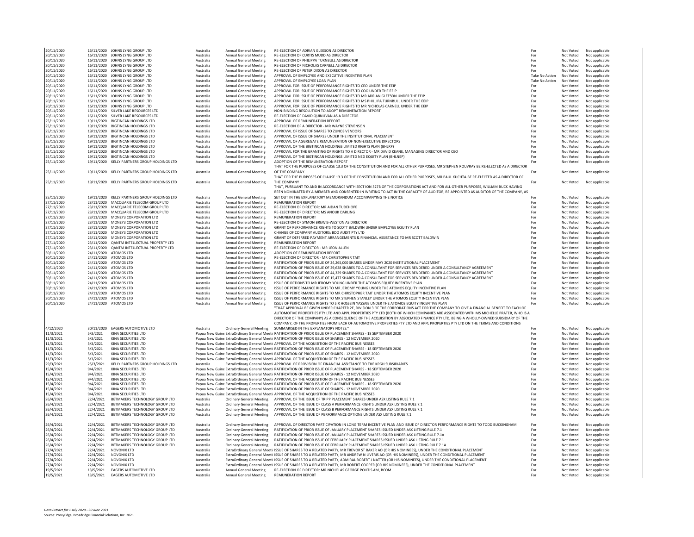| 20/11/2020<br>20/11/2020 |           | 16/11/2020 JOHNS LYNG GROUP LTD<br>16/11/2020 JOHNS LYNG GROUP LTD | Australia | Annual General Meeting          | RE-ELECTION OF ADRIAN GLEESON AS DIRECTOR<br>RE-ELECTION OF CURTIS MUDD AS DIRECTOR                                                         | For            | Not Voted | Not applicable |
|--------------------------|-----------|--------------------------------------------------------------------|-----------|---------------------------------|---------------------------------------------------------------------------------------------------------------------------------------------|----------------|-----------|----------------|
|                          |           |                                                                    | Australia | Annual General Meeting          | RE-ELECTION OF PHILIPPA TURNBULL AS DIRECTOR                                                                                                | For<br>For     | Not Voted | Not applicable |
| 20/11/2020               |           | 16/11/2020 JOHNS LYNG GROUP LTD                                    | Australia | <b>Annual General Meeting</b>   |                                                                                                                                             |                | Not Voted | Not applicable |
| 20/11/2020               |           | 16/11/2020 JOHNS LYNG GROUP LTD                                    | Australia | Annual General Meeting          | RE-ELECTION OF NICHOLAS CARNELL AS DIRECTOR                                                                                                 | For            | Not Voted | Not applicable |
| 20/11/2020               |           | 16/11/2020 JOHNS LYNG GROUP LTD                                    | Australia | <b>Annual General Meeting</b>   | RE-ELECTION OF PETER DIXON AS DIRECTOR                                                                                                      | For            | Not Voted | Not applicable |
| 20/11/2020               |           | 16/11/2020 IOHNS LYNG GROUP LTD                                    | Australia | <b>Annual General Meeting</b>   | APPROVAL OF EMPLOYEE AND EXECUTIVE INCENTIVE PLAN                                                                                           | Take No Action | Not Voted | Not applicable |
| 20/11/2020               |           | 16/11/2020 JOHNS LYNG GROUP LTD                                    | Australia | <b>Annual General Meeting</b>   | APPROVAL OF EMPLOYEE LOAN PLAN                                                                                                              | Take No Action | Not Voted | Not applicable |
| 20/11/2020               |           | 16/11/2020 JOHNS LYNG GROUP LTD                                    | Australia | Annual General Meeting          | APPROVAL FOR ISSUE OF PERFORMANCE RIGHTS TO CEO UNDER THE EEIP                                                                              | For            | Not Voted | Not applicable |
| 20/11/2020               |           | 16/11/2020 JOHNS LYNG GROUP LTD                                    | Australia | <b>Annual General Meeting</b>   | APPROVAL FOR ISSUE OF PERFORMANCE RIGHTS TO COO UNDER THE EEIP                                                                              | For            | Not Voted | Not applicable |
| 20/11/2020               |           | 16/11/2020 JOHNS LYNG GROUP LTD                                    | Australia | Annual General Meeting          | APPROVAL FOR ISSUE OF PERFORMANCE RIGHTS TO MR ADRIAN GLEESON UNDER THE EEIP                                                                | For            | Not Voted | Not applicable |
| 20/11/2020               |           | 16/11/2020 JOHNS LYNG GROUP LTD                                    | Australia | <b>Annual General Meeting</b>   | APPROVAL FOR ISSUE OF PERFORMANCE RIGHTS TO MS PHILLIPA TURNBULL UNDER THE EEIF                                                             | For            | Not Voted | Not applicable |
| 20/11/2020               |           | 16/11/2020 JOHNS LYNG GROUP LTD                                    | Australia | Annual General Meeting          | APPROVAL FOR ISSUE OF PERFORMANCE RIGHTS TO MR NICHOLAS CARNELL UNDER THE EEIP                                                              | For            | Not Voted | Not applicable |
| 20/11/2020               |           | 16/11/2020 SILVER LAKE RESOURCES LTD                               | Australia | Annual General Meeting          | NON-BINDING RESOLUTION TO ADOPT REMUNERATION REPORT                                                                                         | For            | Not Voted | Not applicable |
| 20/11/2020               |           | 16/11/2020 SILVER LAKE RESOURCES LTD                               | Australia | <b>Annual General Meeting</b>   | RE-ELECTION OF DAVID QUINLIVAN AS A DIRECTOR                                                                                                | For            | Not Voted | Not applicable |
|                          |           | 19/11/2020 BIGTINCAN HOLDINGS LTD                                  |           |                                 |                                                                                                                                             | For            |           |                |
| 25/11/2020               |           |                                                                    | Australia | Annual General Meeting          | APPROVAL OF REMUNERATION REPORT                                                                                                             |                | Not Voted | Not applicable |
| 25/11/2020               |           | 19/11/2020 BIGTINCAN HOLDINGS LTD                                  | Australia | <b>Annual General Meeting</b>   | RE-ELECTION OF A DIRECTOR - MR WAYNE STEVENSON                                                                                              | For            | Not Voted | Not applicable |
| 25/11/2020               |           | 19/11/2020 BIGTINCAN HOLDINGS LTD                                  | Australia | <b>Annual General Meeting</b>   | APPROVAL OF ISSUE OF SHARES TO ZUNOS VENDORS                                                                                                | For            | Not Voted | Not applicable |
| 25/11/2020               |           | 19/11/2020 BIGTINCAN HOLDINGS LTD                                  | Australia | Annual General Meeting          | APPROVAL OF ISSUE OF SHARES UNDER THE INSTITUTIONAL PLACEMENT                                                                               | For            | Not Voted | Not applicable |
| 25/11/2020               |           | 19/11/2020 BIGTINCAN HOLDINGS LTD                                  | Australia | <b>Annual General Meeting</b>   | APPROVAL OF AGGREGATE REMUNERATION OF NON-EXECUTIVE DIRECTORS                                                                               | For            | Not Voted | Not applicable |
| 25/11/2020               |           | 19/11/2020 BIGTINCAN HOLDINGS LTD                                  | Australia | Annual General Meeting          | APPROVAL OF THE BIGTINCAN HOLDINGS LIMITED RIGHTS PLAN (BHLRP)                                                                              | For            | Not Voted | Not applicable |
| 25/11/2020               |           | 19/11/2020 BIGTINCAN HOLDINGS LTD                                  | Australia | <b>Annual General Meeting</b>   | APPROVAL FOR THE GRANTING OF RIGHTS TO A DIRECTOR - MR DAVID KEANE, MANAGING DIRECTOR AND CEO                                               | For            | Not Voted | Not applicable |
| 25/11/2020               |           | 19/11/2020 BIGTINCAN HOLDINGS LTD                                  | Australia | <b>Annual General Meeting</b>   | APPROVAL OF THE BIGTINCAN HOLDINGS LIMITED NED EQUITY PLAN (BHLNEP)                                                                         | For            | Not Voted | Not applicable |
| 25/11/2020               |           | 19/11/2020 KELLY PARTNERS GROUP HOLDINGS LTD                       | Australia | <b>Annual General Meeting</b>   | ADOPTION OF THE REMUNERATION REPORT                                                                                                         | For            | Not Voted | Not applicable |
|                          |           |                                                                    |           |                                 | THAT FOR THE PURPOSES OF CLAUSE 13.3 OF THE CONSTITUTION AND FOR ALL OTHER PURPOSES, MR STEPHEN ROUVRAY BE RE-ELECTED AS A DIRECTOR         |                |           |                |
| 25/11/2020               |           | 19/11/2020 KELLY PARTNERS GROUP HOLDINGS LTD                       | Australia | <b>Annual General Meeting</b>   | OF THE COMPANY                                                                                                                              | For            | Not Voted | Not applicable |
|                          |           |                                                                    |           |                                 | THAT FOR THE PURPOSES OF CLAUSE 13.3 OF THE CONSTITUTION AND FOR ALL OTHER PURPOSES, MR PAUL KUCHTA BE RE-ELECTED AS A DIRECTOR OF          |                |           |                |
|                          |           |                                                                    |           |                                 |                                                                                                                                             |                |           |                |
| 25/11/2020               |           | 19/11/2020 KELLY PARTNERS GROUP HOLDINGS LTD                       | Australia | <b>Annual General Meeting</b>   | THE COMPANY                                                                                                                                 | For            | Not Voted | Not applicable |
|                          |           |                                                                    |           |                                 | THAT, PURSUANT TO AND IN ACCORDANCE WITH SECT ION 327B OF THE CORPORATIONS ACT AND FOR ALL OTHER PURPOSES, WILLIAM BUCK HAVING              |                |           |                |
|                          |           |                                                                    |           |                                 | BEEN NOMINATED BY A MEMBER AND CONSENTED IN WRITING TO ACT IN THE CAPACITY OF AUDITOR, BE APPOINTED AS AUDITOR OF THE COMPANY, AS           |                |           |                |
| 25/11/2020               |           | 19/11/2020 KELLY PARTNERS GROUP HOLDINGS LTD                       | Australia | <b>Annual General Meeting</b>   | SET OUT IN THE EXPLANATORY MEMORANDUM ACCOMPANYING THE NOTICE                                                                               | For            | Not Voted | Not applicable |
| 27/11/2020               |           | 23/11/2020 MACQUARIE TELECOM GROUP LTD                             | Australia | <b>Annual General Meeting</b>   | <b>REMUNERATION REPORT</b>                                                                                                                  | For            | Not Voted | Not applicable |
| 27/11/2020               |           | 23/11/2020 MACQUARIE TELECOM GROUP LTD                             | Australia | Annual General Meeting          | RE-ELECTION OF DIRECTOR: MR AIDAN TUDEHOPE                                                                                                  | For            | Not Voted | Not applicable |
| 27/11/2020               |           | 23/11/2020 MACQUARIE TELECOM GROUP LTD                             | Australia | <b>Annual General Meeting</b>   | RE-ELECTION OF DIRECTOR: MS ANOUK DARLING                                                                                                   | For            | Not Voted | Not applicable |
| 27/11/2020               |           | 23/11/2020 MONEY3 CORPORATION LTD                                  | Australia | Annual General Meeting          | <b>REMUNERATION REPORT</b>                                                                                                                  |                |           | Not applicable |
|                          |           |                                                                    |           |                                 |                                                                                                                                             | For            | Not Voted |                |
| 27/11/2020               |           | 23/11/2020 MONEY3 CORPORATION LTD                                  | Australia | Annual General Meeting          | RE-ELECTION OF SYMON BREWIS-WESTON AS DIRECTOR                                                                                              | For            | Not Voted | Not applicable |
| 27/11/2020               |           | 23/11/2020 MONEY3 CORPORATION LTD                                  | Australia | <b>Annual General Meeting</b>   | GRANT OF PERFORMANCE RIGHTS TO SCOTT BALDWIN UNDER EMPLOYEE EQUITY PLAN                                                                     | For            | Not Voted | Not applicable |
| 27/11/2020               |           | 23/11/2020 MONEY3 CORPORATION LTD                                  | Australia | Annual General Meeting          | CHANGE OF COMPANY AUDITORS: BDO AUDIT PTY LTD                                                                                               | For            | Not Voted | Not applicable |
| 27/11/2020               |           | 23/11/2020 MONEY3 CORPORATION LTD                                  | Australia | <b>Annual General Meeting</b>   | GRANT OF DEFERRED PAYMENT ARRANGEMENTS & FINANCIAL ASSISTANCE TO MR SCOTT BALDWIN                                                           | For            | Not Voted | Not applicable |
| 27/11/2020               |           | 23/11/2020 QANTM INTELLECTUAL PROPERTY LTD                         | Australia | <b>Annual General Meeting</b>   | <b>REMUNERATION REPORT</b>                                                                                                                  | For            | Not Voted | Not applicable |
| 27/11/2020               |           | 23/11/2020 QANTM INTELLECTUAL PROPERTY LTD                         | Australia | Annual General Meeting          | RE-ELECTION OF DIRECTOR - MR LEON ALLEN                                                                                                     | For            | Not Voted | Not applicable |
|                          |           |                                                                    |           |                                 |                                                                                                                                             |                |           |                |
| 30/11/2020               |           | 24/11/2020 ATOMOS LTD                                              | Australia | Annual General Meeting          | ADOPTION OF REMUNERATION REPORT                                                                                                             | For            | Not Voted | Not applicable |
| 30/11/2020               |           | 24/11/2020 ATOMOS LTD                                              | Australia | Annual General Meeting          | RE-ELECTION OF DIRECTOR - MR CHRISTOPHER TAIT                                                                                               | For            | Not Voted | Not applicable |
| 30/11/2020               |           | 24/11/2020 ATOMOS LTD                                              | Australia | <b>Annual General Meeting</b>   | RATIFICATION OF PRIOR ISSUE OF 24,265,000 SHARES UNDER MAY 2020 INSTITUTIONAL PLACEMENT                                                     | For            | Not Voted | Not applicable |
| 30/11/2020               |           | 24/11/2020 ATOMOS LTD                                              | Australia | Annual General Meeting          | RATIFICATION OF PRIOR ISSUE OF 29.628 SHARES TO A CONSULTANT FOR SERVICES RENDERED UNDER A CONSULTANCY AGREEMENT                            | For            | Not Voted | Not applicable |
| 30/11/2020               |           | 24/11/2020 ATOMOS LTD                                              | Australia | <b>Annual General Meeting</b>   | BATIFICATION OF PRIOR ISSUE OF 44.329 SHARES TO A CONSULTANT FOR SERVICES RENDERED UNDER A CONSULTANCY AGREEMENT                            | For            | Not Voted | Not applicable |
| 30/11/2020               |           | 24/11/2020 ATOMOS LTD                                              | Australia | Annual General Meeting          | RATIFICATION OF PRIOR ISSUE OF 15,477 SHARES TO A CONSULTANT FOR SERVICES RENDERED UNDER A CONSULTANCY AGREEMENT                            | For            | Not Voted | Not applicable |
| 30/11/2020               |           | 24/11/2020 ATOMOS LTD                                              | Australia | Annual General Meeting          | ISSUE OF OPTIONS TO MR JEROMY YOUNG UNDER THE ATOMOS EQUITY INCENTIVE PLAN                                                                  | For            | Not Voted | Not applicable |
|                          |           |                                                                    |           |                                 |                                                                                                                                             |                |           |                |
| 30/11/2020               |           | 24/11/2020 ATOMOS LTD                                              | Australia | Annual General Meeting          | ISSUE OF PERFORMANCE RIGHTS TO MR JEROMY YOUNG UNDER THE ATOMOS EQUITY INCENTIVE PLAN                                                       | For            | Not Voted | Not applicable |
| 30/11/2020               |           | 24/11/2020 ATOMOS LTD                                              | Australia | Annual General Meeting          | ISSUE OF PERFORMANCE RIGHTS TO MR CHRISTOPHER TAIT UNDER THE ATOMOS EQUITY INCENTIVE PLAN                                                   | For            | Not Voted | Not applicable |
| 30/11/2020               |           | 24/11/2020 ATOMOS LTD                                              | Australia | Annual General Meeting          | ISSUE OF PERFORMANCE RIGHTS TO MR STEPHEN STANLEY UNDER THE ATOMOS EQUITY INCENTIVE PLAN                                                    | For            | Not Voted | Not applicable |
| 30/11/2020               |           | 24/11/2020 ATOMOS LTD                                              | Australia | Annual General Meeting          | ISSUE OF PERFORMANCE RIGHTS TO SIR HOSSEIN YASSAIF UNDER THE ATOMOS FOUITY INCENTIVE PLAN                                                   | For            | Not Voted | Not applicable |
|                          |           |                                                                    |           |                                 | "THAT APPROVAL BE GIVEN UNDER CHAPTER 2E, DIVISION 3 OF THE CORPORATIONS ACT FOR THE COMPANY TO GIVE A FINANCIAL BENEFIT TO EACH OF         |                |           |                |
|                          |           |                                                                    |           |                                 | AUTOMOTIVE PROPERTIES PTY LTD AND APPL PROPERTIES PTY LTD (BOTH OF WHICH COMPANIES ARE ASSOCIATED WITH MS MICHELLE PRATER, WHO IS A         |                |           |                |
|                          |           |                                                                    |           |                                 | DIRECTOR OF THE COMPANY) AS A CONSEQUENCE OF THE ACQUISITION BY ASSOCIATED FINANCE PTY LTD, BEING A WHOLLY-OWNED SUBSIDIARY OF THE          |                |           |                |
|                          |           |                                                                    |           |                                 |                                                                                                                                             |                |           |                |
|                          |           |                                                                    |           |                                 | COMPANY, OF THE PROPERTIES FROM EACH OF AUTOMOTIVE PROPERTIES PTY LTD AND APPL PROPERTIES PTY LTD ON THE TERMS AND CONDITIONS               |                |           |                |
| 4/12/2020                |           | 30/11/2020 EAGERS AUTOMOTIVE LTD                                   | Australia | Ordinary General Meeting        | SUMMARISED IN THE EXPLANATORY NOTES.                                                                                                        | For            | Not Voted | Not applicable |
| 11/3/2021                | 5/3/2021  | KINA SECURITIES LTD                                                |           |                                 | Papua New Guine ExtraOrdinary General Meetii RATIFICATION OF PRIOR ISSUE OF PLACEMENT SHARES - 18 SEPTEMBER 2020                            | For            | Not Voted | Not applicable |
| 11/3/2021                | 5/3/2021  | KINA SECURITIES LTD                                                |           |                                 | Papua New Guine ExtraOrdinary General Meetii RATIFICATION OF PRIOR ISSUE OF SHARES - 12 NOVEMBER 2020                                       | For            | Not Voted | Not applicable |
| 11/3/2021                | 5/3/2021  | KINA SECURITIES LTD                                                |           |                                 | Papua New Guine ExtraOrdinary General Meetii APPROVAL OF THE ACQUISITION OF THE PACIFIC BUSINESSES                                          | For            | Not Voted | Not applicable |
| 11/3/2021                | 5/3/2021  | KINA SECURITIES LTD                                                |           |                                 | Papua New Guine ExtraOrdinary General Meetii RATIFICATION OF PRIOR ISSUE OF PLACEMENT SHARES - 18 SEPTEMBER 2020                            | For            | Not Voted | Not applicable |
| 11/3/2021                | 5/3/2021  | KINA SECURITIES LTD                                                |           |                                 | Papua New Guine ExtraOrdinary General Meetii RATIFICATION OF PRIOR ISSUE OF SHARES - 12 NOVEMBER 2020                                       | For            | Not Voted | Not applicable |
| 11/3/2021                | 5/3/2021  | KINA SECURITIES LTD                                                |           |                                 | Papua New Guine ExtraOrdinary General Meetii APPROVAL OF THE ACQUISITION OF THE PACIFIC BUSINESSES                                          | For            | Not Voted | Not applicable |
| 29/3/2021                | 25/3/2021 | KELLY PARTNERS GROUP HOLDINGS LTD                                  | Australia |                                 | ExtraOrdinary General Meetii APPROVAL OF PROVISION OF FINANCIAL ASSISTANCE TO THE KPGH SUBSIDIARIES                                         | For            | Not Voted | Not applicable |
|                          |           |                                                                    |           |                                 |                                                                                                                                             |                |           |                |
| 15/4/2021                | 9/4/2021  | KINA SECURITIES LTD                                                |           |                                 | Papua New Guine ExtraOrdinary General Meetii RATIFICATION OF PRIOR ISSUE OF PLACEMENT SHARES - 18 SEPTEMBER 2020                            | For            | Not Voted | Not applicable |
| 15/4/2021                | 9/4/2021  | KINA SECURITIES LTD                                                |           |                                 | Papua New Guine ExtraOrdinary General Meetii RATIFICATION OF PRIOR ISSUE OF SHARES - 12 NOVEMBER 2020                                       | For            | Not Voted | Not applicable |
| 15/4/2021                | 9/4/2021  | KINA SECURITIES LTD                                                |           |                                 | Papua New Guine ExtraOrdinary General Meetii APPROVAL OF THE ACQUISITION OF THE PACIFIC BUSINESSES                                          | For            | Not Voted | Not applicable |
| 15/4/2021                | 9/4/2021  | KINA SECURITIES LTD                                                |           |                                 | Papua New Guine ExtraOrdinary General Meetii RATIFICATION OF PRIOR ISSUE OF PLACEMENT SHARES - 18 SEPTEMBER 2020                            | For            | Not Voted | Not applicable |
| 15/4/2021                | 9/4/2021  | KINA SECURITIES LTD                                                |           |                                 | Papua New Guine ExtraOrdinary General Meetii RATIFICATION OF PRIOR ISSUE OF SHARES - 12 NOVEMBER 2020                                       | For            | Not Voted | Not applicable |
| 15/4/2021                | 9/4/2021  | KINA SECURITIES LTD                                                |           |                                 | Papua New Guine ExtraOrdinary General Meetii APPROVAL OF THE ACOUISITION OF THE PACIFIC BUSINESSES                                          | For            | Not Voted | Not applicable |
| 26/4/2021                | 22/4/2021 | BETMAKERS TECHNOLOGY GROUP LTD                                     | Australia |                                 | Ordinary General Meeting APPROVAL OF THE ISSUE OF TRIPP PLACEMENT SHARES UNDER ASX LISTING RULE 7.1                                         | For            | Not Voted | Not applicable |
| 26/4/2021                | 22/4/2021 | BETMAKERS TECHNOLOGY GROUP LTD                                     | Australia |                                 | Ordinary General Meeting APPROVAL OF THE ISSUE OF CLASS A PERFORMANCE RIGHTS UNDER ASX LISTING RULE 7.1                                     | For            | Not Voted | Not applicable |
|                          |           |                                                                    |           |                                 |                                                                                                                                             |                |           |                |
| 26/4/2021                | 22/4/2021 | BETMAKERS TECHNOLOGY GROUP LTD                                     | Australia | Ordinary General Meeting        | APPROVAL OF THE ISSUE OF CLASS B PERFORMANCE RIGHTS UNDER ASX LISTING RULE 7.1                                                              | For            | Not Voted | Not applicable |
| 26/4/2021                | 22/4/2021 | BETMAKERS TECHNOLOGY GROUP LTD                                     | Australia |                                 | Ordinary General Meeting APPROVAL OF THE ISSUE OF PERFORMANCE OPTIONS UNDER ASX LISTING RULE 7.1                                            | For            | Not Voted | Not applicable |
|                          |           |                                                                    |           |                                 |                                                                                                                                             |                |           |                |
| 26/4/2021                | 22/4/2021 | BETMAKERS TECHNOLOGY GROUP LTD                                     | Australia | Ordinary General Meeting        | APPROVAL OF DIRECTOR PARTICIPATION IN LONG TERM INCENTIVE PLAN AND ISSUE OF DIRECTOR PERFORMANCE RIGHTS TO TODD BUCKINGHAM                  | For            | Not Voted | Not applicable |
| 26/4/2021                | 22/4/2021 | BETMAKERS TECHNOLOGY GROUP LTD                                     | Australia | <b>Ordinary General Meeting</b> | RATIFICATION OF PRIOR ISSUE OF JANUARY PLACEMENT SHARES ISSUED UNDER ASX LISTING RULE 7.1                                                   | For            | Not Voted | Not applicable |
| 26/4/2021                | 22/4/2021 | BETMAKERS TECHNOLOGY GROUP LTD                                     | Australia |                                 | Ordinary General Meeting RATIFICATION OF PRIOR ISSUE OF JANUARY PLACEMENT SHARES ISSUED UNDER ASX LISTING RULE 7.1A                         | For            | Not Voted | Not applicable |
| 26/4/2021                | 22/4/2021 | BETMAKERS TECHNOLOGY GROUP LTD                                     | Australia | <b>Ordinary General Meeting</b> | RATIFICATION OF PRIOR ISSUE OF FEBRUARY PLACEMENT SHARES ISSUED UNDER ASX LISTING RULE 7.1                                                  | For            | Not Voted | Not applicable |
| 26/4/2021                | 22/4/2021 | BETMAKERS TECHNOLOGY GROUP LTD                                     | Australia | Ordinary General Meeting        | RATIFICATION OF PRIOR ISSUE OF FEBRUARY PLACEMENT SHARES ISSUED UNDER ASX LISTING RULE 7.1A                                                 | For            | Not Voted | Not applicable |
|                          |           |                                                                    |           |                                 |                                                                                                                                             |                |           |                |
| 27/4/2021                | 22/4/2021 | NOVONIX LTD                                                        | Australia |                                 | ExtraOrdinary General Meetii ISSUE OF SHARES TO A RELATED PARTY, MR TREVOR ST BAKER AO (OR HIS NOMINEES), UNDER THE CONDITIONAL PLACEMENT   | For            | Not Voted | Not applicable |
| 27/4/2021                | 22/4/2021 | NOVONIX LTD                                                        | Australia |                                 | ExtraOrdinary General Meetii ISSUE OF SHARES TO A RELATED PARTY, MR ANDREW N LIVERIS AO (OR HIS NOMINEES), UNDER THE CONDITIONAL PLACEMENT  | For            | Not Voted | Not applicable |
| 27/4/2021                | 22/4/2021 | NOVONIX LTD                                                        | Australia |                                 | ExtraOrdinary General Meetii ISSUE OF SHARES TO A RELATED PARTY, ADMIRAL ROBERT J NATTER (OR HIS NOMINEES), UNDER THE CONDITIONAL PLACEMENT | For            | Not Voted | Not applicable |
| 27/4/2021                | 22/4/2021 | NOVONIX LTD                                                        | Australia |                                 | ExtraOrdinary General Meetii ISSUE OF SHARES TO A RELATED PARTY, MR ROBERT COOPER (OR HIS NOMINEES), UNDER THE CONDITIONAL PLACEMENT        | For            | Not Voted | Not applicable |
| 19/5/2021                | 13/5/2021 | <b>EAGERS AUTOMOTIVE LTD</b>                                       | Australia | Annual General Meeting          | RE-ELECTION OF DIRECTOR: MR NICHOLAS GEORGE POLITIS AM, BCOM                                                                                | For            | Not Voted | Not applicable |
| 19/5/2021                | 13/5/2021 | <b>EAGERS AUTOMOTIVE LTD</b>                                       | Australia | Annual General Meeting          | <b>REMUNERATION REPORT</b>                                                                                                                  | For            | Not Voted | Not applicable |
|                          |           |                                                                    |           |                                 |                                                                                                                                             |                |           |                |